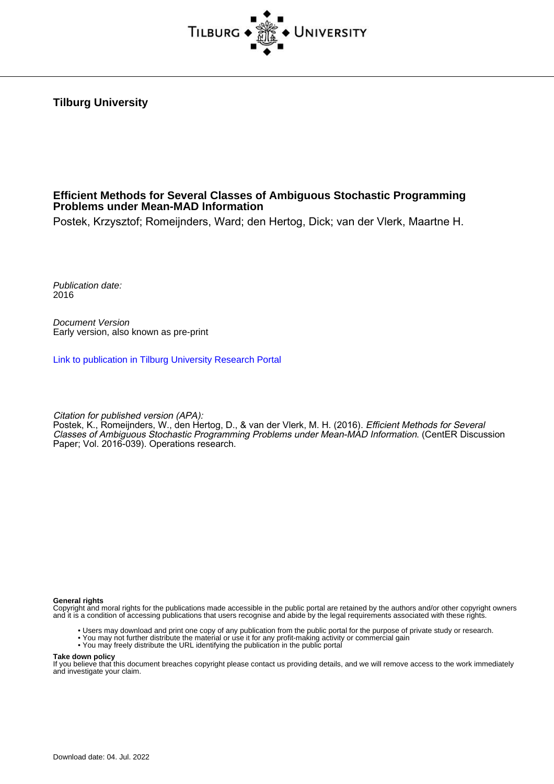

**Tilburg University**

## **Efficient Methods for Several Classes of Ambiguous Stochastic Programming Problems under Mean-MAD Information**

Postek, Krzysztof; Romeijnders, Ward; den Hertog, Dick; van der Vlerk, Maartne H.

Publication date: 2016

Document Version Early version, also known as pre-print

[Link to publication in Tilburg University Research Portal](https://research.tilburguniversity.edu/en/publications/a03f895f-b941-41a9-84e0-b257de5ca970)

Citation for published version (APA):

Postek, K., Romeijnders, W., den Hertog, D., & van der Vlerk, M. H. (2016). *Efficient Methods for Several* Classes of Ambiguous Stochastic Programming Problems under Mean-MAD Information. (CentER Discussion Paper; Vol. 2016-039). Operations research.

**General rights**

Copyright and moral rights for the publications made accessible in the public portal are retained by the authors and/or other copyright owners and it is a condition of accessing publications that users recognise and abide by the legal requirements associated with these rights.

- Users may download and print one copy of any publication from the public portal for the purpose of private study or research.
- You may not further distribute the material or use it for any profit-making activity or commercial gain
- You may freely distribute the URL identifying the publication in the public portal

#### **Take down policy**

If you believe that this document breaches copyright please contact us providing details, and we will remove access to the work immediately and investigate your claim.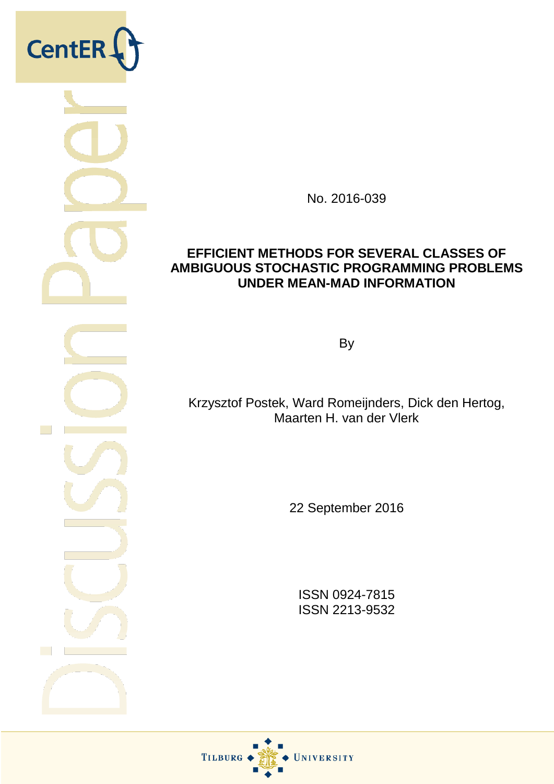

No. 2016-039

## **EFFICIENT METHODS FOR SEVERAL CLASSES OF AMBIGUOUS STOCHASTIC PROGRAMMING PROBLEMS UNDER MEAN-MAD INFORMATION**

**By** 

Krzysztof Postek, Ward Romeijnders, Dick den Hertog, Maarten H. van der Vlerk

22 September 2016

ISSN 0924-7815 ISSN 2213-9532

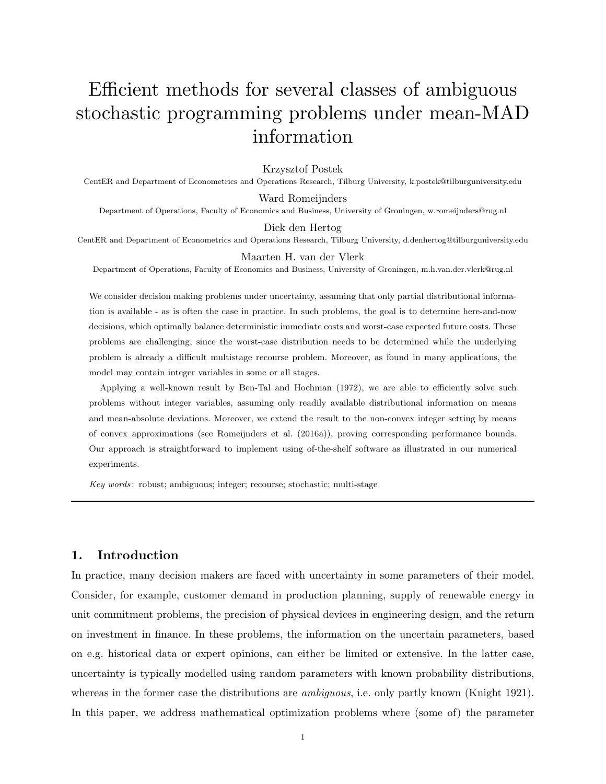# Efficient methods for several classes of ambiguous stochastic programming problems under mean-MAD information

#### Krzysztof Postek

CentER and Department of Econometrics and Operations Research, Tilburg University, k.postek@tilburguniversity.edu

#### Ward Romeijnders

Department of Operations, Faculty of Economics and Business, University of Groningen, w.romeijnders@rug.nl

#### Dick den Hertog

CentER and Department of Econometrics and Operations Research, Tilburg University, d.denhertog@tilburguniversity.edu

#### Maarten H. van der Vlerk

Department of Operations, Faculty of Economics and Business, University of Groningen, m.h.van.der.vlerk@rug.nl

We consider decision making problems under uncertainty, assuming that only partial distributional information is available - as is often the case in practice. In such problems, the goal is to determine here-and-now decisions, which optimally balance deterministic immediate costs and worst-case expected future costs. These problems are challenging, since the worst-case distribution needs to be determined while the underlying problem is already a difficult multistage recourse problem. Moreover, as found in many applications, the model may contain integer variables in some or all stages.

Applying a well-known result by Ben-Tal and Hochman (1972), we are able to efficiently solve such problems without integer variables, assuming only readily available distributional information on means and mean-absolute deviations. Moreover, we extend the result to the non-convex integer setting by means of convex approximations (see Romeijnders et al. (2016a)), proving corresponding performance bounds. Our approach is straightforward to implement using of-the-shelf software as illustrated in our numerical experiments.

Key words : robust; ambiguous; integer; recourse; stochastic; multi-stage

## 1. Introduction

In practice, many decision makers are faced with uncertainty in some parameters of their model. Consider, for example, customer demand in production planning, supply of renewable energy in unit commitment problems, the precision of physical devices in engineering design, and the return on investment in finance. In these problems, the information on the uncertain parameters, based on e.g. historical data or expert opinions, can either be limited or extensive. In the latter case, uncertainty is typically modelled using random parameters with known probability distributions, whereas in the former case the distributions are *ambiguous*, i.e. only partly known (Knight 1921). In this paper, we address mathematical optimization problems where (some of) the parameter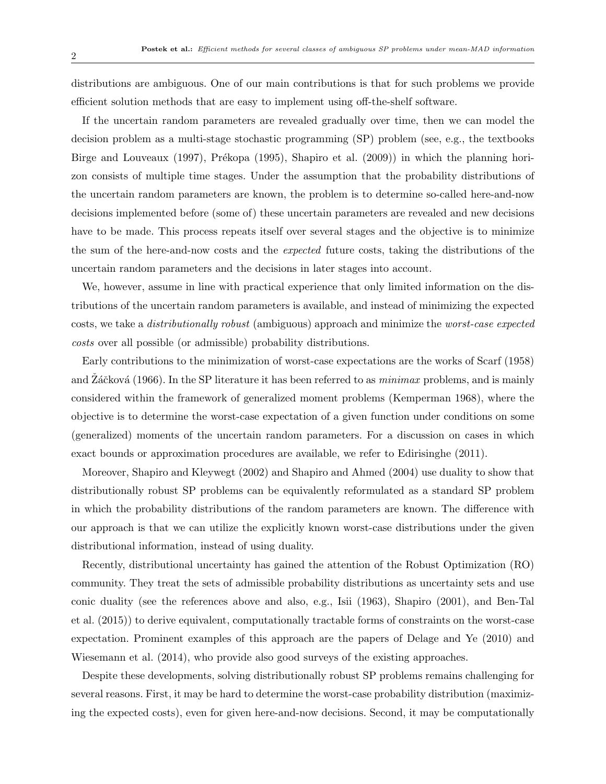distributions are ambiguous. One of our main contributions is that for such problems we provide efficient solution methods that are easy to implement using off-the-shelf software.

If the uncertain random parameters are revealed gradually over time, then we can model the decision problem as a multi-stage stochastic programming (SP) problem (see, e.g., the textbooks Birge and Louveaux (1997), Prékopa (1995), Shapiro et al. (2009)) in which the planning horizon consists of multiple time stages. Under the assumption that the probability distributions of the uncertain random parameters are known, the problem is to determine so-called here-and-now decisions implemented before (some of) these uncertain parameters are revealed and new decisions have to be made. This process repeats itself over several stages and the objective is to minimize the sum of the here-and-now costs and the expected future costs, taking the distributions of the uncertain random parameters and the decisions in later stages into account.

We, however, assume in line with practical experience that only limited information on the distributions of the uncertain random parameters is available, and instead of minimizing the expected costs, we take a distributionally robust (ambiguous) approach and minimize the worst-case expected costs over all possible (or admissible) probability distributions.

Early contributions to the minimization of worst-case expectations are the works of Scarf (1958) and  $\overline{Z}$ áčková (1966). In the SP literature it has been referred to as *minimax* problems, and is mainly considered within the framework of generalized moment problems (Kemperman 1968), where the objective is to determine the worst-case expectation of a given function under conditions on some (generalized) moments of the uncertain random parameters. For a discussion on cases in which exact bounds or approximation procedures are available, we refer to Edirisinghe (2011).

Moreover, Shapiro and Kleywegt (2002) and Shapiro and Ahmed (2004) use duality to show that distributionally robust SP problems can be equivalently reformulated as a standard SP problem in which the probability distributions of the random parameters are known. The difference with our approach is that we can utilize the explicitly known worst-case distributions under the given distributional information, instead of using duality.

Recently, distributional uncertainty has gained the attention of the Robust Optimization (RO) community. They treat the sets of admissible probability distributions as uncertainty sets and use conic duality (see the references above and also, e.g., Isii (1963), Shapiro (2001), and Ben-Tal et al. (2015)) to derive equivalent, computationally tractable forms of constraints on the worst-case expectation. Prominent examples of this approach are the papers of Delage and Ye (2010) and Wiesemann et al. (2014), who provide also good surveys of the existing approaches.

Despite these developments, solving distributionally robust SP problems remains challenging for several reasons. First, it may be hard to determine the worst-case probability distribution (maximizing the expected costs), even for given here-and-now decisions. Second, it may be computationally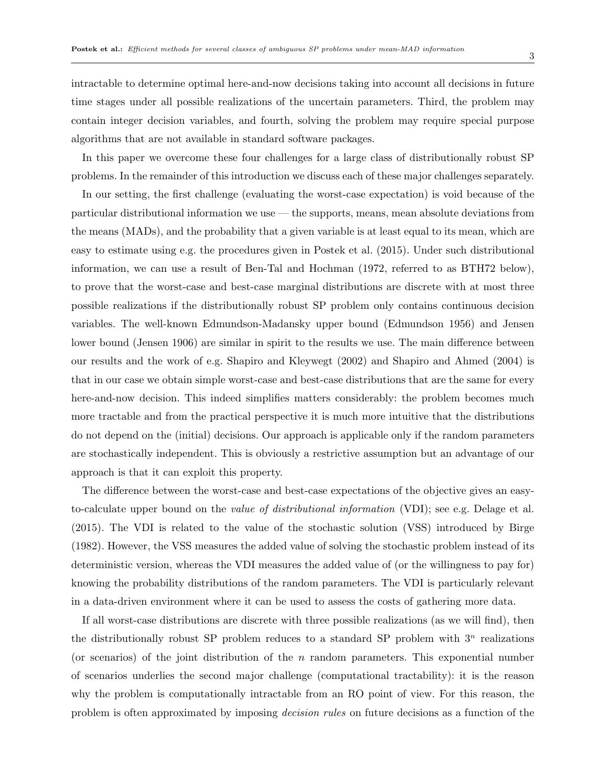intractable to determine optimal here-and-now decisions taking into account all decisions in future time stages under all possible realizations of the uncertain parameters. Third, the problem may contain integer decision variables, and fourth, solving the problem may require special purpose algorithms that are not available in standard software packages.

In this paper we overcome these four challenges for a large class of distributionally robust SP problems. In the remainder of this introduction we discuss each of these major challenges separately.

In our setting, the first challenge (evaluating the worst-case expectation) is void because of the particular distributional information we use — the supports, means, mean absolute deviations from the means (MADs), and the probability that a given variable is at least equal to its mean, which are easy to estimate using e.g. the procedures given in Postek et al. (2015). Under such distributional information, we can use a result of Ben-Tal and Hochman (1972, referred to as BTH72 below), to prove that the worst-case and best-case marginal distributions are discrete with at most three possible realizations if the distributionally robust SP problem only contains continuous decision variables. The well-known Edmundson-Madansky upper bound (Edmundson 1956) and Jensen lower bound (Jensen 1906) are similar in spirit to the results we use. The main difference between our results and the work of e.g. Shapiro and Kleywegt (2002) and Shapiro and Ahmed (2004) is that in our case we obtain simple worst-case and best-case distributions that are the same for every here-and-now decision. This indeed simplifies matters considerably: the problem becomes much more tractable and from the practical perspective it is much more intuitive that the distributions do not depend on the (initial) decisions. Our approach is applicable only if the random parameters are stochastically independent. This is obviously a restrictive assumption but an advantage of our approach is that it can exploit this property.

The difference between the worst-case and best-case expectations of the objective gives an easyto-calculate upper bound on the value of distributional information (VDI); see e.g. Delage et al. (2015). The VDI is related to the value of the stochastic solution (VSS) introduced by Birge (1982). However, the VSS measures the added value of solving the stochastic problem instead of its deterministic version, whereas the VDI measures the added value of (or the willingness to pay for) knowing the probability distributions of the random parameters. The VDI is particularly relevant in a data-driven environment where it can be used to assess the costs of gathering more data.

If all worst-case distributions are discrete with three possible realizations (as we will find), then the distributionally robust SP problem reduces to a standard SP problem with  $3<sup>n</sup>$  realizations (or scenarios) of the joint distribution of the  $n$  random parameters. This exponential number of scenarios underlies the second major challenge (computational tractability): it is the reason why the problem is computationally intractable from an RO point of view. For this reason, the problem is often approximated by imposing decision rules on future decisions as a function of the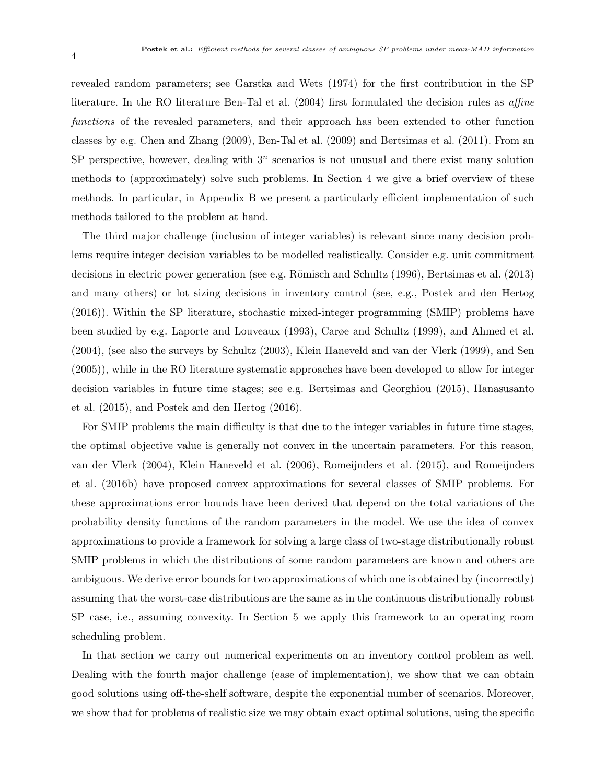revealed random parameters; see Garstka and Wets (1974) for the first contribution in the SP literature. In the RO literature Ben-Tal et al. (2004) first formulated the decision rules as *affine* functions of the revealed parameters, and their approach has been extended to other function classes by e.g. Chen and Zhang (2009), Ben-Tal et al. (2009) and Bertsimas et al. (2011). From an SP perspective, however, dealing with  $3<sup>n</sup>$  scenarios is not unusual and there exist many solution methods to (approximately) solve such problems. In Section 4 we give a brief overview of these methods. In particular, in Appendix B we present a particularly efficient implementation of such methods tailored to the problem at hand.

The third major challenge (inclusion of integer variables) is relevant since many decision problems require integer decision variables to be modelled realistically. Consider e.g. unit commitment decisions in electric power generation (see e.g. Römisch and Schultz (1996), Bertsimas et al. (2013) and many others) or lot sizing decisions in inventory control (see, e.g., Postek and den Hertog (2016)). Within the SP literature, stochastic mixed-integer programming (SMIP) problems have been studied by e.g. Laporte and Louveaux (1993), Carøe and Schultz (1999), and Ahmed et al. (2004), (see also the surveys by Schultz (2003), Klein Haneveld and van der Vlerk (1999), and Sen (2005)), while in the RO literature systematic approaches have been developed to allow for integer decision variables in future time stages; see e.g. Bertsimas and Georghiou (2015), Hanasusanto et al. (2015), and Postek and den Hertog (2016).

For SMIP problems the main difficulty is that due to the integer variables in future time stages, the optimal objective value is generally not convex in the uncertain parameters. For this reason, van der Vlerk (2004), Klein Haneveld et al. (2006), Romeijnders et al. (2015), and Romeijnders et al. (2016b) have proposed convex approximations for several classes of SMIP problems. For these approximations error bounds have been derived that depend on the total variations of the probability density functions of the random parameters in the model. We use the idea of convex approximations to provide a framework for solving a large class of two-stage distributionally robust SMIP problems in which the distributions of some random parameters are known and others are ambiguous. We derive error bounds for two approximations of which one is obtained by (incorrectly) assuming that the worst-case distributions are the same as in the continuous distributionally robust SP case, i.e., assuming convexity. In Section 5 we apply this framework to an operating room scheduling problem.

In that section we carry out numerical experiments on an inventory control problem as well. Dealing with the fourth major challenge (ease of implementation), we show that we can obtain good solutions using off-the-shelf software, despite the exponential number of scenarios. Moreover, we show that for problems of realistic size we may obtain exact optimal solutions, using the specific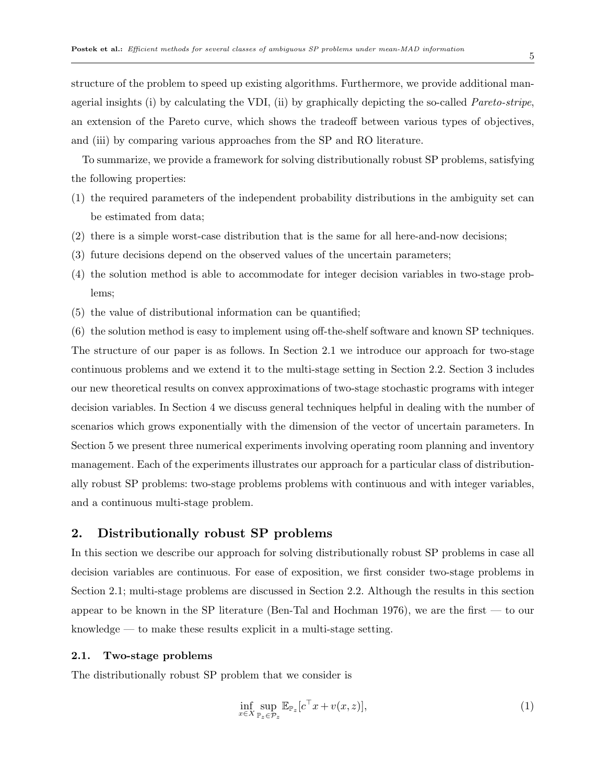structure of the problem to speed up existing algorithms. Furthermore, we provide additional managerial insights (i) by calculating the VDI, (ii) by graphically depicting the so-called Pareto-stripe, an extension of the Pareto curve, which shows the tradeoff between various types of objectives, and (iii) by comparing various approaches from the SP and RO literature.

To summarize, we provide a framework for solving distributionally robust SP problems, satisfying the following properties:

- (1) the required parameters of the independent probability distributions in the ambiguity set can be estimated from data;
- (2) there is a simple worst-case distribution that is the same for all here-and-now decisions;
- (3) future decisions depend on the observed values of the uncertain parameters;
- (4) the solution method is able to accommodate for integer decision variables in two-stage problems;
- (5) the value of distributional information can be quantified;

(6) the solution method is easy to implement using off-the-shelf software and known SP techniques. The structure of our paper is as follows. In Section 2.1 we introduce our approach for two-stage continuous problems and we extend it to the multi-stage setting in Section 2.2. Section 3 includes our new theoretical results on convex approximations of two-stage stochastic programs with integer decision variables. In Section 4 we discuss general techniques helpful in dealing with the number of scenarios which grows exponentially with the dimension of the vector of uncertain parameters. In Section 5 we present three numerical experiments involving operating room planning and inventory management. Each of the experiments illustrates our approach for a particular class of distributionally robust SP problems: two-stage problems problems with continuous and with integer variables, and a continuous multi-stage problem.

## 2. Distributionally robust SP problems

In this section we describe our approach for solving distributionally robust SP problems in case all decision variables are continuous. For ease of exposition, we first consider two-stage problems in Section 2.1; multi-stage problems are discussed in Section 2.2. Although the results in this section appear to be known in the SP literature (Ben-Tal and Hochman 1976), we are the first — to our knowledge — to make these results explicit in a multi-stage setting.

#### 2.1. Two-stage problems

The distributionally robust SP problem that we consider is

$$
\inf_{x \in X} \sup_{\mathbb{P}_z \in \mathcal{P}_z} \mathbb{E}_{\mathbb{P}_z} [c^\top x + v(x, z)],\tag{1}
$$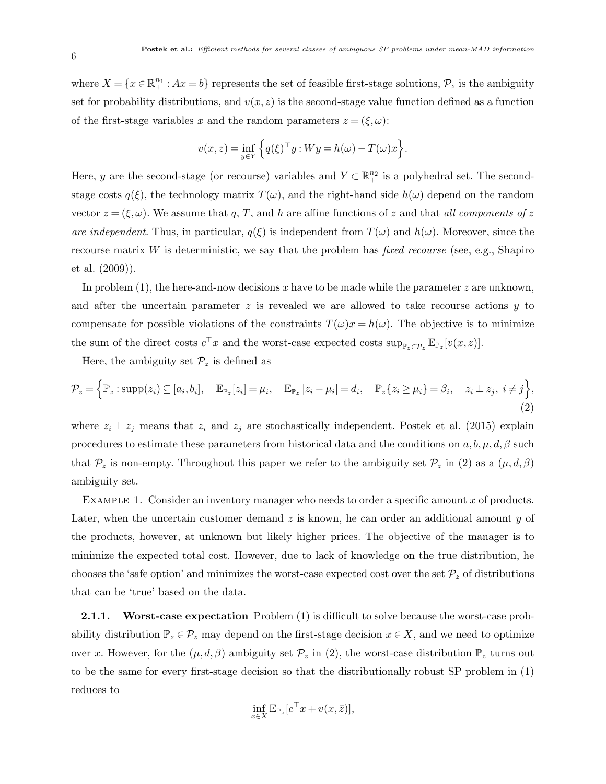where  $X = \{x \in \mathbb{R}^{n_1}_+ : Ax = b\}$  represents the set of feasible first-stage solutions,  $\mathcal{P}_z$  is the ambiguity set for probability distributions, and  $v(x, z)$  is the second-stage value function defined as a function of the first-stage variables x and the random parameters  $z = (\xi, \omega)$ :

$$
v(x, z) = \inf_{y \in Y} \left\{ q(\xi)^{\top} y : W y = h(\omega) - T(\omega) x \right\}.
$$

Here, y are the second-stage (or recourse) variables and  $Y \subset \mathbb{R}^{n_2}_+$  is a polyhedral set. The secondstage costs  $q(\xi)$ , the technology matrix  $T(\omega)$ , and the right-hand side  $h(\omega)$  depend on the random vector  $z = (\xi, \omega)$ . We assume that q, T, and h are affine functions of z and that all components of z are independent. Thus, in particular,  $q(\xi)$  is independent from  $T(\omega)$  and  $h(\omega)$ . Moreover, since the recourse matrix  $W$  is deterministic, we say that the problem has *fixed recourse* (see, e.g., Shapiro et al. (2009)).

In problem  $(1)$ , the here-and-now decisions x have to be made while the parameter z are unknown, and after the uncertain parameter  $z$  is revealed we are allowed to take recourse actions  $y$  to compensate for possible violations of the constraints  $T(\omega)x = h(\omega)$ . The objective is to minimize the sum of the direct costs  $c^{\top}x$  and the worst-case expected costs  $\sup_{\mathbb{P}_z \in \mathcal{P}_z} \mathbb{E}_{\mathbb{P}_z}[v(x,z)].$ 

Here, the ambiguity set  $\mathcal{P}_z$  is defined as

$$
\mathcal{P}_z = \left\{ \mathbb{P}_z : \text{supp}(z_i) \subseteq [a_i, b_i], \quad \mathbb{E}_{\mathbb{P}_z}[z_i] = \mu_i, \quad \mathbb{E}_{\mathbb{P}_z} |z_i - \mu_i| = d_i, \quad \mathbb{P}_z \{ z_i \ge \mu_i \} = \beta_i, \quad z_i \perp z_j, \ i \ne j \right\},\tag{2}
$$

where  $z_i \perp z_j$  means that  $z_i$  and  $z_j$  are stochastically independent. Postek et al. (2015) explain procedures to estimate these parameters from historical data and the conditions on  $a, b, \mu, d, \beta$  such that  $\mathcal{P}_z$  is non-empty. Throughout this paper we refer to the ambiguity set  $\mathcal{P}_z$  in (2) as a  $(\mu, d, \beta)$ ambiguity set.

EXAMPLE 1. Consider an inventory manager who needs to order a specific amount  $x$  of products. Later, when the uncertain customer demand  $z$  is known, he can order an additional amount  $y$  of the products, however, at unknown but likely higher prices. The objective of the manager is to minimize the expected total cost. However, due to lack of knowledge on the true distribution, he chooses the 'safe option' and minimizes the worst-case expected cost over the set  $\mathcal{P}_z$  of distributions that can be 'true' based on the data.

2.1.1. Worst-case expectation Problem (1) is difficult to solve because the worst-case probability distribution  $\mathbb{P}_z \in \mathcal{P}_z$  may depend on the first-stage decision  $x \in X$ , and we need to optimize over x. However, for the  $(\mu, d, \beta)$  ambiguity set  $\mathcal{P}_z$  in (2), the worst-case distribution  $\mathbb{P}_{\bar{z}}$  turns out to be the same for every first-stage decision so that the distributionally robust SP problem in (1) reduces to

$$
\inf_{x \in X} \mathbb{E}_{\mathbb{P}_{\bar{z}}}[c^{\top}x + v(x, \bar{z})],
$$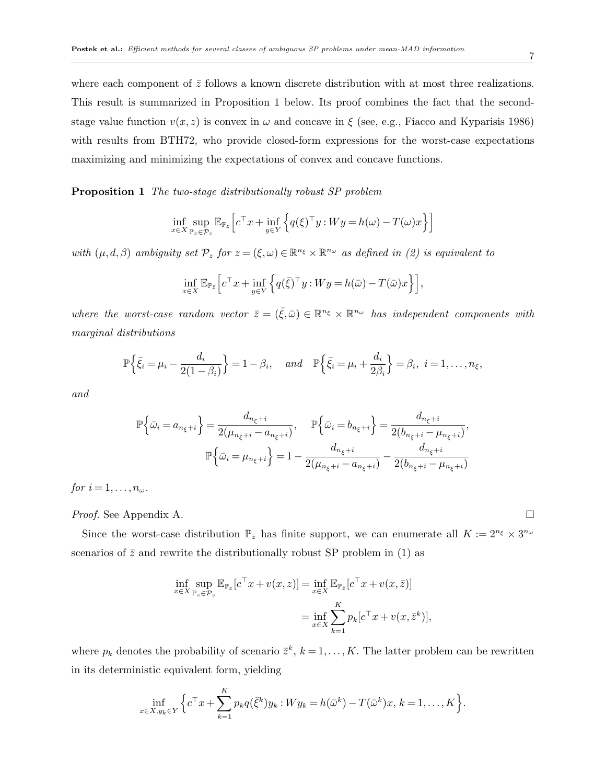where each component of  $\bar{z}$  follows a known discrete distribution with at most three realizations. This result is summarized in Proposition 1 below. Its proof combines the fact that the secondstage value function  $v(x, z)$  is convex in  $\omega$  and concave in  $\xi$  (see, e.g., Fiacco and Kyparisis 1986) with results from BTH72, who provide closed-form expressions for the worst-case expectations maximizing and minimizing the expectations of convex and concave functions.

Proposition 1 The two-stage distributionally robust SP problem

$$
\inf_{x \in X} \sup_{\mathbb{P}_z \in \mathcal{P}_z} \mathbb{E}_{\mathbb{P}_z} \left[ c^\top x + \inf_{y \in Y} \left\{ q(\xi)^\top y : W y = h(\omega) - T(\omega) x \right\} \right]
$$

with  $(\mu, d, \beta)$  ambiguity set  $\mathcal{P}_z$  for  $z = (\xi, \omega) \in \mathbb{R}^{n_{\xi}} \times \mathbb{R}^{n_{\omega}}$  as defined in (2) is equivalent to

$$
\inf_{x \in X} \mathbb{E}_{\mathbb{P}_{\bar{z}}} \Big[ c^\top x + \inf_{y \in Y} \Big\{ q(\bar{\xi})^\top y : W y = h(\bar{\omega}) - T(\bar{\omega})x \Big\} \Big],
$$

where the worst-case random vector  $\bar{z} = (\bar{\xi}, \bar{\omega}) \in \mathbb{R}^{n_{\xi}} \times \mathbb{R}^{n_{\omega}}$  has independent components with marginal distributions

$$
\mathbb{P}\Big\{\bar{\xi}_i=\mu_i-\frac{d_i}{2(1-\beta_i)}\Big\}=1-\beta_i,\quad and \quad \mathbb{P}\Big\{\bar{\xi}_i=\mu_i+\frac{d_i}{2\beta_i}\Big\}=\beta_i,\ \ i=1,\ldots,n_\xi,
$$

and

$$
\mathbb{P}\left\{\bar{\omega}_{i} = a_{n_{\xi}+i}\right\} = \frac{d_{n_{\xi}+i}}{2(\mu_{n_{\xi}+i} - a_{n_{\xi}+i})}, \quad \mathbb{P}\left\{\bar{\omega}_{i} = b_{n_{\xi}+i}\right\} = \frac{d_{n_{\xi}+i}}{2(b_{n_{\xi}+i} - \mu_{n_{\xi}+i})},
$$

$$
\mathbb{P}\left\{\bar{\omega}_{i} = \mu_{n_{\xi}+i}\right\} = 1 - \frac{d_{n_{\xi}+i}}{2(\mu_{n_{\xi}+i} - a_{n_{\xi}+i})} - \frac{d_{n_{\xi}+i}}{2(b_{n_{\xi}+i} - \mu_{n_{\xi}+i})}
$$

for  $i = 1, \ldots, n_{\omega}$ .

*Proof.* See Appendix A. □

Since the worst-case distribution  $\mathbb{P}_{\bar{z}}$  has finite support, we can enumerate all  $K := 2^{n_{\xi}} \times 3^{n_{\omega}}$ scenarios of  $\bar{z}$  and rewrite the distributionally robust SP problem in (1) as

$$
\inf_{x \in X} \sup_{\mathbb{P}_z \in \mathcal{P}_z} \mathbb{E}_{\mathbb{P}_z} [c^\top x + v(x, z)] = \inf_{x \in X} \mathbb{E}_{\mathbb{P}_{\bar{z}}} [c^\top x + v(x, \bar{z})]
$$

$$
= \inf_{x \in X} \sum_{k=1}^K p_k [c^\top x + v(x, \bar{z}^k)],
$$

where  $p_k$  denotes the probability of scenario  $\bar{z}^k$ ,  $k = 1, \ldots, K$ . The latter problem can be rewritten in its deterministic equivalent form, yielding

$$
\inf_{x \in X, y_k \in Y} \Big\{ c^\top x + \sum_{k=1}^K p_k q(\bar{\xi}^k) y_k : W y_k = h(\bar{\omega}^k) - T(\bar{\omega}^k) x, \, k = 1, \dots, K \Big\}.
$$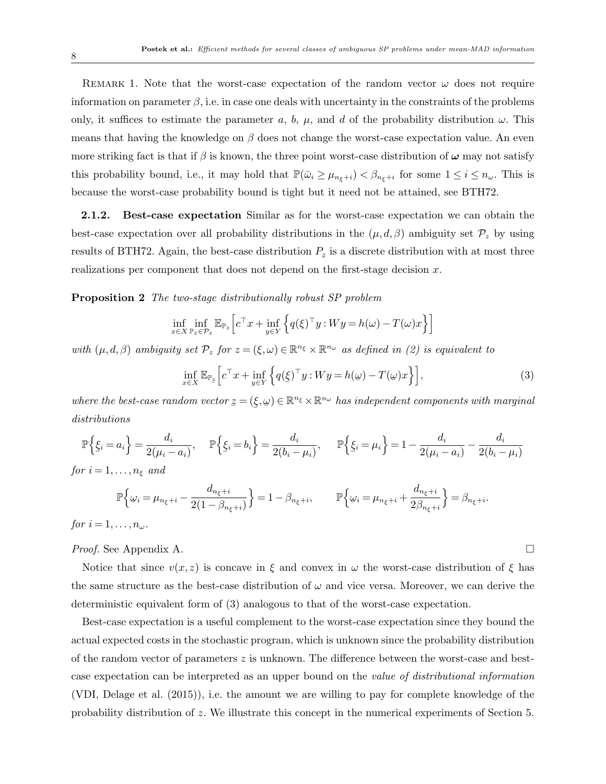REMARK 1. Note that the worst-case expectation of the random vector  $\omega$  does not require information on parameter  $\beta$ , i.e. in case one deals with uncertainty in the constraints of the problems only, it suffices to estimate the parameter a, b,  $\mu$ , and d of the probability distribution  $\omega$ . This means that having the knowledge on  $\beta$  does not change the worst-case expectation value. An even more striking fact is that if  $\beta$  is known, the three point worst-case distribution of  $\omega$  may not satisfy this probability bound, i.e., it may hold that  $\mathbb{P}(\bar{\omega}_i \geq \mu_{n_{\xi}+i}) < \beta_{n_{\xi}+i}$  for some  $1 \leq i \leq n_{\omega}$ . This is because the worst-case probability bound is tight but it need not be attained, see BTH72.

2.1.2. Best-case expectation Similar as for the worst-case expectation we can obtain the best-case expectation over all probability distributions in the  $(\mu, d, \beta)$  ambiguity set  $\mathcal{P}_z$  by using results of BTH72. Again, the best-case distribution  $P_z$  is a discrete distribution with at most three realizations per component that does not depend on the first-stage decision x.

**Proposition 2** The two-stage distributionally robust SP problem

$$
\inf_{x \in X} \inf_{\mathbb{P}_z \in \mathcal{P}_z} \mathbb{E}_{\mathbb{P}_z} \left[ c^\top x + \inf_{y \in Y} \left\{ q(\xi)^\top y : W y = h(\omega) - T(\omega) x \right\} \right]
$$

with  $(\mu, d, \beta)$  ambiguity set  $\mathcal{P}_z$  for  $z = (\xi, \omega) \in \mathbb{R}^{n_{\xi}} \times \mathbb{R}^{n_{\omega}}$  as defined in (2) is equivalent to

$$
\inf_{x \in X} \mathbb{E}_{\mathbb{P}_{z}} \left[ c^{\top} x + \inf_{y \in Y} \left\{ q(\xi)^{\top} y : W y = h(\omega) - T(\omega) x \right\} \right],\tag{3}
$$

.

where the best-case random vector  $z = ($ ¯  $(\xi, \omega) \in \mathbb{R}^{n_{\xi}} \times \mathbb{R}^{n_{\omega}}$  has independent components with marginal distributions

$$
\mathbb{P}\left\{\underline{\xi}_i = a_i\right\} = \frac{d_i}{2(\mu_i - a_i)}, \quad \mathbb{P}\left\{\underline{\xi}_i = b_i\right\} = \frac{d_i}{2(b_i - \mu_i)}, \quad \mathbb{P}\left\{\underline{\xi}_i = \mu_i\right\} = 1 - \frac{d_i}{2(\mu_i - a_i)} - \frac{d_i}{2(b_i - \mu_i)}
$$

for  $i = 1, \ldots, n_{\xi}$  and

$$
\mathbb{P}\Big\{\omega_i = \mu_{n_{\xi}+i} - \frac{d_{n_{\xi}+i}}{2(1-\beta_{n_{\xi}+i})}\Big\} = 1 - \beta_{n_{\xi}+i}, \qquad \mathbb{P}\Big\{\omega_i = \mu_{n_{\xi}+i} + \frac{d_{n_{\xi}+i}}{2\beta_{n_{\xi}+i}}\Big\} = \beta_{n_{\xi}+i}
$$

for  $i = 1, \ldots, n_{\omega}$ .

*Proof.* See Appendix A. □

Notice that since  $v(x, z)$  is concave in  $\xi$  and convex in  $\omega$  the worst-case distribution of  $\xi$  has the same structure as the best-case distribution of  $\omega$  and vice versa. Moreover, we can derive the deterministic equivalent form of (3) analogous to that of the worst-case expectation.

Best-case expectation is a useful complement to the worst-case expectation since they bound the actual expected costs in the stochastic program, which is unknown since the probability distribution of the random vector of parameters z is unknown. The difference between the worst-case and bestcase expectation can be interpreted as an upper bound on the value of distributional information (VDI, Delage et al. (2015)), i.e. the amount we are willing to pay for complete knowledge of the probability distribution of z. We illustrate this concept in the numerical experiments of Section 5.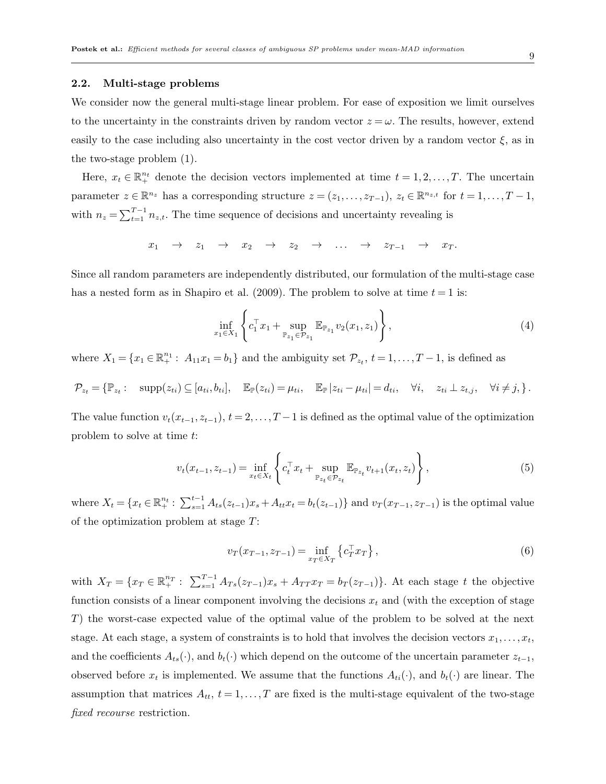#### 2.2. Multi-stage problems

We consider now the general multi-stage linear problem. For ease of exposition we limit ourselves to the uncertainty in the constraints driven by random vector  $z = \omega$ . The results, however, extend easily to the case including also uncertainty in the cost vector driven by a random vector  $\xi$ , as in the two-stage problem (1).

Here,  $x_t \in \mathbb{R}^{n_t}$  denote the decision vectors implemented at time  $t = 1, 2, ..., T$ . The uncertain parameter  $z \in \mathbb{R}^{n_z}$  has a corresponding structure  $z = (z_1, \ldots, z_{T-1}), z_t \in \mathbb{R}^{n_{z,t}}$  for  $t = 1, \ldots, T-1$ , with  $n_z = \sum_{t=1}^{T-1} n_{z,t}$ . The time sequence of decisions and uncertainty revealing is

$$
x_1 \rightarrow z_1 \rightarrow x_2 \rightarrow z_2 \rightarrow \ldots \rightarrow z_{T-1} \rightarrow x_T.
$$

Since all random parameters are independently distributed, our formulation of the multi-stage case has a nested form as in Shapiro et al. (2009). The problem to solve at time  $t = 1$  is:

$$
\inf_{x_1 \in X_1} \left\{ c_1^\top x_1 + \sup_{\mathbb{P}_{z_1} \in \mathcal{P}_{z_1}} \mathbb{E}_{\mathbb{P}_{z_1}} v_2(x_1, z_1) \right\},\tag{4}
$$

where  $X_1 = \{x_1 \in \mathbb{R}_+^{n_1} : A_{11}x_1 = b_1\}$  and the ambiguity set  $\mathcal{P}_{z_t}$ ,  $t = 1, \ldots, T-1$ , is defined as

$$
\mathcal{P}_{z_t} = \{ \mathbb{P}_{z_t} : \operatorname{supp}(z_{ti}) \subseteq [a_{ti}, b_{ti}], \mathbb{E}_{\mathbb{P}}(z_{ti}) = \mu_{ti}, \mathbb{E}_{\mathbb{P}} |z_{ti} - \mu_{ti}| = d_{ti}, \forall i, z_{ti} \perp z_{t,j}, \forall i \neq j, \}.
$$

The value function  $v_t(x_{t-1}, z_{t-1}), t = 2, \ldots, T-1$  is defined as the optimal value of the optimization problem to solve at time t:

$$
v_t(x_{t-1}, z_{t-1}) = \inf_{x_t \in X_t} \left\{ c_t^\top x_t + \sup_{\mathbb{P}_{z_t} \in \mathcal{P}_{z_t}} \mathbb{E}_{\mathbb{P}_{z_t}} v_{t+1}(x_t, z_t) \right\},\tag{5}
$$

where  $X_t = \{x_t \in \mathbb{R}^{n_t}_+ : \sum_{s=1}^{t-1} A_{ts}(z_{t-1})x_s + A_{tt}x_t = b_t(z_{t-1})\}$  and  $v_T(x_{T-1}, z_{T-1})$  is the optimal value of the optimization problem at stage T:

$$
v_T(x_{T-1}, z_{T-1}) = \inf_{x_T \in X_T} \left\{ c_T^\top x_T \right\},\tag{6}
$$

with  $X_T = \{x_T \in \mathbb{R}^{n_T}_+ : \sum_{s=1}^{T-1} A_{Ts}(z_{T-1})x_s + A_{TT}x_T = b_T(z_{T-1})\}\.$  At each stage t the objective function consists of a linear component involving the decisions  $x_t$  and (with the exception of stage T) the worst-case expected value of the optimal value of the problem to be solved at the next stage. At each stage, a system of constraints is to hold that involves the decision vectors  $x_1, \ldots, x_t$ , and the coefficients  $A_{ts}(\cdot)$ , and  $b_t(\cdot)$  which depend on the outcome of the uncertain parameter  $z_{t-1}$ , observed before  $x_t$  is implemented. We assume that the functions  $A_{ti}(\cdot)$ , and  $b_t(\cdot)$  are linear. The assumption that matrices  $A_{tt}$ ,  $t = 1, \ldots, T$  are fixed is the multi-stage equivalent of the two-stage fixed recourse restriction.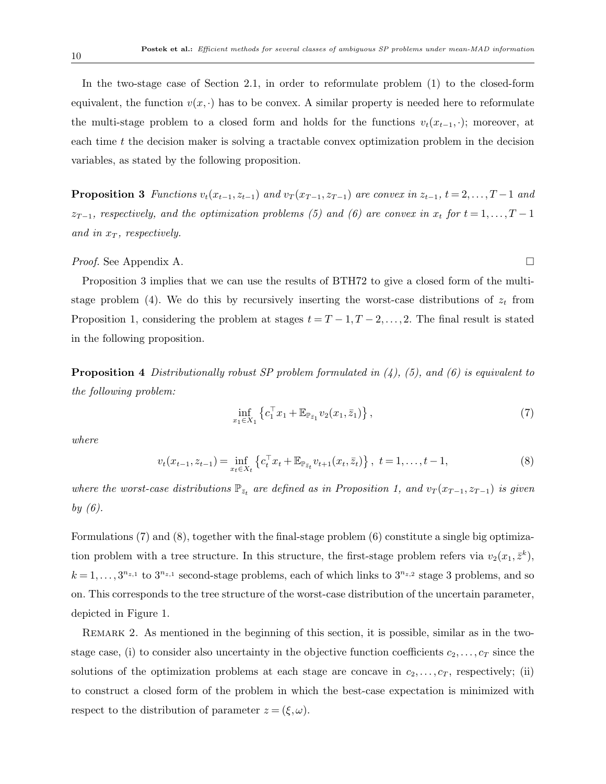In the two-stage case of Section 2.1, in order to reformulate problem (1) to the closed-form equivalent, the function  $v(x, \cdot)$  has to be convex. A similar property is needed here to reformulate the multi-stage problem to a closed form and holds for the functions  $v_t(x_{t-1}, \cdot)$ ; moreover, at each time  $t$  the decision maker is solving a tractable convex optimization problem in the decision variables, as stated by the following proposition.

**Proposition 3** Functions  $v_t(x_{t-1}, z_{t-1})$  and  $v_T(x_{T-1}, z_{T-1})$  are convex in  $z_{t-1}$ ,  $t = 2, \ldots, T-1$  and  $z_{T-1}$ , respectively, and the optimization problems (5) and (6) are convex in  $x_t$  for  $t = 1, \ldots, T-1$ and in  $x_T$ , respectively.

#### *Proof.* See Appendix A. □

Proposition 3 implies that we can use the results of BTH72 to give a closed form of the multistage problem (4). We do this by recursively inserting the worst-case distributions of  $z_t$  from Proposition 1, considering the problem at stages  $t = T - 1, T - 2, \ldots, 2$ . The final result is stated in the following proposition.

**Proposition 4** Distributionally robust SP problem formulated in  $(4)$ ,  $(5)$ , and  $(6)$  is equivalent to the following problem:

$$
\inf_{x_1 \in X_1} \left\{ c_1^\top x_1 + \mathbb{E}_{\mathbb{P}_{\bar{z}_1}} v_2(x_1, \bar{z}_1) \right\},\tag{7}
$$

where

$$
v_t(x_{t-1}, z_{t-1}) = \inf_{x_t \in X_t} \left\{ c_t^\top x_t + \mathbb{E}_{\mathbb{P}_{\bar{z}_t}} v_{t+1}(x_t, \bar{z}_t) \right\}, \ t = 1, \dots, t-1,
$$
\n(8)

where the worst-case distributions  $\mathbb{P}_{\bar{z}_t}$  are defined as in Proposition 1, and  $v_T(x_{T-1}, z_{T-1})$  is given by  $(6)$ .

Formulations (7) and (8), together with the final-stage problem (6) constitute a single big optimization problem with a tree structure. In this structure, the first-stage problem refers via  $v_2(x_1, \bar{z}^k)$ ,  $k = 1, \ldots, 3^{n_{z,1}}$  to  $3^{n_{z,1}}$  second-stage problems, each of which links to  $3^{n_{z,2}}$  stage 3 problems, and so on. This corresponds to the tree structure of the worst-case distribution of the uncertain parameter, depicted in Figure 1.

REMARK 2. As mentioned in the beginning of this section, it is possible, similar as in the twostage case, (i) to consider also uncertainty in the objective function coefficients  $c_2, \ldots, c_T$  since the solutions of the optimization problems at each stage are concave in  $c_2,\ldots,c_T$ , respectively; (ii) to construct a closed form of the problem in which the best-case expectation is minimized with respect to the distribution of parameter  $z = (\xi, \omega)$ .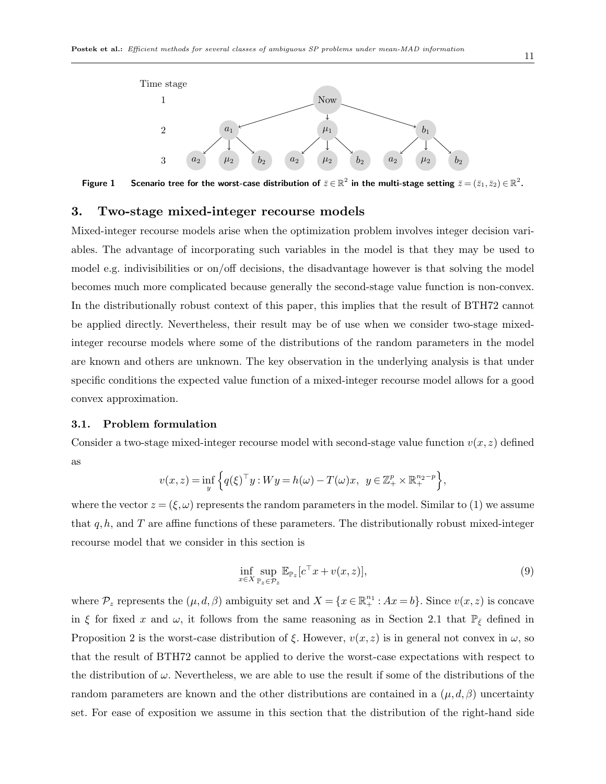

Figure 1 Scenario tree for the worst-case distribution of  $\bar{z}\in\mathbb{R}^2$  in the multi-stage setting  $\bar{z}=(\bar{z}_1,\bar{z}_2)\in\mathbb{R}^2$ .

## 3. Two-stage mixed-integer recourse models

Mixed-integer recourse models arise when the optimization problem involves integer decision variables. The advantage of incorporating such variables in the model is that they may be used to model e.g. indivisibilities or on/off decisions, the disadvantage however is that solving the model becomes much more complicated because generally the second-stage value function is non-convex. In the distributionally robust context of this paper, this implies that the result of BTH72 cannot be applied directly. Nevertheless, their result may be of use when we consider two-stage mixedinteger recourse models where some of the distributions of the random parameters in the model are known and others are unknown. The key observation in the underlying analysis is that under specific conditions the expected value function of a mixed-integer recourse model allows for a good convex approximation.

#### 3.1. Problem formulation

Consider a two-stage mixed-integer recourse model with second-stage value function  $v(x, z)$  defined as

$$
v(x, z) = \inf_{y} \left\{ q(\xi)^{\top} y : W y = h(\omega) - T(\omega)x, \ y \in \mathbb{Z}_{+}^{p} \times \mathbb{R}_{+}^{n_{2} - p} \right\},\
$$

where the vector  $z = (\xi, \omega)$  represents the random parameters in the model. Similar to (1) we assume that  $q, h$ , and T are affine functions of these parameters. The distributionally robust mixed-integer recourse model that we consider in this section is

$$
\inf_{x \in X} \sup_{\mathbb{P}_z \in \mathcal{P}_z} \mathbb{E}_{\mathbb{P}_z} [c^\top x + v(x, z)],\tag{9}
$$

where  $\mathcal{P}_z$  represents the  $(\mu, d, \beta)$  ambiguity set and  $X = \{x \in \mathbb{R}^{n_1}_+ : Ax = b\}$ . Since  $v(x, z)$  is concave in ξ for fixed x and  $\omega$ , it follows from the same reasoning as in Section 2.1 that  $\mathbb{P}_{\bar{\xi}}$  defined in Proposition 2 is the worst-case distribution of  $\xi$ . However,  $v(x, z)$  is in general not convex in  $\omega$ , so that the result of BTH72 cannot be applied to derive the worst-case expectations with respect to the distribution of  $\omega$ . Nevertheless, we are able to use the result if some of the distributions of the random parameters are known and the other distributions are contained in a  $(\mu, d, \beta)$  uncertainty set. For ease of exposition we assume in this section that the distribution of the right-hand side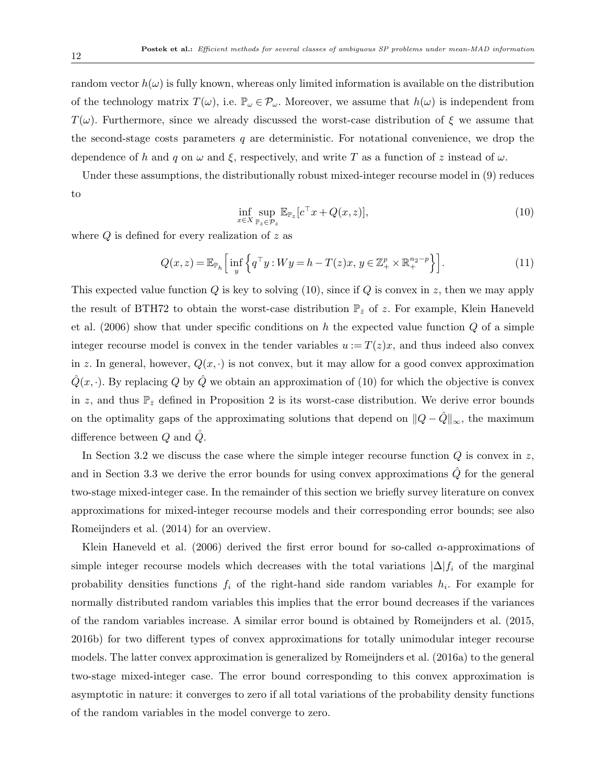random vector  $h(\omega)$  is fully known, whereas only limited information is available on the distribution of the technology matrix  $T(\omega)$ , i.e.  $\mathbb{P}_{\omega} \in \mathcal{P}_{\omega}$ . Moreover, we assume that  $h(\omega)$  is independent from  $T(\omega)$ . Furthermore, since we already discussed the worst-case distribution of  $\xi$  we assume that the second-stage costs parameters  $q$  are deterministic. For notational convenience, we drop the dependence of h and q on  $\omega$  and  $\xi$ , respectively, and write T as a function of z instead of  $\omega$ .

Under these assumptions, the distributionally robust mixed-integer recourse model in (9) reduces to

$$
\inf_{x \in X} \sup_{\mathbb{P}_z \in \mathcal{P}_z} \mathbb{E}_{\mathbb{P}_z} [c^\top x + Q(x, z)],\tag{10}
$$

where  $Q$  is defined for every realization of  $z$  as

$$
Q(x,z) = \mathbb{E}_{\mathbb{P}_h} \Big[ \inf_y \Big\{ q^\top y : Wy = h - T(z)x, \, y \in \mathbb{Z}_+^p \times \mathbb{R}_+^{n_2 - p} \Big\} \Big]. \tag{11}
$$

This expected value function  $Q$  is key to solving (10), since if  $Q$  is convex in z, then we may apply the result of BTH72 to obtain the worst-case distribution  $\mathbb{P}_{\bar{z}}$  of z. For example, Klein Haneveld et al.  $(2006)$  show that under specific conditions on h the expected value function Q of a simple integer recourse model is convex in the tender variables  $u := T(z)x$ , and thus indeed also convex in z. In general, however,  $Q(x, \cdot)$  is not convex, but it may allow for a good convex approximation  $\hat{Q}(x, \cdot)$ . By replacing Q by  $\hat{Q}$  we obtain an approximation of (10) for which the objective is convex in z, and thus  $\mathbb{P}_{\bar{z}}$  defined in Proposition 2 is its worst-case distribution. We derive error bounds on the optimality gaps of the approximating solutions that depend on  $||Q - \hat{Q}||_{\infty}$ , the maximum difference between  $Q$  and  $Q$ .

In Section 3.2 we discuss the case where the simple integer recourse function  $Q$  is convex in z, and in Section 3.3 we derive the error bounds for using convex approximations  $\hat{Q}$  for the general two-stage mixed-integer case. In the remainder of this section we briefly survey literature on convex approximations for mixed-integer recourse models and their corresponding error bounds; see also Romeijnders et al. (2014) for an overview.

Klein Haneveld et al. (2006) derived the first error bound for so-called  $\alpha$ -approximations of simple integer recourse models which decreases with the total variations  $|\Delta|f_i$  of the marginal probability densities functions  $f_i$  of the right-hand side random variables  $h_i$ . For example for normally distributed random variables this implies that the error bound decreases if the variances of the random variables increase. A similar error bound is obtained by Romeijnders et al. (2015, 2016b) for two different types of convex approximations for totally unimodular integer recourse models. The latter convex approximation is generalized by Romeijnders et al. (2016a) to the general two-stage mixed-integer case. The error bound corresponding to this convex approximation is asymptotic in nature: it converges to zero if all total variations of the probability density functions of the random variables in the model converge to zero.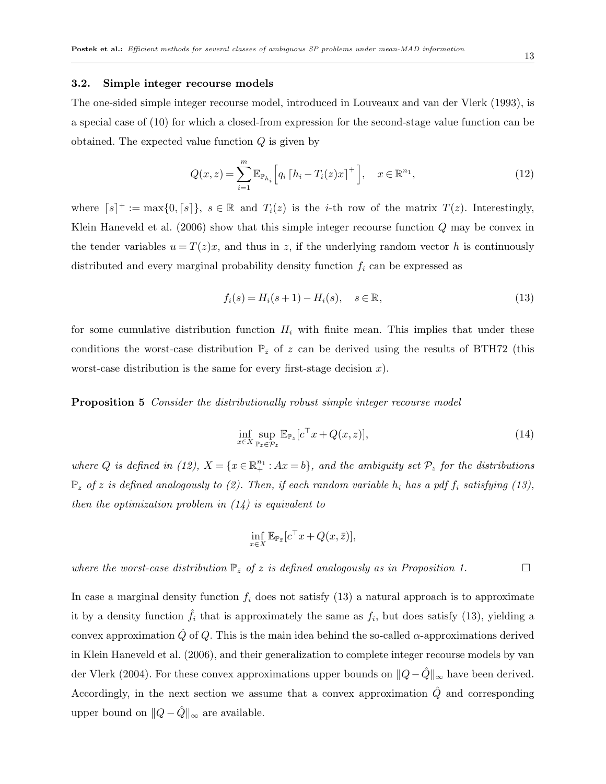#### 3.2. Simple integer recourse models

The one-sided simple integer recourse model, introduced in Louveaux and van der Vlerk (1993), is a special case of (10) for which a closed-from expression for the second-stage value function can be obtained. The expected value function  $Q$  is given by

$$
Q(x, z) = \sum_{i=1}^{m} \mathbb{E}_{\mathbb{P}_{h_i}} \Big[ q_i \left[ h_i - T_i(z) x \right]^+ \Big], \quad x \in \mathbb{R}^{n_1}, \tag{12}
$$

where  $[s]^+ := \max\{0, [s]\}, s \in \mathbb{R}$  and  $T_i(z)$  is the *i*-th row of the matrix  $T(z)$ . Interestingly, Klein Haneveld et al. (2006) show that this simple integer recourse function Q may be convex in the tender variables  $u = T(z)x$ , and thus in z, if the underlying random vector h is continuously distributed and every marginal probability density function  $f_i$  can be expressed as

$$
f_i(s) = H_i(s+1) - H_i(s), \quad s \in \mathbb{R},
$$
\n(13)

for some cumulative distribution function  $H_i$  with finite mean. This implies that under these conditions the worst-case distribution  $\mathbb{P}_{\bar{z}}$  of z can be derived using the results of BTH72 (this worst-case distribution is the same for every first-stage decision  $x$ ).

Proposition 5 Consider the distributionally robust simple integer recourse model

$$
\inf_{x \in X} \sup_{\mathbb{P}_z \in \mathcal{P}_z} \mathbb{E}_{\mathbb{P}_z} [c^\top x + Q(x, z)],\tag{14}
$$

where Q is defined in (12),  $X = \{x \in \mathbb{R}^{n_1}_+ : Ax = b\}$ , and the ambiguity set  $\mathcal{P}_z$  for the distributions  $\mathbb{P}_z$  of z is defined analogously to (2). Then, if each random variable  $h_i$  has a pdf  $f_i$  satisfying (13), then the optimization problem in  $(14)$  is equivalent to

$$
\inf_{x \in X} \mathbb{E}_{\mathbb{P}_{\bar{z}}}[c^{\top}x + Q(x,\bar{z})],
$$

where the worst-case distribution  $\mathbb{P}_{\bar{z}}$  of z is defined analogously as in Proposition 1.

In case a marginal density function  $f_i$  does not satisfy (13) a natural approach is to approximate it by a density function  $\hat{f}_i$  that is approximately the same as  $f_i$ , but does satisfy (13), yielding a convex approximation  $\hat{Q}$  of  $Q$ . This is the main idea behind the so-called  $\alpha$ -approximations derived in Klein Haneveld et al. (2006), and their generalization to complete integer recourse models by van der Vlerk (2004). For these convex approximations upper bounds on  $||Q-\hat{Q}||_{\infty}$  have been derived. Accordingly, in the next section we assume that a convex approximation  $\hat{Q}$  and corresponding upper bound on  $||Q - \hat{Q}||_{\infty}$  are available.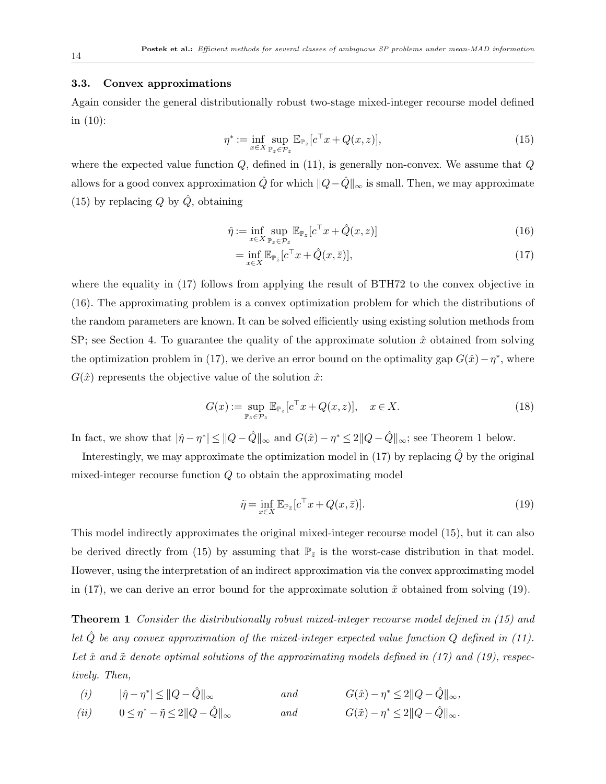#### 3.3. Convex approximations

Again consider the general distributionally robust two-stage mixed-integer recourse model defined in (10):

$$
\eta^* := \inf_{x \in X} \sup_{\mathbb{P}_z \in \mathcal{P}_z} \mathbb{E}_{\mathbb{P}_z} [c^\top x + Q(x, z)],\tag{15}
$$

where the expected value function  $Q$ , defined in  $(11)$ , is generally non-convex. We assume that  $Q$ allows for a good convex approximation  $\hat{Q}$  for which  $||Q-\hat{Q}||_{\infty}$  is small. Then, we may approximate (15) by replacing  $Q$  by  $\hat{Q}$ , obtaining

$$
\hat{\eta} := \inf_{x \in X} \sup_{\mathbb{P}_z \in \mathcal{P}_z} \mathbb{E}_{\mathbb{P}_z} [c^\top x + \hat{Q}(x, z)] \tag{16}
$$

$$
= \inf_{x \in X} \mathbb{E}_{\mathbb{P}_{\bar{z}}}[c^{\top}x + \hat{Q}(x,\bar{z})],\tag{17}
$$

where the equality in (17) follows from applying the result of BTH72 to the convex objective in (16). The approximating problem is a convex optimization problem for which the distributions of the random parameters are known. It can be solved efficiently using existing solution methods from SP; see Section 4. To guarantee the quality of the approximate solution  $\hat{x}$  obtained from solving the optimization problem in (17), we derive an error bound on the optimality gap  $G(\hat{x}) - \eta^*$ , where  $G(\hat{x})$  represents the objective value of the solution  $\hat{x}$ :

$$
G(x) := \sup_{\mathbb{P}_z \in \mathcal{P}_z} \mathbb{E}_{\mathbb{P}_z} [c^\top x + Q(x, z)], \quad x \in X. \tag{18}
$$

In fact, we show that  $|\hat{\eta} - \eta^*| \leq ||Q - \hat{Q}||_{\infty}$  and  $G(\hat{x}) - \eta^* \leq 2||Q - \hat{Q}||_{\infty}$ ; see Theorem 1 below.

Interestingly, we may approximate the optimization model in (17) by replacing  $\hat{Q}$  by the original mixed-integer recourse function Q to obtain the approximating model

$$
\tilde{\eta} = \inf_{x \in X} \mathbb{E}_{\mathbb{P}_{\bar{z}}}[c^{\top}x + Q(x, \bar{z})]. \tag{19}
$$

This model indirectly approximates the original mixed-integer recourse model (15), but it can also be derived directly from (15) by assuming that  $\mathbb{P}_{\bar{z}}$  is the worst-case distribution in that model. However, using the interpretation of an indirect approximation via the convex approximating model in (17), we can derive an error bound for the approximate solution  $\tilde{x}$  obtained from solving (19).

Theorem 1 Consider the distributionally robust mixed-integer recourse model defined in (15) and let  $\hat{Q}$  be any convex approximation of the mixed-integer expected value function  $Q$  defined in (11). Let  $\hat{x}$  and  $\tilde{x}$  denote optimal solutions of the approximating models defined in (17) and (19), respectively. Then,

(i) 
$$
|\hat{\eta} - \eta^*| \le ||Q - \hat{Q}||_{\infty}
$$
 and  $G(\hat{x}) - \eta^* \le 2||Q - \hat{Q}||_{\infty}$ ,  
\n(ii)  $0 \le \eta^* - \tilde{\eta} \le 2||Q - \hat{Q}||_{\infty}$  and  $G(\tilde{x}) - \eta^* \le 2||Q - \hat{Q}||_{\infty}$ .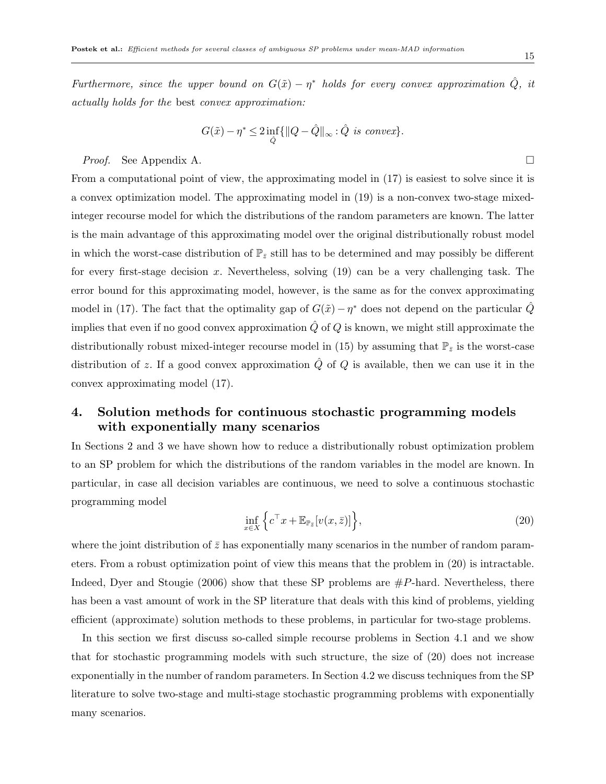Furthermore, since the upper bound on  $G(\tilde{x}) - \eta^*$  holds for every convex approximation  $\hat{Q}$ , it actually holds for the best convex approximation:

$$
G(\tilde{x}) - \eta^* \le 2 \inf_{\hat{Q}} \{ ||Q - \hat{Q}||_{\infty} : \hat{Q} \text{ is convex} \}.
$$

*Proof.* See Appendix A.

From a computational point of view, the approximating model in (17) is easiest to solve since it is a convex optimization model. The approximating model in (19) is a non-convex two-stage mixedinteger recourse model for which the distributions of the random parameters are known. The latter is the main advantage of this approximating model over the original distributionally robust model in which the worst-case distribution of  $\mathbb{P}_{\bar{z}}$  still has to be determined and may possibly be different for every first-stage decision x. Nevertheless, solving  $(19)$  can be a very challenging task. The error bound for this approximating model, however, is the same as for the convex approximating model in (17). The fact that the optimality gap of  $G(\tilde{x}) - \eta^*$  does not depend on the particular  $\hat{Q}$ implies that even if no good convex approximation  $\hat{Q}$  of  $Q$  is known, we might still approximate the distributionally robust mixed-integer recourse model in (15) by assuming that  $\mathbb{P}_{\bar{z}}$  is the worst-case distribution of z. If a good convex approximation  $\hat{Q}$  of  $Q$  is available, then we can use it in the convex approximating model (17).

## 4. Solution methods for continuous stochastic programming models with exponentially many scenarios

In Sections 2 and 3 we have shown how to reduce a distributionally robust optimization problem to an SP problem for which the distributions of the random variables in the model are known. In particular, in case all decision variables are continuous, we need to solve a continuous stochastic programming model

$$
\inf_{x \in X} \left\{ c^\top x + \mathbb{E}_{\mathbb{P}_{\bar{z}}} [v(x, \bar{z})] \right\},\tag{20}
$$

where the joint distribution of  $\bar{z}$  has exponentially many scenarios in the number of random parameters. From a robust optimization point of view this means that the problem in (20) is intractable. Indeed, Dyer and Stougie (2006) show that these SP problems are  $\#P$ -hard. Nevertheless, there has been a vast amount of work in the SP literature that deals with this kind of problems, yielding efficient (approximate) solution methods to these problems, in particular for two-stage problems.

In this section we first discuss so-called simple recourse problems in Section 4.1 and we show that for stochastic programming models with such structure, the size of (20) does not increase exponentially in the number of random parameters. In Section 4.2 we discuss techniques from the SP literature to solve two-stage and multi-stage stochastic programming problems with exponentially many scenarios.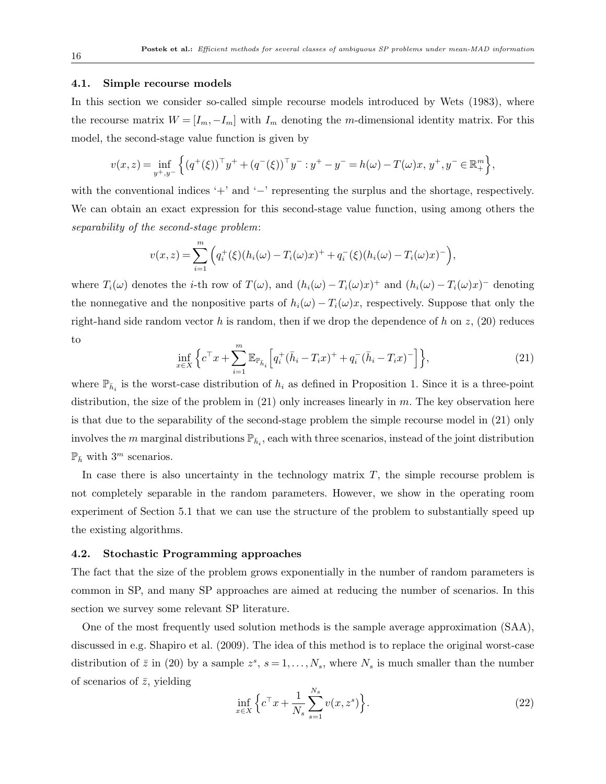#### 4.1. Simple recourse models

In this section we consider so-called simple recourse models introduced by Wets (1983), where the recourse matrix  $W = [I_m, -I_m]$  with  $I_m$  denoting the m-dimensional identity matrix. For this model, the second-stage value function is given by

$$
v(x,z) = \inf_{y^+,y^-} \left\{ (q^+(\xi))^{\top} y^+ + (q^-(\xi))^{\top} y^- : y^+ - y^- = h(\omega) - T(\omega)x, y^+, y^- \in \mathbb{R}^m_+ \right\},\
$$

with the conventional indices '+' and '−' representing the surplus and the shortage, respectively. We can obtain an exact expression for this second-stage value function, using among others the separability of the second-stage problem:

$$
v(x, z) = \sum_{i=1}^{m} \left( q_i^{+}(\xi)(h_i(\omega) - T_i(\omega)x)^{+} + q_i^{-}(\xi)(h_i(\omega) - T_i(\omega)x)^{-} \right),
$$

where  $T_i(\omega)$  denotes the *i*-th row of  $T(\omega)$ , and  $(h_i(\omega) - T_i(\omega)x)^+$  and  $(h_i(\omega) - T_i(\omega)x)^-$  denoting the nonnegative and the nonpositive parts of  $h_i(\omega) - T_i(\omega)x$ , respectively. Suppose that only the right-hand side random vector h is random, then if we drop the dependence of h on z,  $(20)$  reduces to

$$
\inf_{x \in X} \left\{ c^{\top} x + \sum_{i=1}^{m} \mathbb{E}_{\mathbb{P}_{\bar{h}_i}} \left[ q_i^+(\bar{h}_i - T_i x)^+ + q_i^-(\bar{h}_i - T_i x)^- \right] \right\},\tag{21}
$$

where  $\mathbb{P}_{\bar{h}_i}$  is the worst-case distribution of  $h_i$  as defined in Proposition 1. Since it is a three-point distribution, the size of the problem in  $(21)$  only increases linearly in m. The key observation here is that due to the separability of the second-stage problem the simple recourse model in (21) only involves the m marginal distributions  $\mathbb{P}_{h_i}$ , each with three scenarios, instead of the joint distribution  $\mathbb{P}_{\bar{h}}$  with 3<sup>m</sup> scenarios.

In case there is also uncertainty in the technology matrix  $T$ , the simple recourse problem is not completely separable in the random parameters. However, we show in the operating room experiment of Section 5.1 that we can use the structure of the problem to substantially speed up the existing algorithms.

#### 4.2. Stochastic Programming approaches

The fact that the size of the problem grows exponentially in the number of random parameters is common in SP, and many SP approaches are aimed at reducing the number of scenarios. In this section we survey some relevant SP literature.

One of the most frequently used solution methods is the sample average approximation (SAA), discussed in e.g. Shapiro et al. (2009). The idea of this method is to replace the original worst-case distribution of  $\bar{z}$  in (20) by a sample  $z^s$ ,  $s = 1, \ldots, N_s$ , where  $N_s$  is much smaller than the number of scenarios of  $\bar{z}$ , yielding

$$
\inf_{x \in X} \left\{ c^{\top} x + \frac{1}{N_s} \sum_{s=1}^{N_s} v(x, z^s) \right\}.
$$
 (22)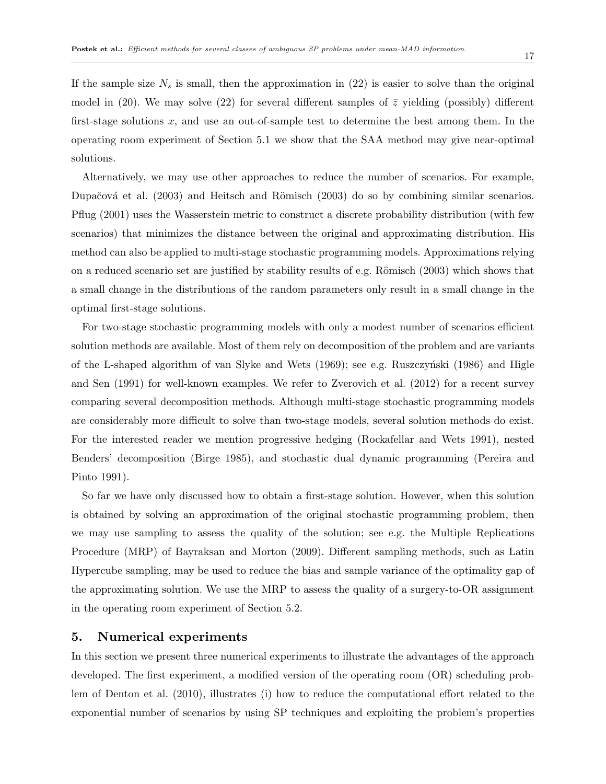If the sample size  $N_s$  is small, then the approximation in (22) is easier to solve than the original model in (20). We may solve (22) for several different samples of  $\bar{z}$  yielding (possibly) different first-stage solutions x, and use an out-of-sample test to determine the best among them. In the operating room experiment of Section 5.1 we show that the SAA method may give near-optimal solutions.

Alternatively, we may use other approaches to reduce the number of scenarios. For example, Dupačová et al. (2003) and Heitsch and Römisch (2003) do so by combining similar scenarios. Pflug (2001) uses the Wasserstein metric to construct a discrete probability distribution (with few scenarios) that minimizes the distance between the original and approximating distribution. His method can also be applied to multi-stage stochastic programming models. Approximations relying on a reduced scenario set are justified by stability results of e.g. Römisch (2003) which shows that a small change in the distributions of the random parameters only result in a small change in the optimal first-stage solutions.

For two-stage stochastic programming models with only a modest number of scenarios efficient solution methods are available. Most of them rely on decomposition of the problem and are variants of the L-shaped algorithm of van Slyke and Wets  $(1969)$ ; see e.g. Ruszczyński  $(1986)$  and Higle and Sen (1991) for well-known examples. We refer to Zverovich et al. (2012) for a recent survey comparing several decomposition methods. Although multi-stage stochastic programming models are considerably more difficult to solve than two-stage models, several solution methods do exist. For the interested reader we mention progressive hedging (Rockafellar and Wets 1991), nested Benders' decomposition (Birge 1985), and stochastic dual dynamic programming (Pereira and Pinto 1991).

So far we have only discussed how to obtain a first-stage solution. However, when this solution is obtained by solving an approximation of the original stochastic programming problem, then we may use sampling to assess the quality of the solution; see e.g. the Multiple Replications Procedure (MRP) of Bayraksan and Morton (2009). Different sampling methods, such as Latin Hypercube sampling, may be used to reduce the bias and sample variance of the optimality gap of the approximating solution. We use the MRP to assess the quality of a surgery-to-OR assignment in the operating room experiment of Section 5.2.

## 5. Numerical experiments

In this section we present three numerical experiments to illustrate the advantages of the approach developed. The first experiment, a modified version of the operating room (OR) scheduling problem of Denton et al. (2010), illustrates (i) how to reduce the computational effort related to the exponential number of scenarios by using SP techniques and exploiting the problem's properties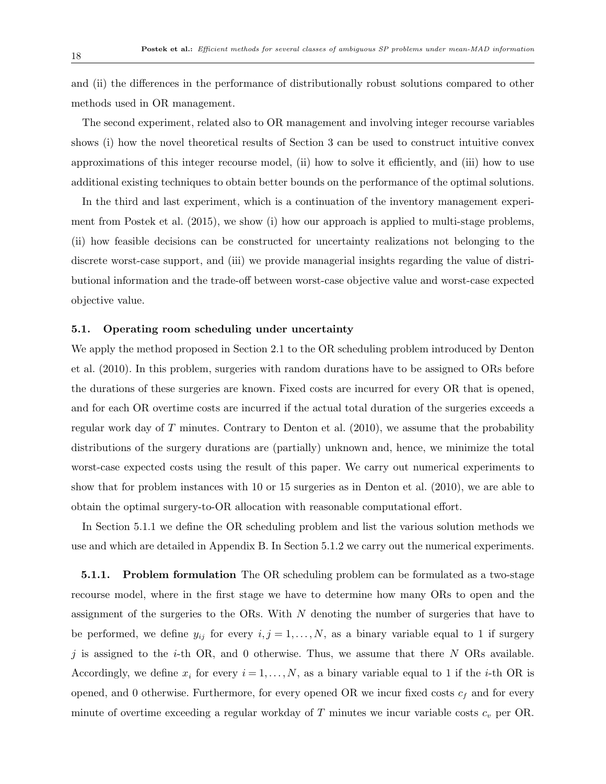and (ii) the differences in the performance of distributionally robust solutions compared to other methods used in OR management.

The second experiment, related also to OR management and involving integer recourse variables shows (i) how the novel theoretical results of Section 3 can be used to construct intuitive convex approximations of this integer recourse model, (ii) how to solve it efficiently, and (iii) how to use additional existing techniques to obtain better bounds on the performance of the optimal solutions.

In the third and last experiment, which is a continuation of the inventory management experiment from Postek et al. (2015), we show (i) how our approach is applied to multi-stage problems, (ii) how feasible decisions can be constructed for uncertainty realizations not belonging to the discrete worst-case support, and (iii) we provide managerial insights regarding the value of distributional information and the trade-off between worst-case objective value and worst-case expected objective value.

#### 5.1. Operating room scheduling under uncertainty

We apply the method proposed in Section 2.1 to the OR scheduling problem introduced by Denton et al. (2010). In this problem, surgeries with random durations have to be assigned to ORs before the durations of these surgeries are known. Fixed costs are incurred for every OR that is opened, and for each OR overtime costs are incurred if the actual total duration of the surgeries exceeds a regular work day of T minutes. Contrary to Denton et al. (2010), we assume that the probability distributions of the surgery durations are (partially) unknown and, hence, we minimize the total worst-case expected costs using the result of this paper. We carry out numerical experiments to show that for problem instances with 10 or 15 surgeries as in Denton et al. (2010), we are able to obtain the optimal surgery-to-OR allocation with reasonable computational effort.

In Section 5.1.1 we define the OR scheduling problem and list the various solution methods we use and which are detailed in Appendix B. In Section 5.1.2 we carry out the numerical experiments.

5.1.1. Problem formulation The OR scheduling problem can be formulated as a two-stage recourse model, where in the first stage we have to determine how many ORs to open and the assignment of the surgeries to the ORs. With  $N$  denoting the number of surgeries that have to be performed, we define  $y_{ij}$  for every  $i, j = 1, \ldots, N$ , as a binary variable equal to 1 if surgery j is assigned to the *i*-th OR, and 0 otherwise. Thus, we assume that there  $N$  ORs available. Accordingly, we define  $x_i$  for every  $i = 1, \ldots, N$ , as a binary variable equal to 1 if the *i*-th OR is opened, and 0 otherwise. Furthermore, for every opened OR we incur fixed costs  $c_f$  and for every minute of overtime exceeding a regular workday of  $T$  minutes we incur variable costs  $c_v$  per OR.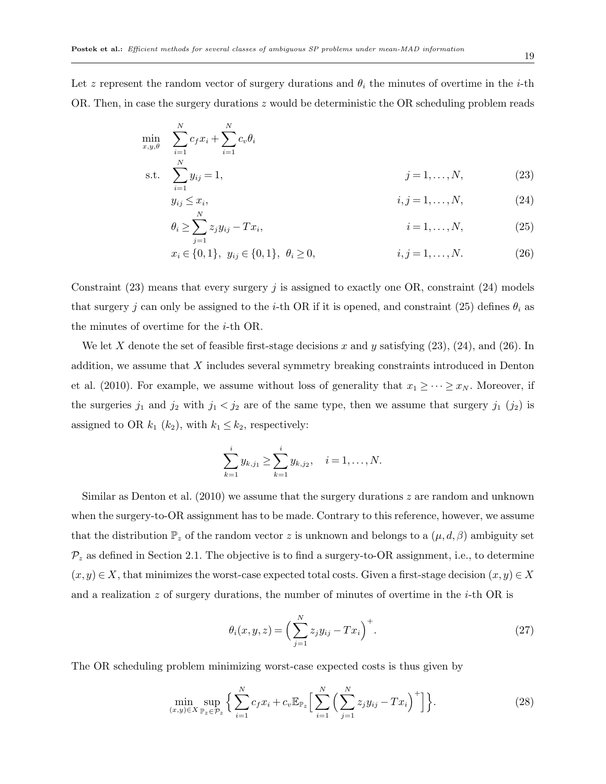Let z represent the random vector of surgery durations and  $\theta_i$  the minutes of overtime in the *i*-th OR. Then, in case the surgery durations z would be deterministic the OR scheduling problem reads

$$
\min_{x,y,\theta} \sum_{i=1}^{N} c_f x_i + \sum_{i=1}^{N} c_v \theta_i
$$
\n
$$
\text{s.t.} \sum_{i=1}^{N} y_{ij} = 1, \qquad j = 1, \dots, N,\tag{23}
$$

$$
y_{ij} \leq x_i, \qquad i, j = 1, \dots, N,
$$
\n
$$
\theta_i \geq \sum_{j}^{N} z_j y_{ij} - Tx_i, \qquad i = 1, \dots, N,
$$
\n(24)

$$
\overline{j=1}
$$
  
  $x_i \in \{0, 1\}, \ y_{ij} \in \{0, 1\}, \ \theta_i \ge 0,$   $i, j = 1, ..., N.$  (26)

Constraint  $(23)$  means that every surgery j is assigned to exactly one OR, constraint  $(24)$  models that surgery j can only be assigned to the i-th OR if it is opened, and constraint (25) defines  $\theta_i$  as the minutes of overtime for the i-th OR.

We let X denote the set of feasible first-stage decisions x and y satisfying  $(23)$ ,  $(24)$ , and  $(26)$ . In addition, we assume that X includes several symmetry breaking constraints introduced in Denton et al. (2010). For example, we assume without loss of generality that  $x_1 \geq \cdots \geq x_N$ . Moreover, if the surgeries  $j_1$  and  $j_2$  with  $j_1 < j_2$  are of the same type, then we assume that surgery  $j_1$   $(j_2)$  is assigned to OR  $k_1$  ( $k_2$ ), with  $k_1 \leq k_2$ , respectively:

$$
\sum_{k=1}^i y_{k,j_1} \geq \sum_{k=1}^i y_{k,j_2}, \quad i=1,\ldots,N.
$$

Similar as Denton et al.  $(2010)$  we assume that the surgery durations z are random and unknown when the surgery-to-OR assignment has to be made. Contrary to this reference, however, we assume that the distribution  $\mathbb{P}_z$  of the random vector z is unknown and belongs to a  $(\mu, d, \beta)$  ambiguity set  $\mathcal{P}_z$  as defined in Section 2.1. The objective is to find a surgery-to-OR assignment, i.e., to determine  $(x, y) \in X$ , that minimizes the worst-case expected total costs. Given a first-stage decision  $(x, y) \in X$ and a realization z of surgery durations, the number of minutes of overtime in the *i*-th OR is

$$
\theta_i(x, y, z) = \left(\sum_{j=1}^N z_j y_{ij} - Tx_i\right)^+.
$$
\n(27)

The OR scheduling problem minimizing worst-case expected costs is thus given by

$$
\min_{(x,y)\in X} \sup_{\mathbb{P}_z \in \mathcal{P}_z} \Big\{ \sum_{i=1}^N c_i x_i + c_v \mathbb{E}_{\mathbb{P}_z} \Big[ \sum_{i=1}^N \Big( \sum_{j=1}^N z_j y_{ij} - T x_i \Big)^+ \Big] \Big\}.
$$
 (28)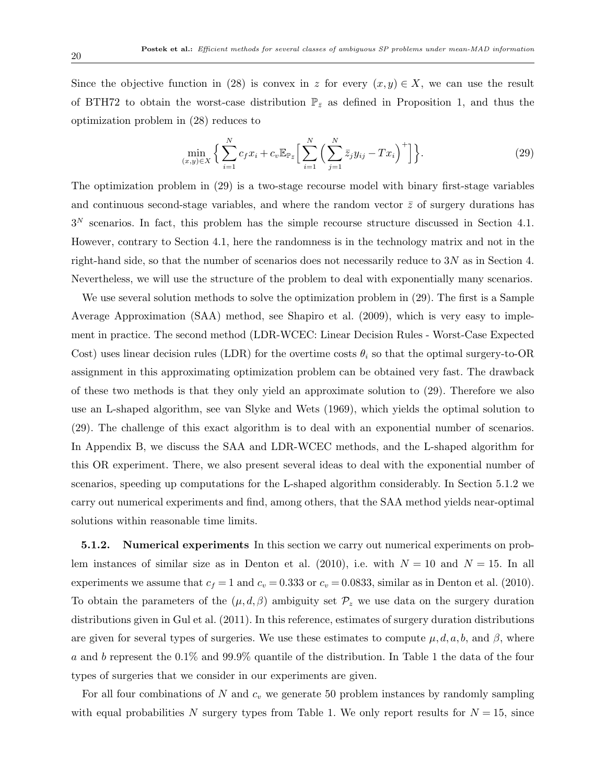Since the objective function in (28) is convex in z for every  $(x, y) \in X$ , we can use the result of BTH72 to obtain the worst-case distribution  $\mathbb{P}_{\bar{z}}$  as defined in Proposition 1, and thus the optimization problem in (28) reduces to

$$
\min_{(x,y)\in X} \left\{ \sum_{i=1}^{N} c_{f} x_{i} + c_{v} \mathbb{E}_{\mathbb{P}_{\tilde{z}}} \Big[ \sum_{i=1}^{N} \Big( \sum_{j=1}^{N} \bar{z}_{j} y_{ij} - T x_{i} \Big)^{+} \Big] \right\}.
$$
 (29)

The optimization problem in (29) is a two-stage recourse model with binary first-stage variables and continuous second-stage variables, and where the random vector  $\bar{z}$  of surgery durations has  $3<sup>N</sup>$  scenarios. In fact, this problem has the simple recourse structure discussed in Section 4.1. However, contrary to Section 4.1, here the randomness is in the technology matrix and not in the right-hand side, so that the number of scenarios does not necessarily reduce to  $3N$  as in Section 4. Nevertheless, we will use the structure of the problem to deal with exponentially many scenarios.

We use several solution methods to solve the optimization problem in (29). The first is a Sample Average Approximation (SAA) method, see Shapiro et al. (2009), which is very easy to implement in practice. The second method (LDR-WCEC: Linear Decision Rules - Worst-Case Expected Cost) uses linear decision rules (LDR) for the overtime costs  $\theta_i$  so that the optimal surgery-to-OR assignment in this approximating optimization problem can be obtained very fast. The drawback of these two methods is that they only yield an approximate solution to (29). Therefore we also use an L-shaped algorithm, see van Slyke and Wets (1969), which yields the optimal solution to (29). The challenge of this exact algorithm is to deal with an exponential number of scenarios. In Appendix B, we discuss the SAA and LDR-WCEC methods, and the L-shaped algorithm for this OR experiment. There, we also present several ideas to deal with the exponential number of scenarios, speeding up computations for the L-shaped algorithm considerably. In Section 5.1.2 we carry out numerical experiments and find, among others, that the SAA method yields near-optimal solutions within reasonable time limits.

5.1.2. Numerical experiments In this section we carry out numerical experiments on problem instances of similar size as in Denton et al. (2010), i.e. with  $N = 10$  and  $N = 15$ . In all experiments we assume that  $c_f = 1$  and  $c_v = 0.333$  or  $c_v = 0.0833$ , similar as in Denton et al. (2010). To obtain the parameters of the  $(\mu, d, \beta)$  ambiguity set  $\mathcal{P}_z$  we use data on the surgery duration distributions given in Gul et al. (2011). In this reference, estimates of surgery duration distributions are given for several types of surgeries. We use these estimates to compute  $\mu, d, a, b$ , and  $\beta$ , where a and b represent the 0.1% and 99.9% quantile of the distribution. In Table 1 the data of the four types of surgeries that we consider in our experiments are given.

For all four combinations of N and  $c_v$  we generate 50 problem instances by randomly sampling with equal probabilities N surgery types from Table 1. We only report results for  $N = 15$ , since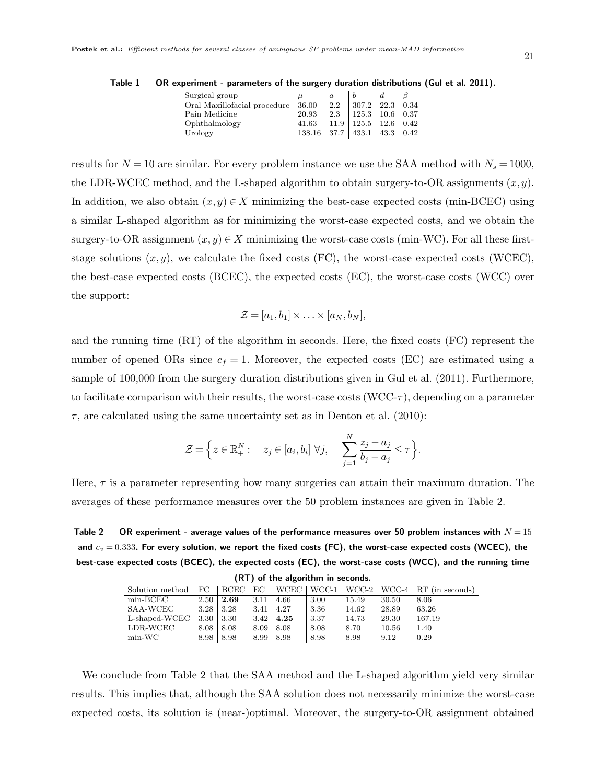| Surgical group               | $\mu$  | $\alpha$ |       |      |      |
|------------------------------|--------|----------|-------|------|------|
| Oral Maxillofacial procedure | 36.00  | 2.2      | 307.2 | 22.3 | 0.34 |
| Pain Medicine                | 20.93  | 2.3      | 125.3 | 10.6 | 0.37 |
| Ophthalmology                | 41.63  | 11.9     | 125.5 | 12.6 | 0.42 |
| Urology                      | 138.16 | 37.7     | 433.1 | 43.3 | 0.42 |

Table 1 OR experiment - parameters of the surgery duration distributions (Gul et al. 2011).

results for  $N = 10$  are similar. For every problem instance we use the SAA method with  $N_s = 1000$ , the LDR-WCEC method, and the L-shaped algorithm to obtain surgery-to-OR assignments  $(x, y)$ . In addition, we also obtain  $(x, y) \in X$  minimizing the best-case expected costs (min-BCEC) using a similar L-shaped algorithm as for minimizing the worst-case expected costs, and we obtain the surgery-to-OR assignment  $(x, y) \in X$  minimizing the worst-case costs (min-WC). For all these firststage solutions  $(x, y)$ , we calculate the fixed costs (FC), the worst-case expected costs (WCEC), the best-case expected costs (BCEC), the expected costs (EC), the worst-case costs (WCC) over the support:

$$
\mathcal{Z} = [a_1, b_1] \times \ldots \times [a_N, b_N],
$$

and the running time (RT) of the algorithm in seconds. Here, the fixed costs (FC) represent the number of opened ORs since  $c_f = 1$ . Moreover, the expected costs (EC) are estimated using a sample of 100,000 from the surgery duration distributions given in Gul et al. (2011). Furthermore, to facilitate comparison with their results, the worst-case costs  $(WCC-\tau)$ , depending on a parameter  $\tau$ , are calculated using the same uncertainty set as in Denton et al. (2010):

$$
\mathcal{Z} = \Big\{ z \in \mathbb{R}_+^N : \quad z_j \in [a_i, b_i] \; \forall j, \quad \sum_{j=1}^N \frac{z_j - a_j}{b_j - a_j} \leq \tau \Big\}.
$$

Here,  $\tau$  is a parameter representing how many surgeries can attain their maximum duration. The averages of these performance measures over the 50 problem instances are given in Table 2.

Table 2 OR experiment - average values of the performance measures over 50 problem instances with  $N = 15$ and  $c_v = 0.333$ . For every solution, we report the fixed costs (FC), the worst-case expected costs (WCEC), the best-case expected costs (BCEC), the expected costs (EC), the worst-case costs (WCC), and the running time (RT) of the algorithm in seconds.

| Solution method   | FC.  | BCEC | EC   | WCEC | WCC-1 | WCC-2 | $WCC-4$ | RT (in seconds) |
|-------------------|------|------|------|------|-------|-------|---------|-----------------|
| $min\text{-}BCEC$ | 2.50 | 2.69 | 3.11 | 4.66 | 3.00  | 15.49 | 30.50   | 8.06            |
| SAA-WCEC          | 3.28 | 3.28 | 3.41 | 4.27 | 3.36  | 14.62 | 28.89   | 63.26           |
| L-shaped-WCEC     | 3.30 | 3.30 | 3.42 | 4.25 | 3.37  | 14.73 | 29.30   | 167.19          |
| LDR-WCEC          | 8.08 | 8.08 | 8.09 | 8.08 | 8.08  | 8.70  | 10.56   | 1.40            |
| $min-WC$          | 8.98 | 8.98 | 8.99 | 8.98 | 8.98  | 8.98  | 9.12    | 0.29            |

We conclude from Table 2 that the SAA method and the L-shaped algorithm yield very similar results. This implies that, although the SAA solution does not necessarily minimize the worst-case expected costs, its solution is (near-)optimal. Moreover, the surgery-to-OR assignment obtained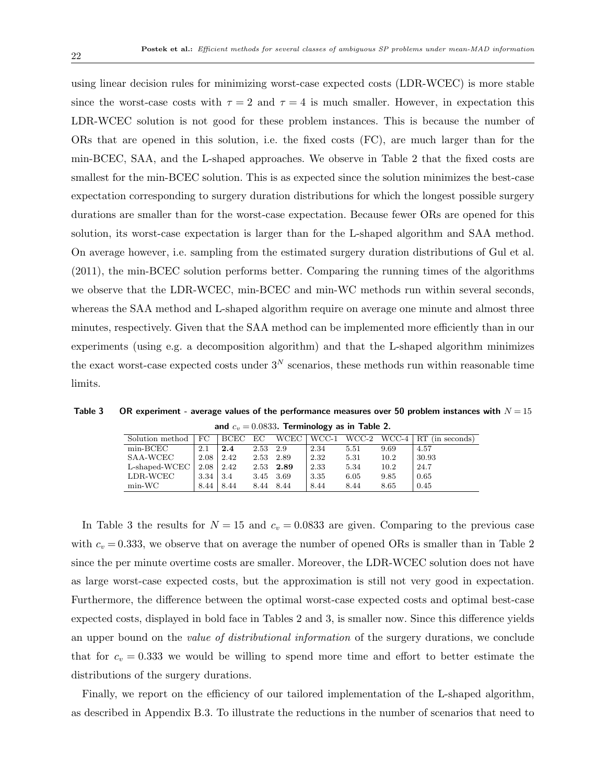using linear decision rules for minimizing worst-case expected costs (LDR-WCEC) is more stable since the worst-case costs with  $\tau = 2$  and  $\tau = 4$  is much smaller. However, in expectation this LDR-WCEC solution is not good for these problem instances. This is because the number of ORs that are opened in this solution, i.e. the fixed costs (FC), are much larger than for the min-BCEC, SAA, and the L-shaped approaches. We observe in Table 2 that the fixed costs are smallest for the min-BCEC solution. This is as expected since the solution minimizes the best-case expectation corresponding to surgery duration distributions for which the longest possible surgery durations are smaller than for the worst-case expectation. Because fewer ORs are opened for this solution, its worst-case expectation is larger than for the L-shaped algorithm and SAA method. On average however, i.e. sampling from the estimated surgery duration distributions of Gul et al. (2011), the min-BCEC solution performs better. Comparing the running times of the algorithms we observe that the LDR-WCEC, min-BCEC and min-WC methods run within several seconds, whereas the SAA method and L-shaped algorithm require on average one minute and almost three minutes, respectively. Given that the SAA method can be implemented more efficiently than in our experiments (using e.g. a decomposition algorithm) and that the L-shaped algorithm minimizes the exact worst-case expected costs under  $3<sup>N</sup>$  scenarios, these methods run within reasonable time limits.

Table 3 OR experiment - average values of the performance measures over 50 problem instances with  $N = 15$ and  $c_v = 0.0833$ . Terminology as in Table 2.

| Solution method | FC.  | BCEC | EC       | <b>WCEC</b> | WCC-1 | WCC-2 | WCC-4 | RT (in seconds) |
|-----------------|------|------|----------|-------------|-------|-------|-------|-----------------|
| $min$ -BCEC     | 2.1  | 2.4  | 2.53 2.9 |             | 2.34  | 5.51  | 9.69  | 4.57            |
| SAA-WCEC        | 2.08 | 2.42 |          | 2.53 2.89   | 2.32  | 5.31  | 10.2  | 30.93           |
| L-shaped-WCEC   | 2.08 | 2.42 |          | 2.53 2.89   | 2.33  | 5.34  | 10.2  | 24.7            |
| LDR-WCEC        | 3.34 | 3.4  |          | 3.45 3.69   | 3.35  | 6.05  | 9.85  | 0.65            |
| $min-WC$        | 8.44 | 8.44 |          | 8.44 8.44   | 8.44  | 8.44  | 8.65  | 0.45            |

In Table 3 the results for  $N = 15$  and  $c_v = 0.0833$  are given. Comparing to the previous case with  $c_v = 0.333$ , we observe that on average the number of opened ORs is smaller than in Table 2 since the per minute overtime costs are smaller. Moreover, the LDR-WCEC solution does not have as large worst-case expected costs, but the approximation is still not very good in expectation. Furthermore, the difference between the optimal worst-case expected costs and optimal best-case expected costs, displayed in bold face in Tables 2 and 3, is smaller now. Since this difference yields an upper bound on the value of distributional information of the surgery durations, we conclude that for  $c_v = 0.333$  we would be willing to spend more time and effort to better estimate the distributions of the surgery durations.

Finally, we report on the efficiency of our tailored implementation of the L-shaped algorithm, as described in Appendix B.3. To illustrate the reductions in the number of scenarios that need to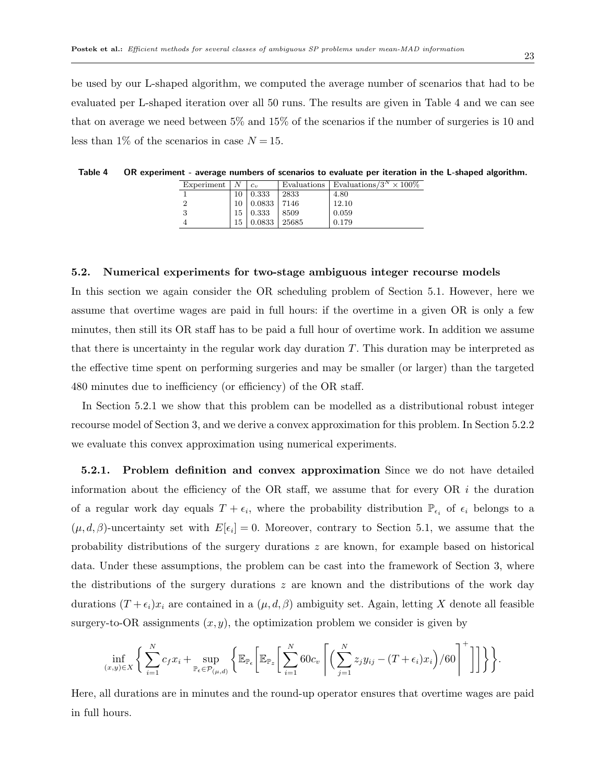be used by our L-shaped algorithm, we computed the average number of scenarios that had to be evaluated per L-shaped iteration over all 50 runs. The results are given in Table 4 and we can see that on average we need between 5% and 15% of the scenarios if the number of surgeries is 10 and less than 1% of the scenarios in case  $N = 15$ .

| Experiment |    |        |       | Evaluations   Evaluations/ $3^N \times 100\%$ |
|------------|----|--------|-------|-----------------------------------------------|
|            |    | 0.333  | 2833  | 4.80                                          |
|            |    | 0.0833 | 7146  | 12.10                                         |
|            | 15 | 0.333  | 8509  | 0.059                                         |
|            | 15 | 0.0833 | 25685 | 0.179                                         |

Table 4 OR experiment - average numbers of scenarios to evaluate per iteration in the L-shaped algorithm.

#### 5.2. Numerical experiments for two-stage ambiguous integer recourse models

In this section we again consider the OR scheduling problem of Section 5.1. However, here we assume that overtime wages are paid in full hours: if the overtime in a given OR is only a few minutes, then still its OR staff has to be paid a full hour of overtime work. In addition we assume that there is uncertainty in the regular work day duration  $T$ . This duration may be interpreted as the effective time spent on performing surgeries and may be smaller (or larger) than the targeted 480 minutes due to inefficiency (or efficiency) of the OR staff.

In Section 5.2.1 we show that this problem can be modelled as a distributional robust integer recourse model of Section 3, and we derive a convex approximation for this problem. In Section 5.2.2 we evaluate this convex approximation using numerical experiments.

5.2.1. Problem definition and convex approximation Since we do not have detailed information about the efficiency of the OR staff, we assume that for every OR  $i$  the duration of a regular work day equals  $T + \epsilon_i$ , where the probability distribution  $\mathbb{P}_{\epsilon_i}$  of  $\epsilon_i$  belongs to a  $(\mu, d, \beta)$ -uncertainty set with  $E[\epsilon_i] = 0$ . Moreover, contrary to Section 5.1, we assume that the probability distributions of the surgery durations  $z$  are known, for example based on historical data. Under these assumptions, the problem can be cast into the framework of Section 3, where the distributions of the surgery durations  $z$  are known and the distributions of the work day durations  $(T + \epsilon_i)x_i$  are contained in a  $(\mu, d, \beta)$  ambiguity set. Again, letting X denote all feasible surgery-to-OR assignments  $(x, y)$ , the optimization problem we consider is given by

$$
\inf_{(x,y)\in X}\bigg\{\sum_{i=1}^Nc_{f}x_i+\sup_{\mathbb{P}_{\epsilon}\in\mathcal{P}_{(\mu,d)}}\bigg\{\mathbb{E}_{\mathbb{P}_{\epsilon}}\bigg[\mathbb{E}_{\mathbb{P}_{z}}\bigg[\sum_{i=1}^N60c_v\left\lceil\bigg(\sum_{j=1}^Nz_jy_{ij}-(T+\epsilon_i)x_i\bigg)/60\right\rceil^+\bigg]\bigg]\bigg\}\bigg\}.
$$

Here, all durations are in minutes and the round-up operator ensures that overtime wages are paid in full hours.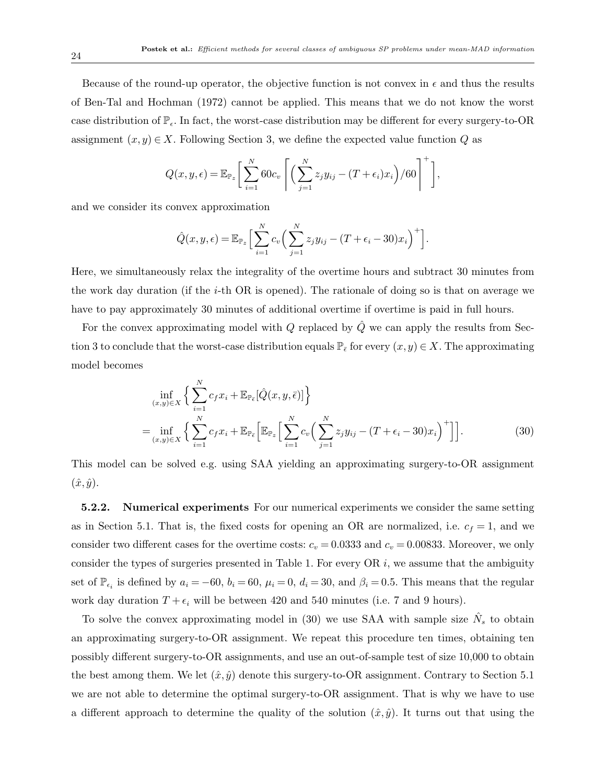Because of the round-up operator, the objective function is not convex in  $\epsilon$  and thus the results of Ben-Tal and Hochman (1972) cannot be applied. This means that we do not know the worst case distribution of  $\mathbb{P}_{\epsilon}$ . In fact, the worst-case distribution may be different for every surgery-to-OR assignment  $(x, y) \in X$ . Following Section 3, we define the expected value function Q as

$$
Q(x, y, \epsilon) = \mathbb{E}_{\mathbb{P}_z} \bigg[ \sum_{i=1}^N 60c_v \left[ \left( \sum_{j=1}^N z_j y_{ij} - (T + \epsilon_i)x_i \right) / 60 \right]^+ \bigg],
$$

and we consider its convex approximation

$$
\hat{Q}(x,y,\epsilon) = \mathbb{E}_{\mathbb{P}_z} \Big[ \sum_{i=1}^N c_v \Big( \sum_{j=1}^N z_j y_{ij} - (T + \epsilon_i - 30)x_i \Big)^+ \Big].
$$

Here, we simultaneously relax the integrality of the overtime hours and subtract 30 minutes from the work day duration (if the  $i$ -th OR is opened). The rationale of doing so is that on average we have to pay approximately 30 minutes of additional overtime if overtime is paid in full hours.

For the convex approximating model with  $Q$  replaced by  $\tilde{Q}$  we can apply the results from Section 3 to conclude that the worst-case distribution equals  $\mathbb{P}_{\bar{\epsilon}}$  for every  $(x, y) \in X$ . The approximating model becomes

$$
\inf_{(x,y)\in X} \left\{ \sum_{i=1}^{N} c_f x_i + \mathbb{E}_{\mathbb{P}_{\bar{\epsilon}}} [\hat{Q}(x, y, \bar{\epsilon})] \right\}
$$
\n
$$
= \inf_{(x,y)\in X} \left\{ \sum_{i=1}^{N} c_f x_i + \mathbb{E}_{\mathbb{P}_{\bar{\epsilon}}} \left[ \mathbb{E}_{\mathbb{P}_{z}} \left[ \sum_{i=1}^{N} c_v \left( \sum_{j=1}^{N} z_j y_{ij} - (T + \epsilon_i - 30) x_i \right)^{+} \right] \right].
$$
\n(30)

This model can be solved e.g. using SAA yielding an approximating surgery-to-OR assignment  $(\hat{x}, \hat{y})$ .

5.2.2. Numerical experiments For our numerical experiments we consider the same setting as in Section 5.1. That is, the fixed costs for opening an OR are normalized, i.e.  $c_f = 1$ , and we consider two different cases for the overtime costs:  $c_v = 0.0333$  and  $c_v = 0.00833$ . Moreover, we only consider the types of surgeries presented in Table 1. For every  $OR$  i, we assume that the ambiguity set of  $\mathbb{P}_{\epsilon_i}$  is defined by  $a_i = -60$ ,  $b_i = 60$ ,  $\mu_i = 0$ ,  $d_i = 30$ , and  $\beta_i = 0.5$ . This means that the regular work day duration  $T + \epsilon_i$  will be between 420 and 540 minutes (i.e. 7 and 9 hours).

To solve the convex approximating model in (30) we use SAA with sample size  $\hat{N}_s$  to obtain an approximating surgery-to-OR assignment. We repeat this procedure ten times, obtaining ten possibly different surgery-to-OR assignments, and use an out-of-sample test of size 10,000 to obtain the best among them. We let  $(\hat{x}, \hat{y})$  denote this surgery-to-OR assignment. Contrary to Section 5.1 we are not able to determine the optimal surgery-to-OR assignment. That is why we have to use a different approach to determine the quality of the solution  $(\hat{x}, \hat{y})$ . It turns out that using the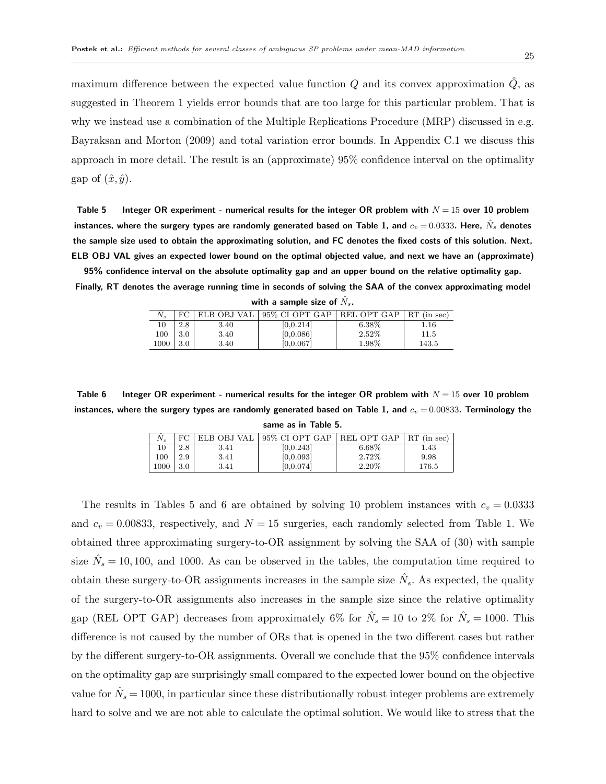maximum difference between the expected value function  $Q$  and its convex approximation  $Q$ , as suggested in Theorem 1 yields error bounds that are too large for this particular problem. That is why we instead use a combination of the Multiple Replications Procedure (MRP) discussed in e.g. Bayraksan and Morton (2009) and total variation error bounds. In Appendix C.1 we discuss this approach in more detail. The result is an (approximate) 95% confidence interval on the optimality gap of  $(\hat{x}, \hat{y})$ .

Table 5 Integer OR experiment - numerical results for the integer OR problem with  $N = 15$  over 10 problem instances, where the surgery types are randomly generated based on Table 1, and  $c_v = 0.0333$ . Here,  $\hat{N}_s$  denotes the sample size used to obtain the approximating solution, and FC denotes the fixed costs of this solution. Next, ELB OBJ VAL gives an expected lower bound on the optimal objected value, and next we have an (approximate)

95% confidence interval on the absolute optimality gap and an upper bound on the relative optimality gap. Finally, RT denotes the average running time in seconds of solving the SAA of the convex approximating model

|  | with a sample size of $N_s.$ |  |  |
|--|------------------------------|--|--|
|  |                              |  |  |

| $N_{s}$ | FС  | ELB OBJ VAL | 95% CI OPT GAP | REL OPT GAP | $RT$ (in sec) |
|---------|-----|-------------|----------------|-------------|---------------|
| 10      | 2.8 | 3.40        | [0, 0.214]     | $6.38\%$    | $1.16\,$      |
| 100     | 3.0 | 3.40        | [0,0.086]      | $2.52\%$    | 11.5          |
| 1000    | 3.0 | 3.40        | [0, 0.067]     | 1.98%       | 143.5         |

Table 6 Integer OR experiment - numerical results for the integer OR problem with  $N = 15$  over 10 problem instances, where the surgery types are randomly generated based on Table 1, and  $c_v = 0.00833$ . Terminology the same as in Table 5.

|      | FC  | ELB OBJ VAL | 95% CI OPT GAP         | REL OPT GAP | $RT$ (in sec) |
|------|-----|-------------|------------------------|-------------|---------------|
|      | 2.8 | 3.41        | [0.0.243]              | $6.68\%$    | 1.43          |
| 100  | 2.9 | 3.41        | [0,0.093]              | 2.72\%      | 9.98          |
| 1000 | 3.0 | 3.41        | $\left 0.0.074\right $ | 2.20%       | 176.5         |

The results in Tables 5 and 6 are obtained by solving 10 problem instances with  $c_v = 0.0333$ and  $c_v = 0.00833$ , respectively, and  $N = 15$  surgeries, each randomly selected from Table 1. We obtained three approximating surgery-to-OR assignment by solving the SAA of (30) with sample size  $\hat{N}_s = 10, 100,$  and 1000. As can be observed in the tables, the computation time required to obtain these surgery-to-OR assignments increases in the sample size  $\hat{N}_s$ . As expected, the quality of the surgery-to-OR assignments also increases in the sample size since the relative optimality gap (REL OPT GAP) decreases from approximately 6% for  $\hat{N}_s = 10$  to 2% for  $\hat{N}_s = 1000$ . This difference is not caused by the number of ORs that is opened in the two different cases but rather by the different surgery-to-OR assignments. Overall we conclude that the 95% confidence intervals on the optimality gap are surprisingly small compared to the expected lower bound on the objective value for  $\hat{N}_s = 1000$ , in particular since these distributionally robust integer problems are extremely hard to solve and we are not able to calculate the optimal solution. We would like to stress that the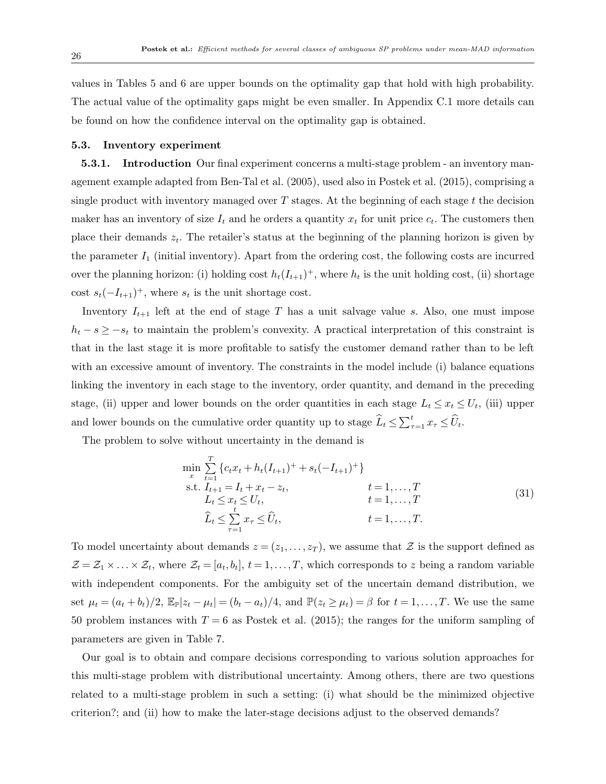values in Tables 5 and 6 are upper bounds on the optimality gap that hold with high probability. The actual value of the optimality gaps might be even smaller. In Appendix C.1 more details can be found on how the confidence interval on the optimality gap is obtained.

#### 5.3. Inventory experiment

5.3.1. Introduction Our final experiment concerns a multi-stage problem - an inventory management example adapted from Ben-Tal et al. (2005), used also in Postek et al. (2015), comprising a single product with inventory managed over  $T$  stages. At the beginning of each stage  $t$  the decision maker has an inventory of size  $I_t$  and he orders a quantity  $x_t$  for unit price  $c_t$ . The customers then place their demands  $z_t$ . The retailer's status at the beginning of the planning horizon is given by the parameter  $I_1$  (initial inventory). Apart from the ordering cost, the following costs are incurred over the planning horizon: (i) holding cost  $h_t(I_{t+1})^+$ , where  $h_t$  is the unit holding cost, (ii) shortage cost  $s_t(-I_{t+1})^+$ , where  $s_t$  is the unit shortage cost.

Inventory  $I_{t+1}$  left at the end of stage T has a unit salvage value s. Also, one must impose  $h_t - s \geq -s_t$  to maintain the problem's convexity. A practical interpretation of this constraint is that in the last stage it is more profitable to satisfy the customer demand rather than to be left with an excessive amount of inventory. The constraints in the model include (i) balance equations linking the inventory in each stage to the inventory, order quantity, and demand in the preceding stage, (ii) upper and lower bounds on the order quantities in each stage  $L_t \leq x_t \leq U_t$ , (iii) upper and lower bounds on the cumulative order quantity up to stage  $\widehat{L}_t \le \sum_{\tau=1}^t x_\tau \le \widehat{U}_t$ .

The problem to solve without uncertainty in the demand is

$$
\min_{x} \sum_{t=1}^{T} \{c_{t}x_{t} + h_{t}(I_{t+1})^{+} + s_{t}(-I_{t+1})^{+}\}\
$$
\n
$$
\text{s.t. } I_{t+1} = I_{t} + x_{t} - z_{t}, \qquad t = 1, ..., T
$$
\n
$$
L_{t} \leq x_{t} \leq U_{t}, \qquad t = 1, ..., T
$$
\n
$$
\widehat{L}_{t} \leq \sum_{\tau=1}^{t} x_{\tau} \leq \widehat{U}_{t}, \qquad t = 1, ..., T.
$$
\n(31)

To model uncertainty about demands  $z = (z_1, \ldots, z_T)$ , we assume that  $\mathcal Z$  is the support defined as  $\mathcal{Z} = \mathcal{Z}_1 \times \ldots \times \mathcal{Z}_t$ , where  $\mathcal{Z}_t = [a_t, b_t], t = 1, \ldots, T$ , which corresponds to z being a random variable with independent components. For the ambiguity set of the uncertain demand distribution, we set  $\mu_t = (a_t + b_t)/2$ ,  $\mathbb{E}_{\mathbb{P}}[z_t - \mu_t] = (b_t - a_t)/4$ , and  $\mathbb{P}(z_t \geq \mu_t) = \beta$  for  $t = 1, ..., T$ . We use the same 50 problem instances with  $T = 6$  as Postek et al. (2015); the ranges for the uniform sampling of parameters are given in Table 7.

Our goal is to obtain and compare decisions corresponding to various solution approaches for this multi-stage problem with distributional uncertainty. Among others, there are two questions related to a multi-stage problem in such a setting: (i) what should be the minimized objective criterion?; and (ii) how to make the later-stage decisions adjust to the observed demands?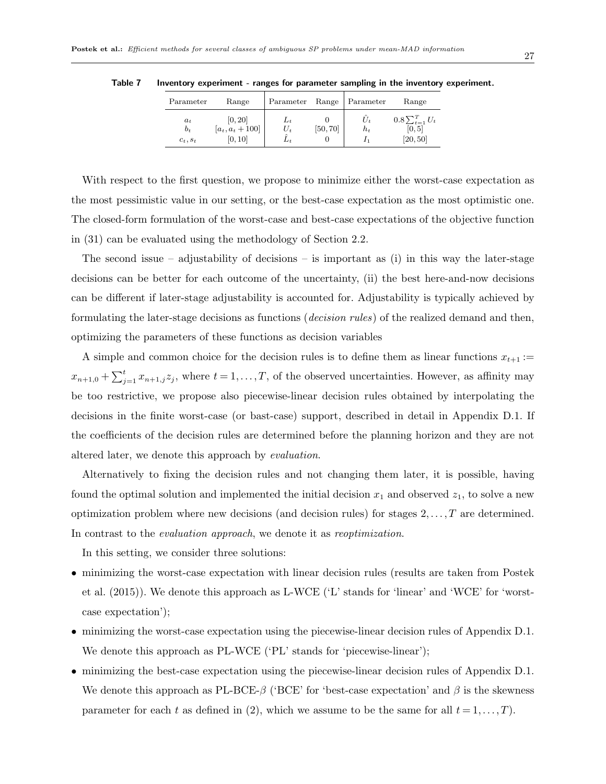| Parameter                    | Range                                   | Parameter           | Range    | Parameter   | Range                                         |
|------------------------------|-----------------------------------------|---------------------|----------|-------------|-----------------------------------------------|
| $a_t$<br>$b_t$<br>$c_t, s_t$ | [0, 20]<br>$[a_t, a_t + 100]$<br>[0,10] | L+<br>U,<br>$L_{t}$ | [50, 70] | U,<br>$h_t$ | $0.8\sum_{t=1}^{T} U_t$<br>[0, 5]<br>[20, 50] |

Table 7 Inventory experiment - ranges for parameter sampling in the inventory experiment.

With respect to the first question, we propose to minimize either the worst-case expectation as the most pessimistic value in our setting, or the best-case expectation as the most optimistic one. The closed-form formulation of the worst-case and best-case expectations of the objective function in (31) can be evaluated using the methodology of Section 2.2.

The second issue – adjustability of decisions – is important as (i) in this way the later-stage decisions can be better for each outcome of the uncertainty, (ii) the best here-and-now decisions can be different if later-stage adjustability is accounted for. Adjustability is typically achieved by formulating the later-stage decisions as functions (decision rules) of the realized demand and then, optimizing the parameters of these functions as decision variables

A simple and common choice for the decision rules is to define them as linear functions  $x_{t+1} :=$  $x_{n+1,0} + \sum_{j=1}^{t} x_{n+1,j} z_j$ , where  $t = 1, \ldots, T$ , of the observed uncertainties. However, as affinity may be too restrictive, we propose also piecewise-linear decision rules obtained by interpolating the decisions in the finite worst-case (or bast-case) support, described in detail in Appendix D.1. If the coefficients of the decision rules are determined before the planning horizon and they are not altered later, we denote this approach by evaluation.

Alternatively to fixing the decision rules and not changing them later, it is possible, having found the optimal solution and implemented the initial decision  $x_1$  and observed  $z_1$ , to solve a new optimization problem where new decisions (and decision rules) for stages  $2, \ldots, T$  are determined. In contrast to the *evaluation approach*, we denote it as *reoptimization*.

In this setting, we consider three solutions:

- minimizing the worst-case expectation with linear decision rules (results are taken from Postek et al. (2015)). We denote this approach as L-WCE ('L' stands for 'linear' and 'WCE' for 'worstcase expectation');
- minimizing the worst-case expectation using the piecewise-linear decision rules of Appendix D.1. We denote this approach as PL-WCE ('PL' stands for 'piecewise-linear');
- minimizing the best-case expectation using the piecewise-linear decision rules of Appendix D.1. We denote this approach as PL-BCE- $\beta$  ('BCE' for 'best-case expectation' and  $\beta$  is the skewness parameter for each t as defined in (2), which we assume to be the same for all  $t = 1, \ldots, T$ .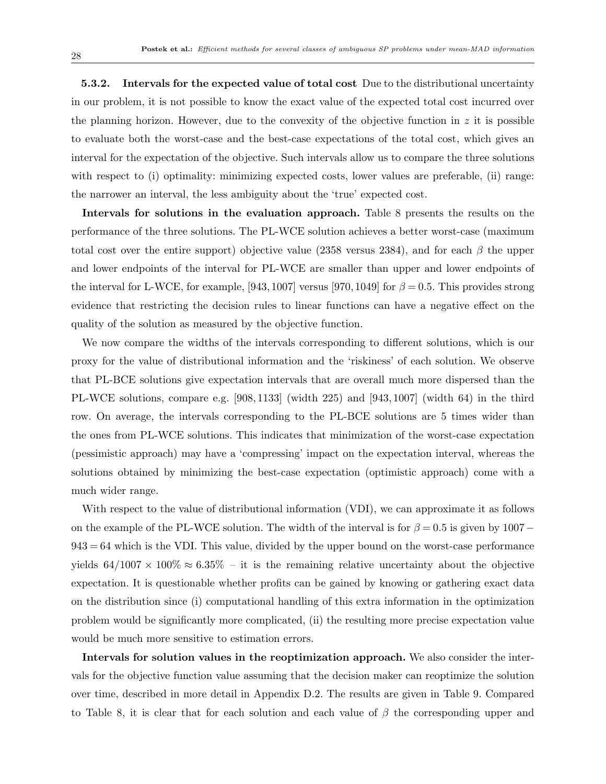5.3.2. Intervals for the expected value of total cost Due to the distributional uncertainty in our problem, it is not possible to know the exact value of the expected total cost incurred over the planning horizon. However, due to the convexity of the objective function in  $z$  it is possible to evaluate both the worst-case and the best-case expectations of the total cost, which gives an interval for the expectation of the objective. Such intervals allow us to compare the three solutions with respect to (i) optimality: minimizing expected costs, lower values are preferable, (ii) range: the narrower an interval, the less ambiguity about the 'true' expected cost.

Intervals for solutions in the evaluation approach. Table 8 presents the results on the performance of the three solutions. The PL-WCE solution achieves a better worst-case (maximum total cost over the entire support) objective value (2358 versus 2384), and for each  $\beta$  the upper and lower endpoints of the interval for PL-WCE are smaller than upper and lower endpoints of the interval for L-WCE, for example, [943, 1007] versus [970, 1049] for  $\beta = 0.5$ . This provides strong evidence that restricting the decision rules to linear functions can have a negative effect on the quality of the solution as measured by the objective function.

We now compare the widths of the intervals corresponding to different solutions, which is our proxy for the value of distributional information and the 'riskiness' of each solution. We observe that PL-BCE solutions give expectation intervals that are overall much more dispersed than the PL-WCE solutions, compare e.g. [908, 1133] (width 225) and [943, 1007] (width 64) in the third row. On average, the intervals corresponding to the PL-BCE solutions are 5 times wider than the ones from PL-WCE solutions. This indicates that minimization of the worst-case expectation (pessimistic approach) may have a 'compressing' impact on the expectation interval, whereas the solutions obtained by minimizing the best-case expectation (optimistic approach) come with a much wider range.

With respect to the value of distributional information (VDI), we can approximate it as follows on the example of the PL-WCE solution. The width of the interval is for  $\beta = 0.5$  is given by 1007 –  $943 = 64$  which is the VDI. This value, divided by the upper bound on the worst-case performance yields  $64/1007 \times 100\% \approx 6.35\%$  – it is the remaining relative uncertainty about the objective expectation. It is questionable whether profits can be gained by knowing or gathering exact data on the distribution since (i) computational handling of this extra information in the optimization problem would be significantly more complicated, (ii) the resulting more precise expectation value would be much more sensitive to estimation errors.

Intervals for solution values in the reoptimization approach. We also consider the intervals for the objective function value assuming that the decision maker can reoptimize the solution over time, described in more detail in Appendix D.2. The results are given in Table 9. Compared to Table 8, it is clear that for each solution and each value of  $\beta$  the corresponding upper and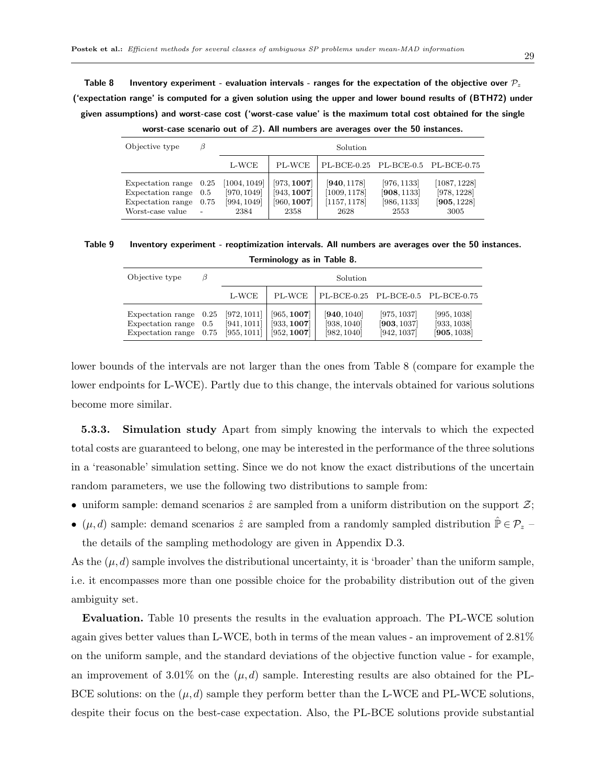Table 8 Inventory experiment - evaluation intervals - ranges for the expectation of the objective over  $P_z$ ('expectation range' is computed for a given solution using the upper and lower bound results of (BTH72) under given assumptions) and worst-case cost ('worst-case value' is the maximum total cost obtained for the single

| Objective type                                                                  | β                                                   | Solution                                           |                                                   |                                                     |                                                   |                                                    |  |
|---------------------------------------------------------------------------------|-----------------------------------------------------|----------------------------------------------------|---------------------------------------------------|-----------------------------------------------------|---------------------------------------------------|----------------------------------------------------|--|
|                                                                                 |                                                     | L-WCE                                              | PL-WCE                                            | PL-BCE-0.25 PL-BCE-0.5 PL-BCE-0.75                  |                                                   |                                                    |  |
| Expectation range<br>Expectation range<br>Expectation range<br>Worst-case value | $0.25\,$<br>0.5<br>0.75<br>$\overline{\phantom{a}}$ | [1004, 1049]<br>[970, 1049]<br>[994, 1049]<br>2384 | [973, 1007]<br>[943, 1007]<br>[960, 1007]<br>2358 | [940, 1178]<br>[1009, 1178]<br>[1157, 1178]<br>2628 | [976, 1133]<br>[908, 1133]<br>[986, 1133]<br>2553 | [1087, 1228]<br>[978, 1228]<br>[905, 1228]<br>3005 |  |

worst-case scenario out of  $\mathcal{Z}$ ). All numbers are averages over the 50 instances.

|  | Table 9 Inventory experiment - reoptimization intervals. All numbers are averages over the 50 instances. |  |
|--|----------------------------------------------------------------------------------------------------------|--|
|  |                                                                                                          |  |

Terminology as in Table 8.

| Objective type                                                                | B | Solution                                  |                                           |                                           |                                           |                                           |  |
|-------------------------------------------------------------------------------|---|-------------------------------------------|-------------------------------------------|-------------------------------------------|-------------------------------------------|-------------------------------------------|--|
|                                                                               |   | L-WCE                                     | PL-WCE                                    | PL-BCE-0.25 PL-BCE-0.5 PL-BCE-0.75        |                                           |                                           |  |
| Expectation range $0.25$<br>Expectation range $0.5$<br>Expectation range 0.75 |   | [972, 1011]<br>[941, 1011]<br>[955, 1011] | [965, 1007]<br>[933, 1007]<br>[952, 1007] | [940, 1040]<br>[938, 1040]<br>[982, 1040] | [975, 1037]<br>[903, 1037]<br>[942, 1037] | [995, 1038]<br>[933, 1038]<br>[905, 1038] |  |

lower bounds of the intervals are not larger than the ones from Table 8 (compare for example the lower endpoints for L-WCE). Partly due to this change, the intervals obtained for various solutions become more similar.

5.3.3. Simulation study Apart from simply knowing the intervals to which the expected total costs are guaranteed to belong, one may be interested in the performance of the three solutions in a 'reasonable' simulation setting. Since we do not know the exact distributions of the uncertain random parameters, we use the following two distributions to sample from:

- uniform sample: demand scenarios  $\hat{z}$  are sampled from a uniform distribution on the support  $\mathcal{Z}$ ;
- $(\mu, d)$  sample: demand scenarios  $\hat{z}$  are sampled from a randomly sampled distribution  $\hat{P} \in \mathcal{P}_z$

the details of the sampling methodology are given in Appendix D.3.

As the  $(\mu, d)$  sample involves the distributional uncertainty, it is 'broader' than the uniform sample, i.e. it encompasses more than one possible choice for the probability distribution out of the given ambiguity set.

Evaluation. Table 10 presents the results in the evaluation approach. The PL-WCE solution again gives better values than L-WCE, both in terms of the mean values - an improvement of 2.81% on the uniform sample, and the standard deviations of the objective function value - for example, an improvement of 3.01% on the  $(\mu, d)$  sample. Interesting results are also obtained for the PL-BCE solutions: on the  $(\mu, d)$  sample they perform better than the L-WCE and PL-WCE solutions, despite their focus on the best-case expectation. Also, the PL-BCE solutions provide substantial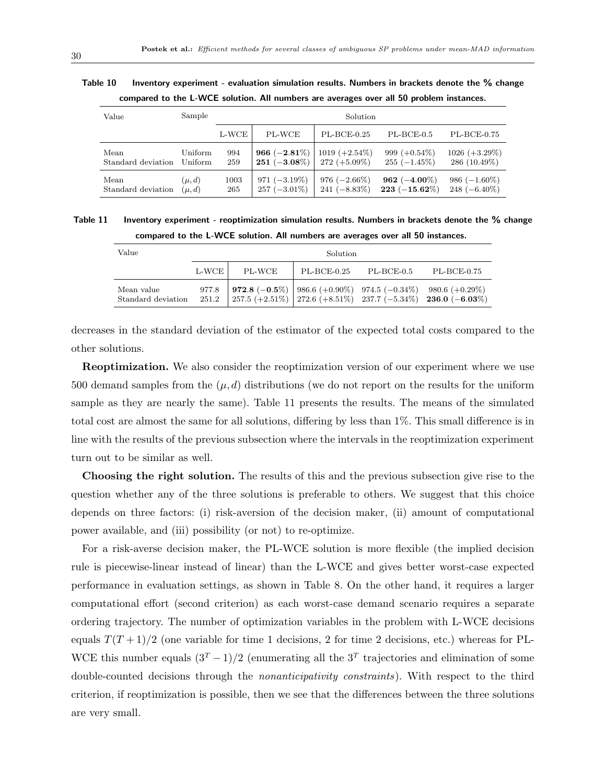| compared to the L-WCE solution. All numbers are averages over all 50 problem instances. |                    |            |                                                   |                  |                                   |                                    |  |  |
|-----------------------------------------------------------------------------------------|--------------------|------------|---------------------------------------------------|------------------|-----------------------------------|------------------------------------|--|--|
| Value                                                                                   | Sample             | Solution   |                                                   |                  |                                   |                                    |  |  |
|                                                                                         |                    | L-WCE      | PL-WCE                                            | $PL-BCE-0.25$    | $PL-BCE-0.5$                      | $PL-BCE-0.75$                      |  |  |
| Mean<br>Standard deviation                                                              | Uniform<br>Uniform | 994<br>259 | 966 $(-2.81\%)$<br>$251 (-3.08\%)$   272 (+5.09%) | $1019 (+2.54\%)$ | 999 $(+0.54\%)$<br>$255(-1.45\%)$ | $1026 (+3.29\%)$<br>$286(10.49\%)$ |  |  |

Mean  $(\mu, d)$  1003 971 (−3.19%) 976 (−2.66%) 962 (−4.00%) 986 (−1.60%) Standard deviation  $(\mu, d)$  265 257 (−3.01%) 241 (−8.83%) 223 (−15.62%) 248 (−6.40%)

Table 10 Inventory experiment - evaluation simulation results. Numbers in brackets denote the % change compared to the L-WCE solution. All numbers are averages over all 50 problem instances.

Table 11 Inventory experiment - reoptimization simulation results. Numbers in brackets denote the % change compared to the L-WCE solution. All numbers are averages over all 50 instances.

| Value                            | Solution         |        |               |            |                                                                                                                                                 |
|----------------------------------|------------------|--------|---------------|------------|-------------------------------------------------------------------------------------------------------------------------------------------------|
|                                  | $L$ -WCE $\cdot$ | PL-WCE | $PL-BCE-0.25$ | PL-BCE-0.5 | $PL-BCE-0.75$                                                                                                                                   |
| Mean value<br>Standard deviation | 977.8<br>251.2   |        |               |            | 972.8 $(-0.5\%)$   986.6 $(+0.90\%)$ 974.5 $(-0.34\%)$ 980.6 $(+0.29\%)$<br>  257.5 (+2.51%)   272.6 (+8.51%)   237.7 (-5.34%)   236.0 (-6.03%) |

decreases in the standard deviation of the estimator of the expected total costs compared to the other solutions.

Reoptimization. We also consider the reoptimization version of our experiment where we use 500 demand samples from the  $(\mu, d)$  distributions (we do not report on the results for the uniform sample as they are nearly the same). Table 11 presents the results. The means of the simulated total cost are almost the same for all solutions, differing by less than 1%. This small difference is in line with the results of the previous subsection where the intervals in the reoptimization experiment turn out to be similar as well.

Choosing the right solution. The results of this and the previous subsection give rise to the question whether any of the three solutions is preferable to others. We suggest that this choice depends on three factors: (i) risk-aversion of the decision maker, (ii) amount of computational power available, and (iii) possibility (or not) to re-optimize.

For a risk-averse decision maker, the PL-WCE solution is more flexible (the implied decision rule is piecewise-linear instead of linear) than the L-WCE and gives better worst-case expected performance in evaluation settings, as shown in Table 8. On the other hand, it requires a larger computational effort (second criterion) as each worst-case demand scenario requires a separate ordering trajectory. The number of optimization variables in the problem with L-WCE decisions equals  $T(T+1)/2$  (one variable for time 1 decisions, 2 for time 2 decisions, etc.) whereas for PL-WCE this number equals  $(3<sup>T</sup> - 1)/2$  (enumerating all the  $3<sup>T</sup>$  trajectories and elimination of some double-counted decisions through the nonanticipativity constraints). With respect to the third criterion, if reoptimization is possible, then we see that the differences between the three solutions are very small.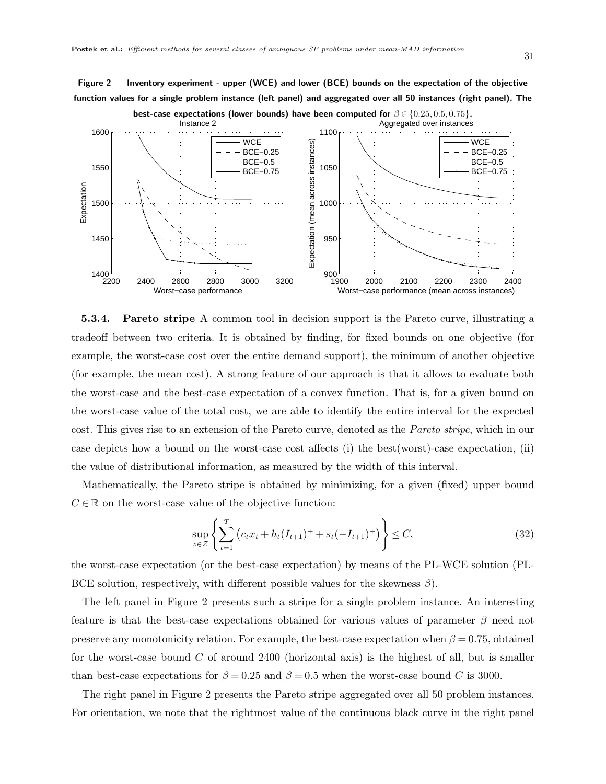Figure 2 Inventory experiment - upper (WCE) and lower (BCE) bounds on the expectation of the objective function values for a single problem instance (left panel) and aggregated over all 50 instances (right panel). The



5.3.4. Pareto stripe A common tool in decision support is the Pareto curve, illustrating a tradeoff between two criteria. It is obtained by finding, for fixed bounds on one objective (for example, the worst-case cost over the entire demand support), the minimum of another objective (for example, the mean cost). A strong feature of our approach is that it allows to evaluate both the worst-case and the best-case expectation of a convex function. That is, for a given bound on the worst-case value of the total cost, we are able to identify the entire interval for the expected cost. This gives rise to an extension of the Pareto curve, denoted as the Pareto stripe, which in our case depicts how a bound on the worst-case cost affects (i) the best(worst)-case expectation, (ii) the value of distributional information, as measured by the width of this interval.

Mathematically, the Pareto stripe is obtained by minimizing, for a given (fixed) upper bound  $C \in \mathbb{R}$  on the worst-case value of the objective function:

$$
\sup_{z \in \mathcal{Z}} \left\{ \sum_{t=1}^{T} \left( c_t x_t + h_t (I_{t+1})^+ + s_t (-I_{t+1})^+ \right) \right\} \le C,
$$
\n(32)

the worst-case expectation (or the best-case expectation) by means of the PL-WCE solution (PL-BCE solution, respectively, with different possible values for the skewness  $\beta$ .

The left panel in Figure 2 presents such a stripe for a single problem instance. An interesting feature is that the best-case expectations obtained for various values of parameter  $\beta$  need not preserve any monotonicity relation. For example, the best-case expectation when  $\beta = 0.75$ , obtained for the worst-case bound  $C$  of around 2400 (horizontal axis) is the highest of all, but is smaller than best-case expectations for  $\beta = 0.25$  and  $\beta = 0.5$  when the worst-case bound C is 3000.

The right panel in Figure 2 presents the Pareto stripe aggregated over all 50 problem instances. For orientation, we note that the rightmost value of the continuous black curve in the right panel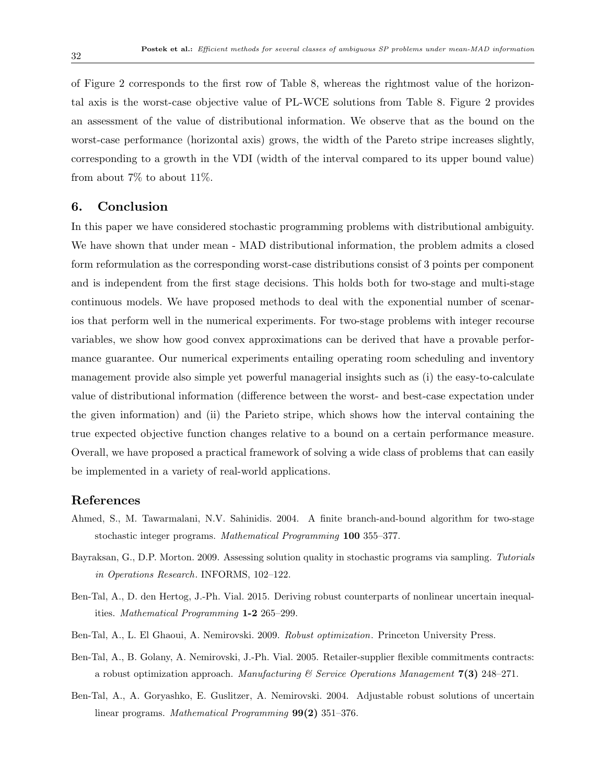of Figure 2 corresponds to the first row of Table 8, whereas the rightmost value of the horizontal axis is the worst-case objective value of PL-WCE solutions from Table 8. Figure 2 provides an assessment of the value of distributional information. We observe that as the bound on the worst-case performance (horizontal axis) grows, the width of the Pareto stripe increases slightly, corresponding to a growth in the VDI (width of the interval compared to its upper bound value) from about 7% to about 11%.

## 6. Conclusion

In this paper we have considered stochastic programming problems with distributional ambiguity. We have shown that under mean - MAD distributional information, the problem admits a closed form reformulation as the corresponding worst-case distributions consist of 3 points per component and is independent from the first stage decisions. This holds both for two-stage and multi-stage continuous models. We have proposed methods to deal with the exponential number of scenarios that perform well in the numerical experiments. For two-stage problems with integer recourse variables, we show how good convex approximations can be derived that have a provable performance guarantee. Our numerical experiments entailing operating room scheduling and inventory management provide also simple yet powerful managerial insights such as (i) the easy-to-calculate value of distributional information (difference between the worst- and best-case expectation under the given information) and (ii) the Parieto stripe, which shows how the interval containing the true expected objective function changes relative to a bound on a certain performance measure. Overall, we have proposed a practical framework of solving a wide class of problems that can easily be implemented in a variety of real-world applications.

## References

- Ahmed, S., M. Tawarmalani, N.V. Sahinidis. 2004. A finite branch-and-bound algorithm for two-stage stochastic integer programs. Mathematical Programming 100 355–377.
- Bayraksan, G., D.P. Morton. 2009. Assessing solution quality in stochastic programs via sampling. Tutorials in Operations Research. INFORMS, 102–122.
- Ben-Tal, A., D. den Hertog, J.-Ph. Vial. 2015. Deriving robust counterparts of nonlinear uncertain inequalities. Mathematical Programming 1-2 265–299.
- Ben-Tal, A., L. El Ghaoui, A. Nemirovski. 2009. Robust optimization. Princeton University Press.
- Ben-Tal, A., B. Golany, A. Nemirovski, J.-Ph. Vial. 2005. Retailer-supplier flexible commitments contracts: a robust optimization approach. Manufacturing  $\mathscr$  Service Operations Manugement 7(3) 248–271.
- Ben-Tal, A., A. Goryashko, E. Guslitzer, A. Nemirovski. 2004. Adjustable robust solutions of uncertain linear programs. Mathematical Programming 99(2) 351-376.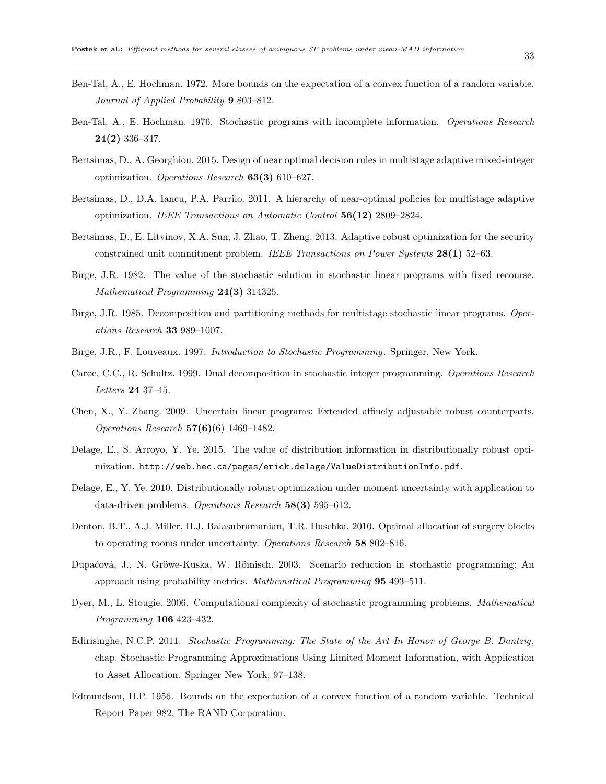- Ben-Tal, A., E. Hochman. 1972. More bounds on the expectation of a convex function of a random variable. Journal of Applied Probability 9 803–812.
- Ben-Tal, A., E. Hochman. 1976. Stochastic programs with incomplete information. Operations Research 24(2) 336–347.
- Bertsimas, D., A. Georghiou. 2015. Design of near optimal decision rules in multistage adaptive mixed-integer optimization. Operations Research  $63(3)$  610–627.
- Bertsimas, D., D.A. Iancu, P.A. Parrilo. 2011. A hierarchy of near-optimal policies for multistage adaptive optimization. IEEE Transactions on Automatic Control 56(12) 2809–2824.
- Bertsimas, D., E. Litvinov, X.A. Sun, J. Zhao, T. Zheng. 2013. Adaptive robust optimization for the security constrained unit commitment problem. IEEE Transactions on Power Systems 28(1) 52–63.
- Birge, J.R. 1982. The value of the stochastic solution in stochastic linear programs with fixed recourse. Mathematical Programming 24(3) 314325.
- Birge, J.R. 1985. Decomposition and partitioning methods for multistage stochastic linear programs. Operations Research 33 989–1007.
- Birge, J.R., F. Louveaux. 1997. Introduction to Stochastic Programming. Springer, New York.
- Carøe, C.C., R. Schultz. 1999. Dual decomposition in stochastic integer programming. Operations Research Letters 24 37–45.
- Chen, X., Y. Zhang. 2009. Uncertain linear programs: Extended affinely adjustable robust counterparts. Operations Research 57(6)(6) 1469–1482.
- Delage, E., S. Arroyo, Y. Ye. 2015. The value of distribution information in distributionally robust optimization. http://web.hec.ca/pages/erick.delage/ValueDistributionInfo.pdf.
- Delage, E., Y. Ye. 2010. Distributionally robust optimization under moment uncertainty with application to data-driven problems. Operations Research 58(3) 595-612.
- Denton, B.T., A.J. Miller, H.J. Balasubramanian, T.R. Huschka. 2010. Optimal allocation of surgery blocks to operating rooms under uncertainty. Operations Research 58 802-816.
- Dupačová, J., N. Gröwe-Kuska, W. Römisch. 2003. Scenario reduction in stochastic programming: An approach using probability metrics. Mathematical Programming 95 493–511.
- Dyer, M., L. Stougie. 2006. Computational complexity of stochastic programming problems. Mathematical Programming 106 423–432.
- Edirisinghe, N.C.P. 2011. Stochastic Programming: The State of the Art In Honor of George B. Dantzig, chap. Stochastic Programming Approximations Using Limited Moment Information, with Application to Asset Allocation. Springer New York, 97–138.
- Edmundson, H.P. 1956. Bounds on the expectation of a convex function of a random variable. Technical Report Paper 982, The RAND Corporation.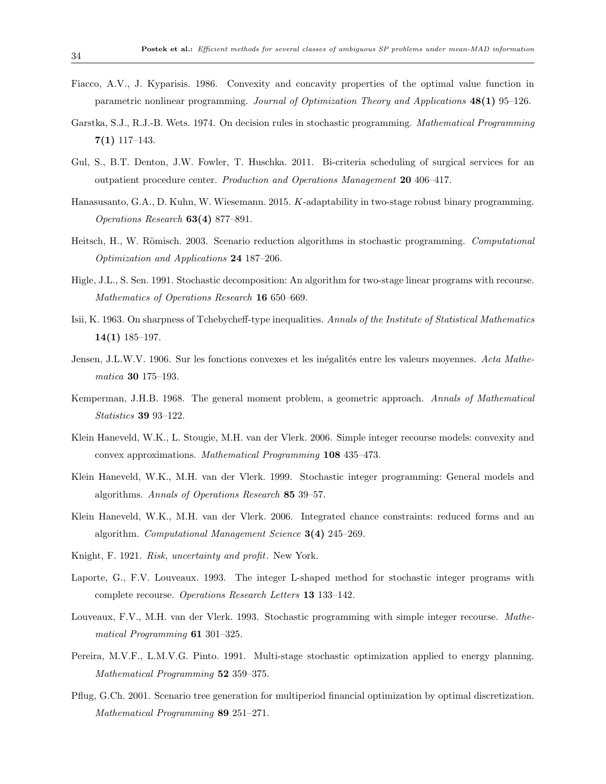- Fiacco, A.V., J. Kyparisis. 1986. Convexity and concavity properties of the optimal value function in parametric nonlinear programming. Journal of Optimization Theory and Applications 48(1) 95–126.
- Garstka, S.J., R.J.-B. Wets. 1974. On decision rules in stochastic programming. Mathematical Programming  $7(1)$  117–143.
- Gul, S., B.T. Denton, J.W. Fowler, T. Huschka. 2011. Bi-criteria scheduling of surgical services for an outpatient procedure center. Production and Operations Management 20 406-417.
- Hanasusanto, G.A., D. Kuhn, W. Wiesemann. 2015. K-adaptability in two-stage robust binary programming. Operations Research 63(4) 877–891.
- Heitsch, H., W. Römisch. 2003. Scenario reduction algorithms in stochastic programming. Computational Optimization and Applications 24 187–206.
- Higle, J.L., S. Sen. 1991. Stochastic decomposition: An algorithm for two-stage linear programs with recourse. Mathematics of Operations Research 16 650–669.
- Isii, K. 1963. On sharpness of Tchebycheff-type inequalities. Annals of the Institute of Statistical Mathematics 14(1) 185–197.
- Jensen, J.L.W.V. 1906. Sur les fonctions convexes et les inégalités entre les valeurs moyennes. Acta Mathematica 30 175–193.
- Kemperman, J.H.B. 1968. The general moment problem, a geometric approach. Annals of Mathematical Statistics 39 93–122.
- Klein Haneveld, W.K., L. Stougie, M.H. van der Vlerk. 2006. Simple integer recourse models: convexity and convex approximations. Mathematical Programming 108 435–473.
- Klein Haneveld, W.K., M.H. van der Vlerk. 1999. Stochastic integer programming: General models and algorithms. Annals of Operations Research 85 39–57.
- Klein Haneveld, W.K., M.H. van der Vlerk. 2006. Integrated chance constraints: reduced forms and an algorithm. Computational Management Science 3(4) 245–269.
- Knight, F. 1921. Risk, uncertainty and profit. New York.
- Laporte, G., F.V. Louveaux. 1993. The integer L-shaped method for stochastic integer programs with complete recourse. Operations Research Letters 13 133–142.
- Louveaux, F.V., M.H. van der Vlerk. 1993. Stochastic programming with simple integer recourse. Mathematical Programming 61 301–325.
- Pereira, M.V.F., L.M.V.G. Pinto. 1991. Multi-stage stochastic optimization applied to energy planning. Mathematical Programming 52 359–375.
- Pflug, G.Ch. 2001. Scenario tree generation for multiperiod financial optimization by optimal discretization. Mathematical Programming 89 251–271.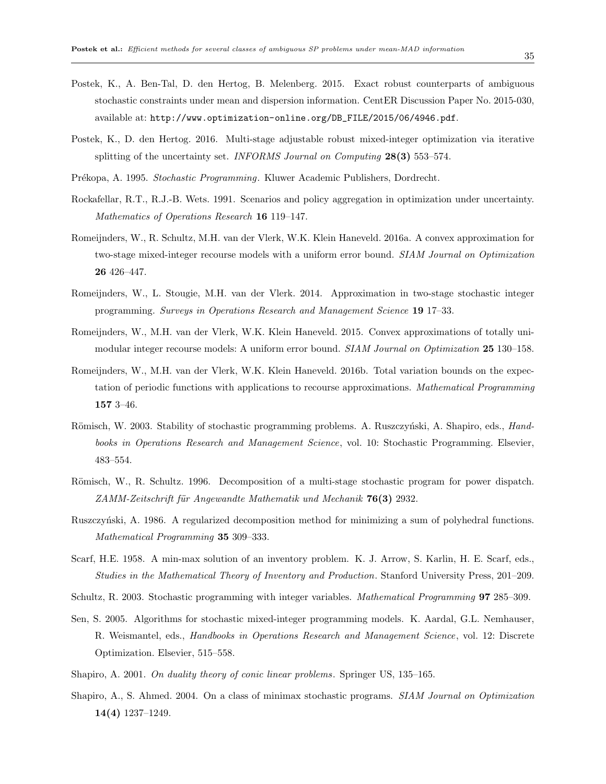- Postek, K., A. Ben-Tal, D. den Hertog, B. Melenberg. 2015. Exact robust counterparts of ambiguous stochastic constraints under mean and dispersion information. CentER Discussion Paper No. 2015-030, available at: http://www.optimization-online.org/DB\_FILE/2015/06/4946.pdf.
- Postek, K., D. den Hertog. 2016. Multi-stage adjustable robust mixed-integer optimization via iterative splitting of the uncertainty set. INFORMS Journal on Computing  $28(3)$  553–574.
- Pr´ekopa, A. 1995. Stochastic Programming. Kluwer Academic Publishers, Dordrecht.
- Rockafellar, R.T., R.J.-B. Wets. 1991. Scenarios and policy aggregation in optimization under uncertainty. Mathematics of Operations Research 16 119–147.
- Romeijnders, W., R. Schultz, M.H. van der Vlerk, W.K. Klein Haneveld. 2016a. A convex approximation for two-stage mixed-integer recourse models with a uniform error bound. SIAM Journal on Optimization 26 426–447.
- Romeijnders, W., L. Stougie, M.H. van der Vlerk. 2014. Approximation in two-stage stochastic integer programming. Surveys in Operations Research and Management Science 19 17–33.
- Romeijnders, W., M.H. van der Vlerk, W.K. Klein Haneveld. 2015. Convex approximations of totally unimodular integer recourse models: A uniform error bound. SIAM Journal on Optimization 25 130–158.
- Romeijnders, W., M.H. van der Vlerk, W.K. Klein Haneveld. 2016b. Total variation bounds on the expectation of periodic functions with applications to recourse approximations. Mathematical Programming 157 3–46.
- Römisch, W. 2003. Stability of stochastic programming problems. A. Ruszczyński, A. Shapiro, eds., Handbooks in Operations Research and Management Science, vol. 10: Stochastic Programming. Elsevier, 483–554.
- Römisch, W., R. Schultz. 1996. Decomposition of a multi-stage stochastic program for power dispatch.  $ZAMM-Zeitschrift für Anqewandte Mathematik und Mechanik 76(3) 2932.$
- Ruszczyński, A. 1986. A regularized decomposition method for minimizing a sum of polyhedral functions. Mathematical Programming 35 309–333.
- Scarf, H.E. 1958. A min-max solution of an inventory problem. K. J. Arrow, S. Karlin, H. E. Scarf, eds., Studies in the Mathematical Theory of Inventory and Production. Stanford University Press, 201–209.
- Schultz, R. 2003. Stochastic programming with integer variables. Mathematical Programming 97 285–309.
- Sen, S. 2005. Algorithms for stochastic mixed-integer programming models. K. Aardal, G.L. Nemhauser, R. Weismantel, eds., Handbooks in Operations Research and Management Science, vol. 12: Discrete Optimization. Elsevier, 515–558.
- Shapiro, A. 2001. On duality theory of conic linear problems. Springer US, 135–165.
- Shapiro, A., S. Ahmed. 2004. On a class of minimax stochastic programs. SIAM Journal on Optimization 14(4) 1237–1249.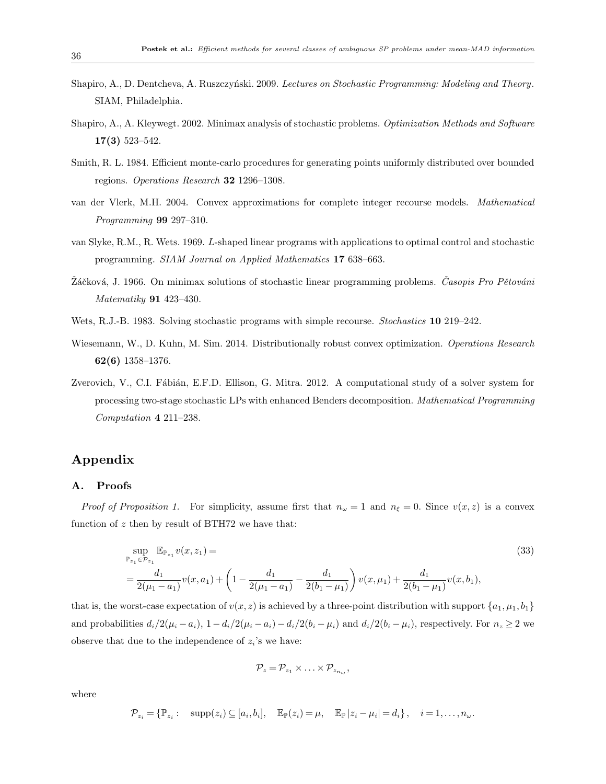- Shapiro, A., D. Dentcheva, A. Ruszczyński. 2009. Lectures on Stochastic Programming: Modeling and Theory. SIAM, Philadelphia.
- Shapiro, A., A. Kleywegt. 2002. Minimax analysis of stochastic problems. Optimization Methods and Software 17(3) 523–542.
- Smith, R. L. 1984. Efficient monte-carlo procedures for generating points uniformly distributed over bounded regions. Operations Research 32 1296–1308.
- van der Vlerk, M.H. 2004. Convex approximations for complete integer recourse models. Mathematical Programming 99 297–310.
- van Slyke, R.M., R. Wets. 1969. L-shaped linear programs with applications to optimal control and stochastic programming. SIAM Journal on Applied Mathematics 17 638–663.
- Záčková, J. 1966. On minimax solutions of stochastic linear programming problems. *Časopis Pro Pětováni* Matematiky 91 423–430.
- Wets, R.J.-B. 1983. Solving stochastic programs with simple recourse. *Stochastics* **10** 219–242.
- Wiesemann, W., D. Kuhn, M. Sim. 2014. Distributionally robust convex optimization. Operations Research 62(6) 1358–1376.
- Zverovich, V., C.I. Fábián, E.F.D. Ellison, G. Mitra. 2012. A computational study of a solver system for processing two-stage stochastic LPs with enhanced Benders decomposition. Mathematical Programming Computation 4 211–238.

## Appendix

#### A. Proofs

*Proof of Proposition 1.* For simplicity, assume first that  $n_{\omega} = 1$  and  $n_{\xi} = 0$ . Since  $v(x, z)$  is a convex function of  $z$  then by result of BTH72 we have that:

$$
\sup_{\mathbb{P}_{z_1} \in \mathcal{P}_{z_1}} \mathbb{E}_{\mathbb{P}_{z_1}} v(x, z_1) =
$$
\n
$$
= \frac{d_1}{2(\mu_1 - a_1)} v(x, a_1) + \left(1 - \frac{d_1}{2(\mu_1 - a_1)} - \frac{d_1}{2(b_1 - \mu_1)}\right) v(x, \mu_1) + \frac{d_1}{2(b_1 - \mu_1)} v(x, b_1),
$$
\n(33)

that is, the worst-case expectation of  $v(x, z)$  is achieved by a three-point distribution with support  $\{a_1, \mu_1, b_1\}$ and probabilities  $d_i/2(\mu_i - a_i)$ ,  $1 - d_i/2(\mu_i - a_i) - d_i/2(b_i - \mu_i)$  and  $d_i/2(b_i - \mu_i)$ , respectively. For  $n_z \ge 2$  we observe that due to the independence of  $z_i$ 's we have:

$$
\mathcal{P}_z=\mathcal{P}_{z_1}\times\ldots\times\mathcal{P}_{z_{n_{\omega}}},
$$

where

$$
\mathcal{P}_{z_i} = \{ \mathbb{P}_{z_i} : \operatorname{supp}(z_i) \subseteq [a_i, b_i], \mathbb{E}_{\mathbb{P}}(z_i) = \mu, \mathbb{E}_{\mathbb{P}} |z_i - \mu_i| = d_i \}, \quad i = 1, \dots, n_\omega.
$$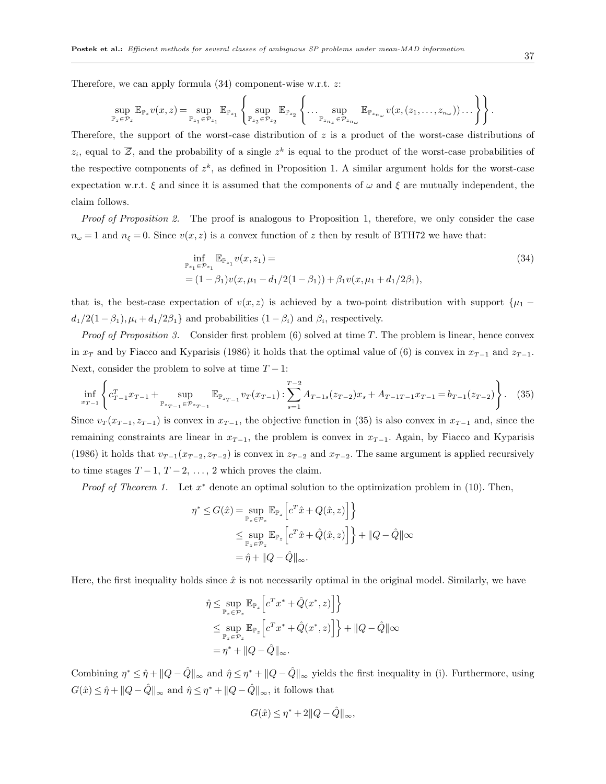Therefore, we can apply formula  $(34)$  component-wise w.r.t. z:

$$
\sup_{\mathbb{P}_z \in \mathcal{P}_z} \mathbb{E}_{\mathbb{P}_z} v(x, z) = \sup_{\mathbb{P}_{z_1} \in \mathcal{P}_{z_1}} \mathbb{E}_{\mathbb{P}_{z_1}} \left\{ \sup_{\mathbb{P}_{z_2} \in \mathcal{P}_{z_2}} \mathbb{E}_{\mathbb{P}_{z_2}} \left\{ \dots \sup_{\mathbb{P}_{z_{n_z}} \in \mathcal{P}_{z_{n_\omega}}} \mathbb{E}_{\mathbb{P}_{z_{n_\omega}}} v(x, (z_1, \dots, z_{n_\omega})) \dots \right\} \right\}.
$$

Therefore, the support of the worst-case distribution of z is a product of the worst-case distributions of  $z_i$ , equal to  $\overline{Z}$ , and the probability of a single  $z^k$  is equal to the product of the worst-case probabilities of the respective components of  $z^k$ , as defined in Proposition 1. A similar argument holds for the worst-case expectation w.r.t.  $\xi$  and since it is assumed that the components of  $\omega$  and  $\xi$  are mutually independent, the claim follows.

Proof of Proposition 2. The proof is analogous to Proposition 1, therefore, we only consider the case  $n_{\omega}=1$  and  $n_{\xi}=0$ . Since  $v(x, z)$  is a convex function of z then by result of BTH72 we have that:

$$
\inf_{\mathbb{P}_{z_1} \in \mathcal{P}_{z_1}} \mathbb{E}_{\mathbb{P}_{z_1}} v(x, z_1) =
$$
\n
$$
= (1 - \beta_1) v(x, \mu_1 - d_1/2(1 - \beta_1)) + \beta_1 v(x, \mu_1 + d_1/2\beta_1),
$$
\n(34)

that is, the best-case expectation of  $v(x, z)$  is achieved by a two-point distribution with support { $\mu_1$  −  $d_1/2(1-\beta_1), \mu_i + d_1/2\beta_1$  and probabilities  $(1-\beta_i)$  and  $\beta_i$ , respectively.

*Proof of Proposition 3.* Consider first problem  $(6)$  solved at time T. The problem is linear, hence convex in  $x_T$  and by Fiacco and Kyparisis (1986) it holds that the optimal value of (6) is convex in  $x_{T-1}$  and  $z_{T-1}$ . Next, consider the problem to solve at time  $T - 1$ :

$$
\inf_{x_{T-1}} \left\{ c_{T-1}^T x_{T-1} + \sup_{\mathbb{P}_{z_{T-1}} \in \mathcal{P}_{z_{T-1}}} \mathbb{E}_{\mathbb{P}_{z_{T-1}}} v_T(x_{T-1}) : \sum_{s=1}^{T-2} A_{T-1,s}(z_{T-2}) x_s + A_{T-1} v_{T-1} = b_{T-1}(z_{T-2}) \right\}.
$$
 (35)

Since  $v_T(x_{T-1}, z_{T-1})$  is convex in  $x_{T-1}$ , the objective function in (35) is also convex in  $x_{T-1}$  and, since the remaining constraints are linear in  $x_{T-1}$ , the problem is convex in  $x_{T-1}$ . Again, by Fiacco and Kyparisis (1986) it holds that  $v_{T-1}(x_{T-2}, z_{T-2})$  is convex in  $z_{T-2}$  and  $x_{T-2}$ . The same argument is applied recursively to time stages  $T-1$ ,  $T-2$ , ..., 2 which proves the claim.

*Proof of Theorem 1.* Let  $x^*$  denote an optimal solution to the optimization problem in (10). Then,

$$
\eta^* \leq G(\hat{x}) = \sup_{\mathbb{P}_z \in \mathcal{P}_z} \mathbb{E}_{\mathbb{P}_z} \left[ c^T \hat{x} + Q(\hat{x}, z) \right] \}
$$
  

$$
\leq \sup_{\mathbb{P}_z \in \mathcal{P}_z} \mathbb{E}_{\mathbb{P}_z} \left[ c^T \hat{x} + \hat{Q}(\hat{x}, z) \right] \} + ||Q - \hat{Q}|| \infty
$$
  

$$
= \hat{\eta} + ||Q - \hat{Q}||_{\infty}.
$$

Here, the first inequality holds since  $\hat{x}$  is not necessarily optimal in the original model. Similarly, we have

$$
\hat{\eta} \leq \sup_{\mathbb{P}_z \in \mathcal{P}_z} \mathbb{E}_{\mathbb{P}_z} \left[ c^T x^* + \hat{Q}(x^*, z) \right] \}
$$
  
\n
$$
\leq \sup_{\mathbb{P}_z \in \mathcal{P}_z} \mathbb{E}_{\mathbb{P}_z} \left[ c^T x^* + \hat{Q}(x^*, z) \right] \} + ||Q - \hat{Q}|| \infty
$$
  
\n
$$
= \eta^* + ||Q - \hat{Q}||_{\infty}.
$$

Combining  $\eta^* \leq \hat{\eta} + ||Q - \hat{Q}||_{\infty}$  and  $\hat{\eta} \leq \eta^* + ||Q - \hat{Q}||_{\infty}$  yields the first inequality in (i). Furthermore, using  $G(\hat{x}) \leq \hat{\eta} + ||Q - \hat{Q}||_{\infty}$  and  $\hat{\eta} \leq \eta^* + ||Q - \hat{Q}||_{\infty}$ , it follows that

$$
G(\hat{x}) \le \eta^* + 2||Q - \hat{Q}||_{\infty},
$$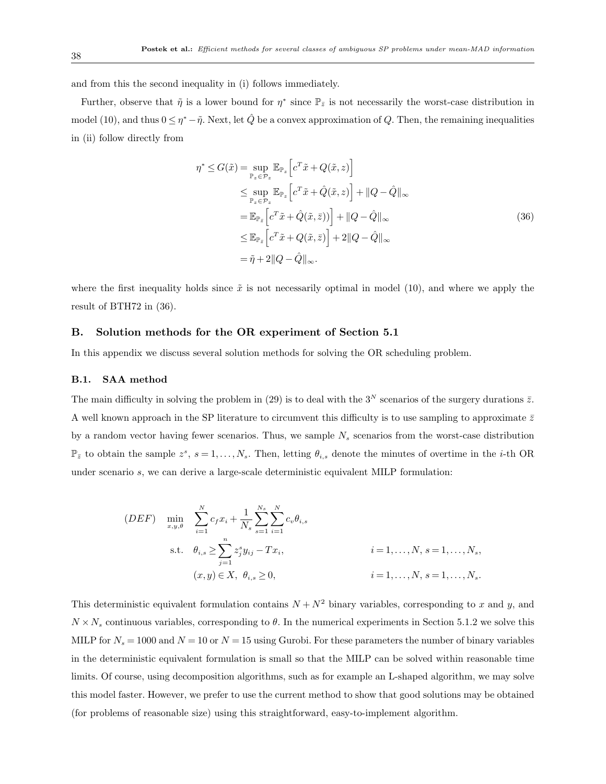and from this the second inequality in (i) follows immediately.

Further, observe that  $\tilde{\eta}$  is a lower bound for  $\eta^*$  since  $\mathbb{P}_{\bar{z}}$  is not necessarily the worst-case distribution in model (10), and thus  $0 \le \eta^* - \tilde{\eta}$ . Next, let  $\hat{Q}$  be a convex approximation of  $Q$ . Then, the remaining inequalities in (ii) follow directly from

$$
\eta^* \leq G(\tilde{x}) = \sup_{\mathbb{P}_z \in \mathcal{P}_z} \mathbb{E}_{\mathbb{P}_z} \left[ c^T \tilde{x} + Q(\tilde{x}, z) \right]
$$
  
\n
$$
\leq \sup_{\mathbb{P}_z \in \mathcal{P}_z} \mathbb{E}_{\mathbb{P}_z} \left[ c^T \tilde{x} + \hat{Q}(\tilde{x}, z) \right] + ||Q - \hat{Q}||_{\infty}
$$
  
\n
$$
= \mathbb{E}_{\mathbb{P}_{\tilde{z}}} \left[ c^T \tilde{x} + \hat{Q}(\tilde{x}, \bar{z}) \right] + ||Q - \hat{Q}||_{\infty}
$$
  
\n
$$
\leq \mathbb{E}_{\mathbb{P}_{\tilde{z}}} \left[ c^T \tilde{x} + Q(\tilde{x}, \bar{z}) \right] + 2||Q - \hat{Q}||_{\infty}
$$
  
\n
$$
= \tilde{\eta} + 2||Q - \hat{Q}||_{\infty}.
$$
  
\n(36)

where the first inequality holds since  $\tilde{x}$  is not necessarily optimal in model (10), and where we apply the result of BTH72 in (36).

#### B. Solution methods for the OR experiment of Section 5.1

In this appendix we discuss several solution methods for solving the OR scheduling problem.

#### B.1. SAA method

The main difficulty in solving the problem in (29) is to deal with the 3<sup>N</sup> scenarios of the surgery durations  $\bar{z}$ . A well known approach in the SP literature to circumvent this difficulty is to use sampling to approximate  $\bar{z}$ by a random vector having fewer scenarios. Thus, we sample  $N_s$  scenarios from the worst-case distribution  $\mathbb{P}_{\bar{z}}$  to obtain the sample  $z^s$ ,  $s = 1, \ldots, N_s$ . Then, letting  $\theta_{i,s}$  denote the minutes of overtime in the *i*-th OR under scenario s, we can derive a large-scale deterministic equivalent MILP formulation:

$$
(DEF) \quad \min_{x,y,\theta} \quad \sum_{i=1}^{N} c_{f}x_{i} + \frac{1}{N_{s}} \sum_{s=1}^{N_{s}} \sum_{i=1}^{N} c_{v} \theta_{i,s}
$$
\n
$$
\text{s.t.} \quad \theta_{i,s} \ge \sum_{j=1}^{n} z_{j}^{s} y_{ij} - Tx_{i}, \qquad i = 1, \dots, N, s = 1, \dots, N_{s},
$$
\n
$$
(x,y) \in X, \ \theta_{i,s} \ge 0, \qquad i = 1, \dots, N, s = 1, \dots, N_{s}.
$$

This deterministic equivalent formulation contains  $N + N^2$  binary variables, corresponding to x and y, and  $N \times N_s$  continuous variables, corresponding to  $\theta$ . In the numerical experiments in Section 5.1.2 we solve this MILP for  $N_s = 1000$  and  $N = 10$  or  $N = 15$  using Gurobi. For these parameters the number of binary variables in the deterministic equivalent formulation is small so that the MILP can be solved within reasonable time limits. Of course, using decomposition algorithms, such as for example an L-shaped algorithm, we may solve this model faster. However, we prefer to use the current method to show that good solutions may be obtained (for problems of reasonable size) using this straightforward, easy-to-implement algorithm.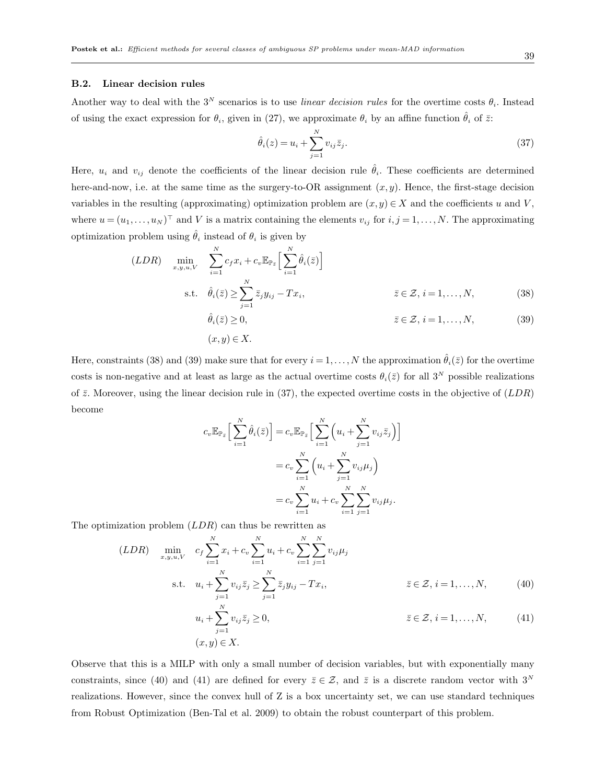#### B.2. Linear decision rules

Another way to deal with the  $3^N$  scenarios is to use *linear decision rules* for the overtime costs  $\theta_i$ . Instead of using the exact expression for  $\theta_i$ , given in (27), we approximate  $\theta_i$  by an affine function  $\hat{\theta}_i$  of  $\bar{z}$ :

$$
\hat{\theta}_i(z) = u_i + \sum_{j=1}^N v_{ij} \bar{z}_j.
$$
\n(37)

Here,  $u_i$  and  $v_{ij}$  denote the coefficients of the linear decision rule  $\hat{\theta}_i$ . These coefficients are determined here-and-now, i.e. at the same time as the surgery-to-OR assignment  $(x, y)$ . Hence, the first-stage decision variables in the resulting (approximating) optimization problem are  $(x, y) \in X$  and the coefficients u and V, where  $u = (u_1, \ldots, u_N)^\top$  and V is a matrix containing the elements  $v_{ij}$  for  $i, j = 1, \ldots, N$ . The approximating optimization problem using  $\hat{\theta}_i$  instead of  $\theta_i$  is given by

$$
(LDR) \quad \min_{x,y,u,V} \quad \sum_{i=1}^{N} c_f x_i + c_v \mathbb{E}_{\mathbb{P}_{\bar{z}}} \Big[ \sum_{i=1}^{N} \hat{\theta}_i(\bar{z}) \Big]
$$
\n
$$
\text{s.t.} \quad \hat{\theta}_i(\bar{z}) \ge \sum_{j=1}^{N} \bar{z}_j y_{ij} - Tx_i, \qquad \bar{z} \in \mathcal{Z}, i = 1, \dots, N, \qquad (38)
$$
\n
$$
\hat{\theta}_i(\bar{z}) \ge 0, \qquad \bar{z} \in \mathcal{Z}, i = 1, \dots, N, \qquad (39)
$$

$$
(x,y)\in X.
$$

Here, constraints (38) and (39) make sure that for every  $i = 1, ..., N$  the approximation  $\hat{\theta}_i(\bar{z})$  for the overtime costs is non-negative and at least as large as the actual overtime costs  $\theta_i(\bar{z})$  for all 3<sup>N</sup> possible realizations of  $\bar{z}$ . Moreover, using the linear decision rule in (37), the expected overtime costs in the objective of  $(LDR)$ become

$$
c_v \mathbb{E}_{\mathbb{P}_{\bar{z}}} \Big[ \sum_{i=1}^N \hat{\theta}_i(\bar{z}) \Big] = c_v \mathbb{E}_{\mathbb{P}_{\bar{z}}} \Big[ \sum_{i=1}^N \left( u_i + \sum_{j=1}^N v_{ij} \bar{z}_j \right) \Big]
$$
  

$$
= c_v \sum_{i=1}^N \left( u_i + \sum_{j=1}^N v_{ij} \mu_j \right)
$$
  

$$
= c_v \sum_{i=1}^N u_i + c_v \sum_{i=1}^N \sum_{j=1}^N v_{ij} \mu_j.
$$

The optimization problem  $(LDR)$  can thus be rewritten as

$$
(LDR) \quad \min_{x,y,u,V} \quad c_f \sum_{i=1}^{N} x_i + c_v \sum_{i=1}^{N} u_i + c_v \sum_{i=1}^{N} \sum_{j=1}^{N} v_{ij} \mu_j
$$
\n
$$
\text{s.t.} \quad u_i + \sum_{j=1}^{N} v_{ij} \bar{z}_j \ge \sum_{j=1}^{N} \bar{z}_j y_{ij} - T x_i, \qquad \bar{z} \in \mathcal{Z}, \, i = 1, \dots, N, \tag{40}
$$

$$
u_i + \sum_{j=1}^{N} v_{ij} \bar{z}_j \ge 0,
$$
  
\n
$$
\bar{z} \in \mathcal{Z}, i = 1, \dots, N,
$$
  
\n
$$
(41)
$$
  
\n
$$
(x, y) \in X.
$$

Observe that this is a MILP with only a small number of decision variables, but with exponentially many constraints, since (40) and (41) are defined for every  $\bar{z} \in \mathcal{Z}$ , and  $\bar{z}$  is a discrete random vector with 3<sup>N</sup> realizations. However, since the convex hull of Z is a box uncertainty set, we can use standard techniques from Robust Optimization (Ben-Tal et al. 2009) to obtain the robust counterpart of this problem.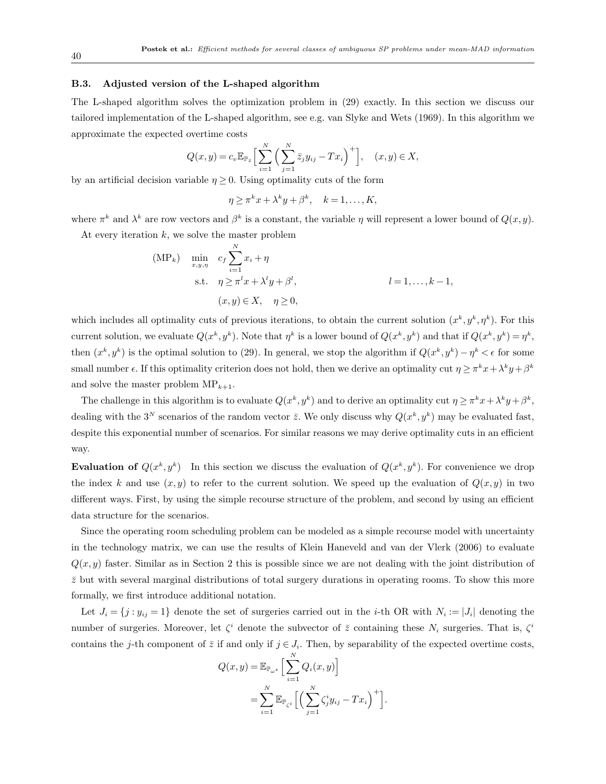#### B.3. Adjusted version of the L-shaped algorithm

The L-shaped algorithm solves the optimization problem in (29) exactly. In this section we discuss our tailored implementation of the L-shaped algorithm, see e.g. van Slyke and Wets (1969). In this algorithm we approximate the expected overtime costs

$$
Q(x,y) = c_v \mathbb{E}_{\mathbb{P}_{\bar{z}}} \Big[ \sum_{i=1}^{N} \Big( \sum_{j=1}^{N} \bar{z}_j y_{ij} - Tx_i \Big)^+ \Big], \quad (x,y) \in X,
$$

by an artificial decision variable  $\eta \geq 0$ . Using optimality cuts of the form

$$
\eta \geq \pi^k x + \lambda^k y + \beta^k, \quad k = 1, \dots, K,
$$

where  $\pi^k$  and  $\lambda^k$  are row vectors and  $\beta^k$  is a constant, the variable  $\eta$  will represent a lower bound of  $Q(x, y)$ .

At every iteration  $k$ , we solve the master problem

$$
\begin{aligned}\n\text{(MP}_k) \quad & \min_{x,y,\eta} \quad c_f \sum_{i=1}^N x_i + \eta \\
\text{s.t.} \quad & \eta \ge \pi^l x + \lambda^l y + \beta^l, \\
& (x,y) \in X, \quad \eta \ge 0,\n\end{aligned}
$$
\n
$$
l = 1, \dots, k-1,
$$

which includes all optimality cuts of previous iterations, to obtain the current solution  $(x^k, y^k, \eta^k)$ . For this current solution, we evaluate  $Q(x^k, y^k)$ . Note that  $\eta^k$  is a lower bound of  $Q(x^k, y^k)$  and that if  $Q(x^k, y^k) = \eta^k$ , then  $(x^k, y^k)$  is the optimal solution to (29). In general, we stop the algorithm if  $Q(x^k, y^k) - \eta^k < \epsilon$  for some small number  $\epsilon$ . If this optimality criterion does not hold, then we derive an optimality cut  $\eta \geq \pi^k x + \lambda^k y + \beta^k$ and solve the master problem  $\text{MP}_{k+1}$ .

The challenge in this algorithm is to evaluate  $Q(x^k, y^k)$  and to derive an optimality cut  $\eta \geq \pi^k x + \lambda^k y + \beta^k$ , dealing with the 3<sup>N</sup> scenarios of the random vector  $\bar{z}$ . We only discuss why  $Q(x^k, y^k)$  may be evaluated fast, despite this exponential number of scenarios. For similar reasons we may derive optimality cuts in an efficient way.

**Evaluation of**  $Q(x^k, y^k)$  In this section we discuss the evaluation of  $Q(x^k, y^k)$ . For convenience we drop the index k and use  $(x, y)$  to refer to the current solution. We speed up the evaluation of  $Q(x, y)$  in two different ways. First, by using the simple recourse structure of the problem, and second by using an efficient data structure for the scenarios.

Since the operating room scheduling problem can be modeled as a simple recourse model with uncertainty in the technology matrix, we can use the results of Klein Haneveld and van der Vlerk (2006) to evaluate  $Q(x, y)$  faster. Similar as in Section 2 this is possible since we are not dealing with the joint distribution of  $\bar{z}$  but with several marginal distributions of total surgery durations in operating rooms. To show this more formally, we first introduce additional notation.

Let  $J_i = \{j : y_{ij} = 1\}$  denote the set of surgeries carried out in the *i*-th OR with  $N_i := |J_i|$  denoting the number of surgeries. Moreover, let  $\zeta^i$  denote the subvector of  $\bar{z}$  containing these  $N_i$  surgeries. That is,  $\zeta^i$ contains the j-th component of  $\overline{z}$  if and only if  $j \in J_i$ . Then, by separability of the expected overtime costs,

$$
Q(x, y) = \mathbb{E}_{\mathbb{P}_{\omega^*}} \left[ \sum_{i=1}^N Q_i(x, y) \right]
$$
  
= 
$$
\sum_{i=1}^N \mathbb{E}_{\mathbb{P}_{\zeta^i}} \left[ \left( \sum_{j=1}^N \zeta_j^i y_{ij} - Tx_i \right)^+ \right].
$$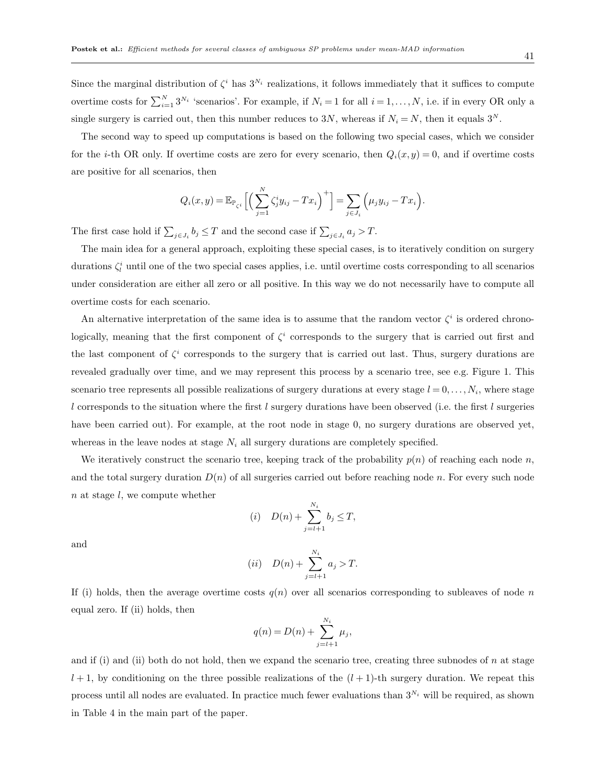Since the marginal distribution of  $\zeta^i$  has  $3^{N_i}$  realizations, it follows immediately that it suffices to compute overtime costs for  $\sum_{i=1}^{N} 3^{N_i}$  'scenarios'. For example, if  $N_i = 1$  for all  $i = 1, ..., N$ , i.e. if in every OR only a single surgery is carried out, then this number reduces to 3N, whereas if  $N_i = N$ , then it equals 3<sup>N</sup>.

The second way to speed up computations is based on the following two special cases, which we consider for the *i*-th OR only. If overtime costs are zero for every scenario, then  $Q_i(x, y) = 0$ , and if overtime costs are positive for all scenarios, then

$$
Q_i(x,y) = \mathbb{E}_{\mathbb{P}_{\zeta^i}}\Big[\Big(\sum_{j=1}^N \zeta_j^i y_{ij} - Tx_i\Big)^+\Big] = \sum_{j \in J_i} \Big(\mu_j y_{ij} - Tx_i\Big).
$$

The first case hold if  $\sum_{j\in J_i} b_j \leq T$  and the second case if  $\sum_{j\in J_i} a_j > T$ .

The main idea for a general approach, exploiting these special cases, is to iteratively condition on surgery durations  $\zeta_i^i$  until one of the two special cases applies, i.e. until overtime costs corresponding to all scenarios under consideration are either all zero or all positive. In this way we do not necessarily have to compute all overtime costs for each scenario.

An alternative interpretation of the same idea is to assume that the random vector  $\zeta^i$  is ordered chronologically, meaning that the first component of  $\zeta^i$  corresponds to the surgery that is carried out first and the last component of  $\zeta^i$  corresponds to the surgery that is carried out last. Thus, surgery durations are revealed gradually over time, and we may represent this process by a scenario tree, see e.g. Figure 1. This scenario tree represents all possible realizations of surgery durations at every stage  $l = 0, \ldots, N_i$ , where stage l corresponds to the situation where the first l surgery durations have been observed (i.e. the first l surgeries have been carried out). For example, at the root node in stage 0, no surgery durations are observed yet, whereas in the leave nodes at stage  $N_i$  all surgery durations are completely specified.

We iteratively construct the scenario tree, keeping track of the probability  $p(n)$  of reaching each node n, and the total surgery duration  $D(n)$  of all surgeries carried out before reaching node n. For every such node n at stage l, we compute whether

$$
(i) \quad D(n) + \sum_{j=l+1}^{N_i} b_j \le T,
$$

and

(ii) 
$$
D(n) + \sum_{j=l+1}^{N_i} a_j > T.
$$

If (i) holds, then the average overtime costs  $q(n)$  over all scenarios corresponding to subleaves of node n equal zero. If (ii) holds, then

$$
q(n) = D(n) + \sum_{j=l+1}^{N_i} \mu_j,
$$

and if (i) and (ii) both do not hold, then we expand the scenario tree, creating three subnodes of  $n$  at stage  $l+1$ , by conditioning on the three possible realizations of the  $(l+1)$ -th surgery duration. We repeat this process until all nodes are evaluated. In practice much fewer evaluations than  $3^{N_i}$  will be required, as shown in Table 4 in the main part of the paper.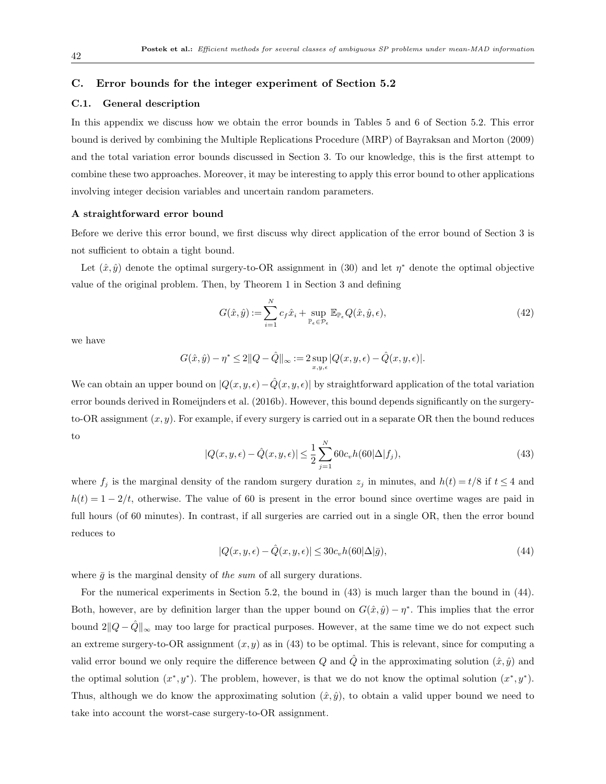#### C. Error bounds for the integer experiment of Section 5.2

#### C.1. General description

In this appendix we discuss how we obtain the error bounds in Tables 5 and 6 of Section 5.2. This error bound is derived by combining the Multiple Replications Procedure (MRP) of Bayraksan and Morton (2009) and the total variation error bounds discussed in Section 3. To our knowledge, this is the first attempt to combine these two approaches. Moreover, it may be interesting to apply this error bound to other applications involving integer decision variables and uncertain random parameters.

#### A straightforward error bound

Before we derive this error bound, we first discuss why direct application of the error bound of Section 3 is not sufficient to obtain a tight bound.

Let  $(\hat{x}, \hat{y})$  denote the optimal surgery-to-OR assignment in (30) and let  $\eta^*$  denote the optimal objective value of the original problem. Then, by Theorem 1 in Section 3 and defining

$$
G(\hat{x}, \hat{y}) := \sum_{i=1}^{N} c_f \hat{x}_i + \sup_{\mathbb{P}_{\epsilon} \in \mathcal{P}_{\epsilon}} \mathbb{E}_{\mathbb{P}_{\epsilon}} Q(\hat{x}, \hat{y}, \epsilon), \tag{42}
$$

we have

$$
G(\hat{x}, \hat{y}) - \eta^* \leq 2\|Q - \hat{Q}\|_{\infty} := 2 \sup_{x,y,\epsilon} |Q(x,y,\epsilon) - \hat{Q}(x,y,\epsilon)|.
$$

We can obtain an upper bound on  $|Q(x, y, \epsilon) - \hat{Q}(x, y, \epsilon)|$  by straightforward application of the total variation error bounds derived in Romeijnders et al. (2016b). However, this bound depends significantly on the surgeryto-OR assignment  $(x, y)$ . For example, if every surgery is carried out in a separate OR then the bound reduces to

$$
|Q(x, y, \epsilon) - \hat{Q}(x, y, \epsilon)| \le \frac{1}{2} \sum_{j=1}^{N} 60c_v h(60|\Delta|f_j),
$$
\n(43)

where  $f_j$  is the marginal density of the random surgery duration  $z_j$  in minutes, and  $h(t) = t/8$  if  $t \leq 4$  and  $h(t) = 1 - 2/t$ , otherwise. The value of 60 is present in the error bound since overtime wages are paid in full hours (of 60 minutes). In contrast, if all surgeries are carried out in a single OR, then the error bound reduces to

$$
|Q(x, y, \epsilon) - \hat{Q}(x, y, \epsilon)| \le 30c_v h(60|\Delta|\bar{g}),\tag{44}
$$

where  $\bar{q}$  is the marginal density of the sum of all surgery durations.

For the numerical experiments in Section 5.2, the bound in (43) is much larger than the bound in (44). Both, however, are by definition larger than the upper bound on  $G(\hat{x}, \hat{y}) - \eta^*$ . This implies that the error bound  $2||Q - \hat{Q}||_{\infty}$  may too large for practical purposes. However, at the same time we do not expect such an extreme surgery-to-OR assignment  $(x, y)$  as in (43) to be optimal. This is relevant, since for computing a valid error bound we only require the difference between Q and Q in the approximating solution  $(\hat{x}, \hat{y})$  and the optimal solution  $(x^*, y^*)$ . The problem, however, is that we do not know the optimal solution  $(x^*, y^*)$ . Thus, although we do know the approximating solution  $(\hat{x}, \hat{y})$ , to obtain a valid upper bound we need to take into account the worst-case surgery-to-OR assignment.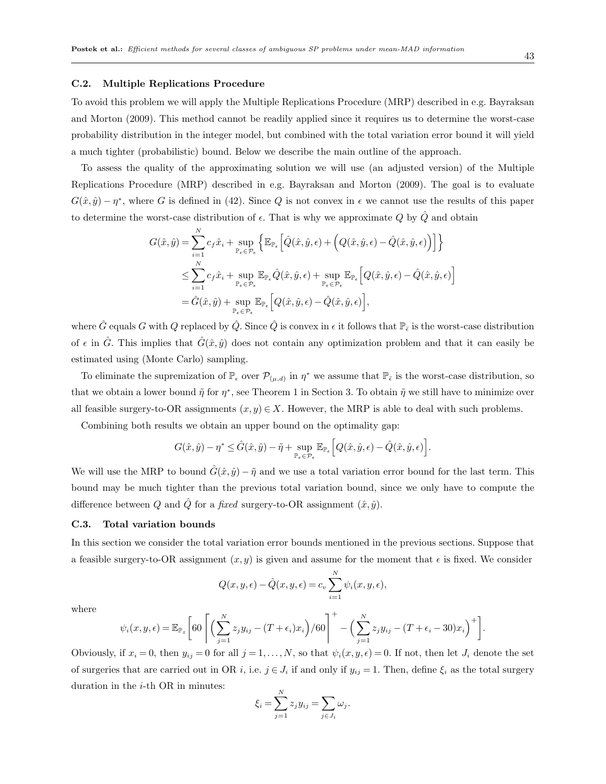#### C.2. Multiple Replications Procedure

To avoid this problem we will apply the Multiple Replications Procedure (MRP) described in e.g. Bayraksan and Morton (2009). This method cannot be readily applied since it requires us to determine the worst-case probability distribution in the integer model, but combined with the total variation error bound it will yield a much tighter (probabilistic) bound. Below we describe the main outline of the approach.

To assess the quality of the approximating solution we will use (an adjusted version) of the Multiple Replications Procedure (MRP) described in e.g. Bayraksan and Morton (2009). The goal is to evaluate  $G(\hat{x}, \hat{y}) - \eta^*$ , where G is defined in (42). Since Q is not convex in  $\epsilon$  we cannot use the results of this paper to determine the worst-case distribution of  $\epsilon$ . That is why we approximate Q by  $\hat{Q}$  and obtain

$$
G(\hat{x}, \hat{y}) = \sum_{i=1}^{N} c_{f} \hat{x}_{i} + \sup_{\mathbb{P}_{\epsilon} \in \mathcal{P}_{\epsilon}} \left\{ \mathbb{E}_{\mathbb{P}_{\epsilon}} \left[ \hat{Q}(\hat{x}, \hat{y}, \epsilon) + \left( Q(\hat{x}, \hat{y}, \epsilon) - \hat{Q}(\hat{x}, \hat{y}, \epsilon) \right) \right] \right\}
$$
  

$$
\leq \sum_{i=1}^{N} c_{f} \hat{x}_{i} + \sup_{\mathbb{P}_{\epsilon} \in \mathcal{P}_{\epsilon}} \mathbb{E}_{\mathbb{P}_{\epsilon}} \hat{Q}(\hat{x}, \hat{y}, \epsilon) + \sup_{\mathbb{P}_{\epsilon} \in \mathcal{P}_{\epsilon}} \mathbb{E}_{\mathbb{P}_{\epsilon}} \left[ Q(\hat{x}, \hat{y}, \epsilon) - \hat{Q}(\hat{x}, \hat{y}, \epsilon) \right]
$$
  

$$
= \hat{G}(\hat{x}, \hat{y}) + \sup_{\mathbb{P}_{\epsilon} \in \mathcal{P}_{\epsilon}} \mathbb{E}_{\mathbb{P}_{\epsilon}} \left[ Q(\hat{x}, \hat{y}, \epsilon) - \hat{Q}(\hat{x}, \hat{y}, \epsilon) \right],
$$

where  $\hat{G}$  equals G with Q replaced by  $\hat{Q}$ . Since  $\hat{Q}$  is convex in  $\epsilon$  it follows that  $\mathbb{P}_{\bar{\epsilon}}$  is the worst-case distribution of  $\epsilon$  in  $\hat{G}$ . This implies that  $\hat{G}(\hat{x}, \hat{y})$  does not contain any optimization problem and that it can easily be estimated using (Monte Carlo) sampling.

To eliminate the supremization of  $\mathbb{P}_{\epsilon}$  over  $\mathcal{P}_{(\mu,d)}$  in  $\eta^*$  we assume that  $\mathbb{P}_{\epsilon}$  is the worst-case distribution, so that we obtain a lower bound  $\tilde{\eta}$  for  $\eta^*$ , see Theorem 1 in Section 3. To obtain  $\tilde{\eta}$  we still have to minimize over all feasible surgery-to-OR assignments  $(x, y) \in X$ . However, the MRP is able to deal with such problems.

Combining both results we obtain an upper bound on the optimality gap:

$$
G(\hat{x}, \hat{y}) - \eta^* \leq \hat{G}(\hat{x}, \hat{y}) - \tilde{\eta} + \sup_{\mathbb{P}_{\epsilon} \in \mathcal{P}_{\epsilon}} \mathbb{E}_{\mathbb{P}_{\epsilon}} \Big[ Q(\hat{x}, \hat{y}, \epsilon) - \hat{Q}(\hat{x}, \hat{y}, \epsilon) \Big].
$$

We will use the MRP to bound  $\tilde{G}(\hat{x}, \hat{y}) - \tilde{\eta}$  and we use a total variation error bound for the last term. This bound may be much tighter than the previous total variation bound, since we only have to compute the difference between Q and Q for a fixed surgery-to-OR assignment  $(\hat{x}, \hat{y})$ .

#### C.3. Total variation bounds

In this section we consider the total variation error bounds mentioned in the previous sections. Suppose that a feasible surgery-to-OR assignment  $(x, y)$  is given and assume for the moment that  $\epsilon$  is fixed. We consider

$$
Q(x, y, \epsilon) - \hat{Q}(x, y, \epsilon) = c_v \sum_{i=1}^{N} \psi_i(x, y, \epsilon),
$$

where

$$
\psi_i(x, y, \epsilon) = \mathbb{E}_{\mathbb{P}_z} \bigg[ 60 \left[ \left( \sum_{j=1}^N z_j y_{ij} - (T + \epsilon_i) x_i \right) / 60 \right]^+ - \left( \sum_{j=1}^N z_j y_{ij} - (T + \epsilon_i - 30) x_i \right)^+ \bigg].
$$

Obviously, if  $x_i = 0$ , then  $y_{ij} = 0$  for all  $j = 1, ..., N$ , so that  $\psi_i(x, y, \epsilon) = 0$ . If not, then let  $J_i$  denote the set of surgeries that are carried out in OR i, i.e.  $j \in J_i$  if and only if  $y_{ij} = 1$ . Then, define  $\xi_i$  as the total surgery duration in the  $i$ -th OR in minutes:

$$
\xi_i = \sum_{j=1}^N z_j y_{ij} = \sum_{j \in J_i} \omega_j.
$$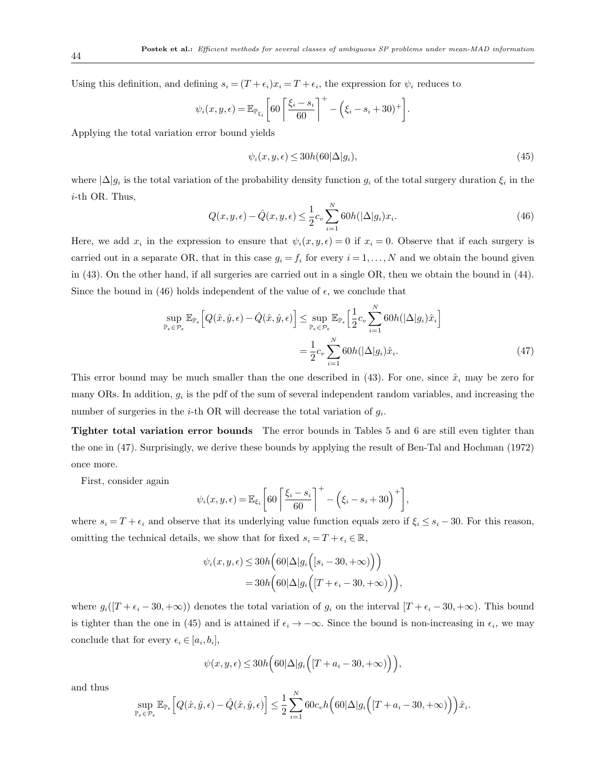Using this definition, and defining  $s_i = (T + \epsilon_i)x_i = T + \epsilon_i$ , the expression for  $\psi_i$  reduces to

$$
\psi_i(x, y, \epsilon) = \mathbb{E}_{\mathbb{P}_{\xi_i}} \left[ 60 \left[ \frac{\xi_i - s_i}{60} \right]^+ - \left( \xi_i - s_i + 30 \right)^+ \right].
$$

Applying the total variation error bound yields

$$
\psi_i(x, y, \epsilon) \le 30h(60|\Delta|g_i),\tag{45}
$$

where  $\Delta |g_i|$  is the total variation of the probability density function  $g_i$  of the total surgery duration  $\xi_i$  in the i-th OR. Thus,

$$
Q(x, y, \epsilon) - \hat{Q}(x, y, \epsilon) \le \frac{1}{2} c_v \sum_{i=1}^{N} 60h(|\Delta|g_i)x_i.
$$
\n(46)

Here, we add  $x_i$  in the expression to ensure that  $\psi_i(x, y, \epsilon) = 0$  if  $x_i = 0$ . Observe that if each surgery is carried out in a separate OR, that in this case  $g_i = f_i$  for every  $i = 1, ..., N$  and we obtain the bound given in (43). On the other hand, if all surgeries are carried out in a single OR, then we obtain the bound in (44). Since the bound in (46) holds independent of the value of  $\epsilon$ , we conclude that

$$
\sup_{\mathbb{P}_{\epsilon} \in \mathcal{P}_{\epsilon}} \mathbb{E}_{\mathbb{P}_{\epsilon}} \Big[ Q(\hat{x}, \hat{y}, \epsilon) - \hat{Q}(\hat{x}, \hat{y}, \epsilon) \Big] \leq \sup_{\mathbb{P}_{\epsilon} \in \mathcal{P}_{\epsilon}} \mathbb{E}_{\mathbb{P}_{\epsilon}} \Big[ \frac{1}{2} c_v \sum_{i=1}^{N} 60h(|\Delta|g_i)\hat{x}_i \Big] \n= \frac{1}{2} c_v \sum_{i=1}^{N} 60h(|\Delta|g_i)\hat{x}_i.
$$
\n(47)

This error bound may be much smaller than the one described in (43). For one, since  $\hat{x}_i$  may be zero for many ORs. In addition,  $g_i$  is the pdf of the sum of several independent random variables, and increasing the number of surgeries in the *i*-th OR will decrease the total variation of  $g_i$ .

Tighter total variation error bounds The error bounds in Tables 5 and 6 are still even tighter than the one in (47). Surprisingly, we derive these bounds by applying the result of Ben-Tal and Hochman (1972) once more.

First, consider again

$$
\psi_i(x, y, \epsilon) = \mathbb{E}_{\xi_i} \left[ 60 \left[ \frac{\xi_i - s_i}{60} \right]^+ - \left( \xi_i - s_i + 30 \right)^+ \right],
$$

where  $s_i = T + \epsilon_i$  and observe that its underlying value function equals zero if  $\xi_i \leq s_i - 30$ . For this reason, omitting the technical details, we show that for fixed  $s_i = T + \epsilon_i \in \mathbb{R}$ ,

$$
\psi_i(x, y, \epsilon) \le 30h \big( 60|\Delta|g_i\Big([s_i - 30, +\infty)\Big) \big) \n= 30h \big( 60|\Delta|g_i\Big([T + \epsilon_i - 30, +\infty)\Big) \big),
$$

where  $g_i([T + \epsilon_i - 30, +\infty))$  denotes the total variation of  $g_i$  on the interval  $[T + \epsilon_i - 30, +\infty)$ . This bound is tighter than the one in (45) and is attained if  $\epsilon_i \to -\infty$ . Since the bound is non-increasing in  $\epsilon_i$ , we may conclude that for every  $\epsilon_i \in [a_i, b_i],$ 

$$
\psi(x, y, \epsilon) \le 30h \Big( 60|\Delta|g_i\Big( [T + a_i - 30, +\infty) \Big) \Big),
$$

and thus

$$
\sup_{\mathbb{P}_{\epsilon} \in \mathcal{P}_{\epsilon}} \mathbb{E}_{\mathbb{P}_{\epsilon}} \Big[ Q(\hat{x}, \hat{y}, \epsilon) - \hat{Q}(\hat{x}, \hat{y}, \epsilon) \Big] \le \frac{1}{2} \sum_{i=1}^{N} 60 c_v h \Big( 60 |\Delta| g_i \Big( [T + a_i - 30, +\infty) \Big) \Big) \hat{x}_i.
$$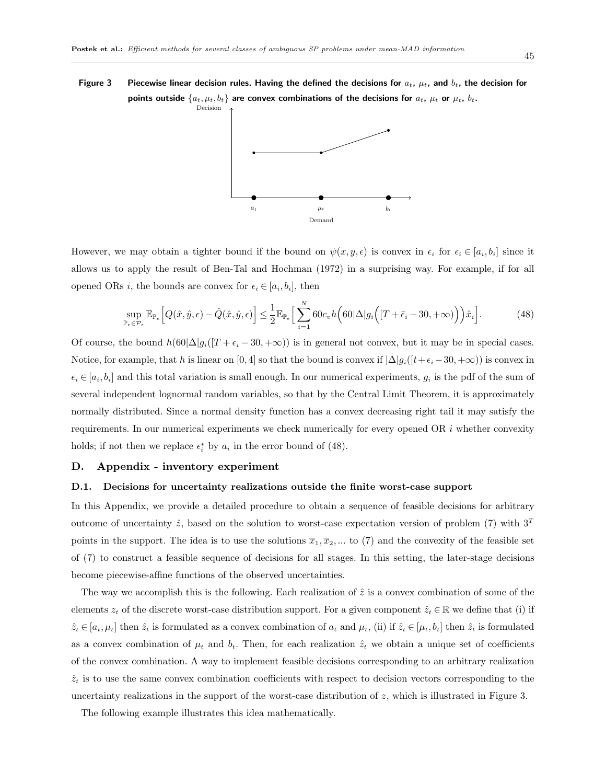## Figure 3 Piecewise linear decision rules. Having the defined the decisions for  $a_t$ ,  $\mu_t$ , and  $b_t$ , the decision for points outside  $\{a_t, \mu_t, b_t\}$  are convex combinations of the decisions for  $a_t$ ,  $\mu_t$  or  $\mu_t$ ,  $b_t$ .



However, we may obtain a tighter bound if the bound on  $\psi(x, y, \epsilon)$  is convex in  $\epsilon_i$  for  $\epsilon_i \in [a_i, b_i]$  since it allows us to apply the result of Ben-Tal and Hochman (1972) in a surprising way. For example, if for all opened ORs *i*, the bounds are convex for  $\epsilon_i \in [a_i, b_i]$ , then

$$
\sup_{\mathbb{P}_{\epsilon} \in \mathcal{P}_{\epsilon}} \mathbb{E}_{\mathbb{P}_{\epsilon}} \Big[ Q(\hat{x}, \hat{y}, \epsilon) - \hat{Q}(\hat{x}, \hat{y}, \epsilon) \Big] \le \frac{1}{2} \mathbb{E}_{\mathbb{P}_{\bar{\epsilon}}} \Big[ \sum_{i=1}^{N} 60 c_v h \Big( 60 |\Delta| g_i \Big( [T + \bar{\epsilon}_i - 30, + \infty) \Big) \Big) \hat{x}_i \Big]. \tag{48}
$$

Of course, the bound  $h(60|\Delta)g_i([T + \epsilon_i - 30, +\infty))$  is in general not convex, but it may be in special cases. Notice, for example, that h is linear on [0, 4] so that the bound is convex if  $\Delta |g_i([t+\epsilon_i-30,+\infty))$  is convex in  $\epsilon_i \in [a_i, b_i]$  and this total variation is small enough. In our numerical experiments,  $g_i$  is the pdf of the sum of several independent lognormal random variables, so that by the Central Limit Theorem, it is approximately normally distributed. Since a normal density function has a convex decreasing right tail it may satisfy the requirements. In our numerical experiments we check numerically for every opened OR  $i$  whether convexity holds; if not then we replace  $\epsilon_i^*$  by  $a_i$  in the error bound of (48).

#### D. Appendix - inventory experiment

#### D.1. Decisions for uncertainty realizations outside the finite worst-case support

In this Appendix, we provide a detailed procedure to obtain a sequence of feasible decisions for arbitrary outcome of uncertainty  $\hat{z}$ , based on the solution to worst-case expectation version of problem (7) with  $3<sup>T</sup>$ points in the support. The idea is to use the solutions  $\overline{x}_1, \overline{x}_2, ...$  to (7) and the convexity of the feasible set of (7) to construct a feasible sequence of decisions for all stages. In this setting, the later-stage decisions become piecewise-affine functions of the observed uncertainties.

The way we accomplish this is the following. Each realization of  $\hat{z}$  is a convex combination of some of the elements  $z_t$  of the discrete worst-case distribution support. For a given component  $\hat{z}_t \in \mathbb{R}$  we define that (i) if  $\hat{z}_t \in [a_t, \mu_t]$  then  $\hat{z}_t$  is formulated as a convex combination of  $a_t$  and  $\mu_t$ , (ii) if  $\hat{z}_t \in [\mu_t, b_t]$  then  $\hat{z}_t$  is formulated as a convex combination of  $\mu_t$  and  $b_t$ . Then, for each realization  $\hat{z}_t$  we obtain a unique set of coefficients of the convex combination. A way to implement feasible decisions corresponding to an arbitrary realization  $\hat{z}_t$  is to use the same convex combination coefficients with respect to decision vectors corresponding to the uncertainty realizations in the support of the worst-case distribution of z, which is illustrated in Figure 3.

The following example illustrates this idea mathematically.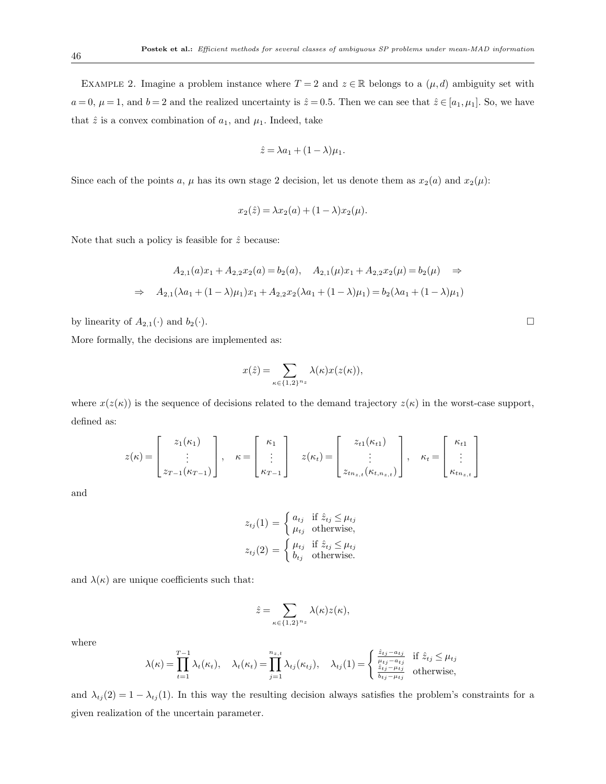EXAMPLE 2. Imagine a problem instance where  $T = 2$  and  $z \in \mathbb{R}$  belongs to a  $(\mu, d)$  ambiguity set with  $a = 0, \mu = 1$ , and  $b = 2$  and the realized uncertainty is  $\hat{z} = 0.5$ . Then we can see that  $\hat{z} \in [a_1, \mu_1]$ . So, we have that  $\hat{z}$  is a convex combination of  $a_1$ , and  $\mu_1$ . Indeed, take

$$
\hat{z} = \lambda a_1 + (1 - \lambda)\mu_1.
$$

Since each of the points a,  $\mu$  has its own stage 2 decision, let us denote them as  $x_2(a)$  and  $x_2(\mu)$ :

$$
x_2(\hat{z}) = \lambda x_2(a) + (1 - \lambda)x_2(\mu).
$$

Note that such a policy is feasible for  $\hat{z}$  because:

$$
A_{2,1}(a)x_1 + A_{2,2}x_2(a) = b_2(a), \quad A_{2,1}(\mu)x_1 + A_{2,2}x_2(\mu) = b_2(\mu) \quad \Rightarrow
$$

$$
\Rightarrow \quad A_{2,1}(\lambda a_1 + (1 - \lambda)\mu_1)x_1 + A_{2,2}x_2(\lambda a_1 + (1 - \lambda)\mu_1) = b_2(\lambda a_1 + (1 - \lambda)\mu_1)
$$

by linearity of  $A_{2,1}(\cdot)$  and  $b_2(\cdot)$ .

More formally, the decisions are implemented as:

$$
x(\hat{z}) = \sum_{\kappa \in \{1,2\}^{n_z}} \lambda(\kappa) x(z(\kappa)),
$$

where  $x(z(\kappa))$  is the sequence of decisions related to the demand trajectory  $z(\kappa)$  in the worst-case support, defined as:

$$
z(\kappa) = \begin{bmatrix} z_1(\kappa_1) \\ \vdots \\ z_{T-1}(\kappa_{T-1}) \end{bmatrix}, \quad \kappa = \begin{bmatrix} \kappa_1 \\ \vdots \\ \kappa_{T-1} \end{bmatrix} \quad z(\kappa_t) = \begin{bmatrix} z_{t1}(\kappa_{t1}) \\ \vdots \\ z_{t n_{z,t}}(\kappa_{t, n_{z,t}}) \end{bmatrix}, \quad \kappa_t = \begin{bmatrix} \kappa_{t1} \\ \vdots \\ \kappa_{t n_{z,t}} \end{bmatrix}
$$

and

$$
z_{tj}(1) = \begin{cases} a_{tj} & \text{if } \hat{z}_{tj} \leq \mu_{tj} \\ \mu_{tj} & \text{otherwise,} \end{cases}
$$

$$
z_{tj}(2) = \begin{cases} \mu_{tj} & \text{if } \hat{z}_{tj} \leq \mu_{tj} \\ b_{tj} & \text{otherwise.} \end{cases}
$$

and  $\lambda(\kappa)$  are unique coefficients such that:

$$
\hat{z} = \sum_{\kappa \in \{1,2\}^{n_z}} \lambda(\kappa) z(\kappa),
$$

where

$$
\lambda(\kappa) = \prod_{t=1}^{T-1} \lambda_t(\kappa_t), \quad \lambda_t(\kappa_t) = \prod_{j=1}^{n_{z,t}} \lambda_{tj}(\kappa_{tj}), \quad \lambda_{tj}(1) = \begin{cases} \frac{\hat{z}_{tj} - a_{tj}}{\mu_{tj} - a_{tj}} & \text{if } \hat{z}_{tj} \leq \mu_{tj} \\ \frac{\hat{z}_{tj} - \mu_{tj}}{b_{tj} - \mu_{tj}} & \text{otherwise,} \end{cases}
$$

and  $\lambda_{tj}(2) = 1 - \lambda_{tj}(1)$ . In this way the resulting decision always satisfies the problem's constraints for a given realization of the uncertain parameter.